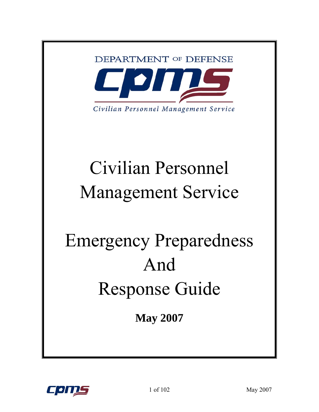

# Civilian Personnel Management Service

# Emergency Preparedness And Response Guide

**May 2007** 

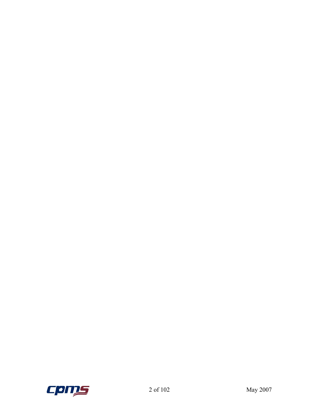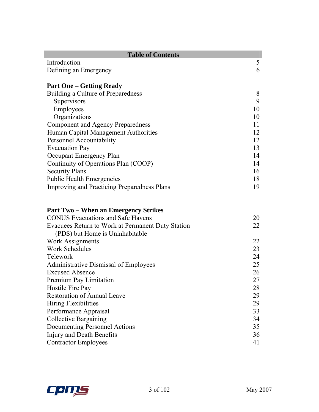| <b>Table of Contents</b>                                              |    |
|-----------------------------------------------------------------------|----|
| Introduction                                                          | 5  |
| Defining an Emergency                                                 | 6  |
|                                                                       |    |
| <b>Part One – Getting Ready</b><br>Building a Culture of Preparedness | 8  |
| Supervisors                                                           | 9  |
| Employees                                                             | 10 |
| Organizations                                                         | 10 |
| <b>Component and Agency Preparedness</b>                              | 11 |
| Human Capital Management Authorities                                  | 12 |
| <b>Personnel Accountability</b>                                       | 12 |
| <b>Evacuation Pay</b>                                                 | 13 |
| Occupant Emergency Plan                                               | 14 |
| Continuity of Operations Plan (COOP)                                  | 14 |
| <b>Security Plans</b>                                                 | 16 |
| <b>Public Health Emergencies</b>                                      | 18 |
| <b>Improving and Practicing Preparedness Plans</b>                    | 19 |
|                                                                       |    |
|                                                                       |    |
| <b>Part Two – When an Emergency Strikes</b>                           |    |
| <b>CONUS Evacuations and Safe Havens</b>                              | 20 |
| Evacuees Return to Work at Permanent Duty Station                     | 22 |
| (PDS) but Home is Uninhabitable                                       | 22 |
| <b>Work Assignments</b><br><b>Work Schedules</b>                      | 23 |
| Telework                                                              | 24 |
| Administrative Dismissal of Employees                                 | 25 |
| <b>Excused Absence</b>                                                | 26 |
| Premium Pay Limitation                                                | 27 |
| Hostile Fire Pay                                                      | 28 |
| <b>Restoration of Annual Leave</b>                                    | 29 |
| Hiring Flexibilities                                                  | 29 |
| Performance Appraisal                                                 | 33 |
| <b>Collective Bargaining</b>                                          | 34 |
| Documenting Personnel Actions                                         | 35 |
| Injury and Death Benefits                                             | 36 |
| <b>Contractor Employees</b>                                           | 41 |

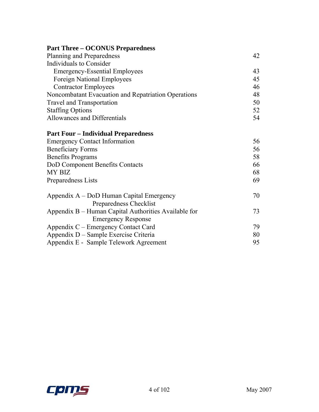# **[Part Three – OCONUS Preparedness](#page-41-0)**

| Planning and Preparedness                            | 42 |
|------------------------------------------------------|----|
| <b>Individuals to Consider</b>                       |    |
| <b>Emergency-Essential Employees</b>                 | 43 |
| <b>Foreign National Employees</b>                    | 45 |
| <b>Contractor Employees</b>                          | 46 |
| Noncombatant Evacuation and Repatriation Operations  | 48 |
| <b>Travel and Transportation</b>                     | 50 |
| <b>Staffing Options</b>                              | 52 |
| Allowances and Differentials                         | 54 |
| <b>Part Four – Individual Preparedness</b>           |    |
| <b>Emergency Contact Information</b>                 | 56 |
| <b>Beneficiary Forms</b>                             | 56 |
| <b>Benefits Programs</b>                             | 58 |
| DoD Component Benefits Contacts                      | 66 |
| MY BIZ                                               | 68 |
| Preparedness Lists                                   | 69 |
| Appendix A – DoD Human Capital Emergency             | 70 |
| Preparedness Checklist                               |    |
| Appendix B – Human Capital Authorities Available for | 73 |
| <b>Emergency Response</b>                            |    |
| Appendix C – Emergency Contact Card                  | 79 |
| Appendix D – Sample Exercise Criteria                | 80 |
| Appendix E - Sample Telework Agreement               | 95 |

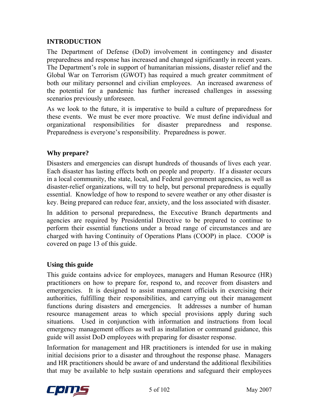# <span id="page-4-0"></span>**INTRODUCTION**

The Department of Defense (DoD) involvement in contingency and disaster preparedness and response has increased and changed significantly in recent years. The Department's role in support of humanitarian missions, disaster relief and the Global War on Terrorism (GWOT) has required a much greater commitment of both our military personnel and civilian employees. An increased awareness of the potential for a pandemic has further increased challenges in assessing scenarios previously unforeseen.

As we look to the future, it is imperative to build a culture of preparedness for these events. We must be ever more proactive. We must define individual and organizational responsibilities for disaster preparedness and response. Preparedness is everyone's responsibility. Preparedness is power.

# **Why prepare?**

Disasters and emergencies can disrupt hundreds of thousands of lives each year. Each disaster has lasting effects both on people and property. If a disaster occurs in a local community, the state, local, and Federal government agencies, as well as disaster-relief organizations, will try to help, but personal preparedness is equally essential. Knowledge of how to respond to severe weather or any other disaster is key. Being prepared can reduce fear, anxiety, and the loss associated with disaster.

In addition to personal preparedness, the Executive Branch departments and agencies are required by Presidential Directive to be prepared to continue to perform their essential functions under a broad range of circumstances and are charged with having Continuity of Operations Plans (COOP) in place. COOP is covered on page 13 of this guide.

# **Using this guide**

This guide contains advice for employees, managers and Human Resource (HR) practitioners on how to prepare for, respond to, and recover from disasters and emergencies. It is designed to assist management officials in exercising their authorities, fulfilling their responsibilities, and carrying out their management functions during disasters and emergencies. It addresses a number of human resource management areas to which special provisions apply during such situations. Used in conjunction with information and instructions from local emergency management offices as well as installation or command guidance, this guide will assist DoD employees with preparing for disaster response.

Information for management and HR practitioners is intended for use in making initial decisions prior to a disaster and throughout the response phase. Managers and HR practitioners should be aware of and understand the additional flexibilities that may be available to help sustain operations and safeguard their employees

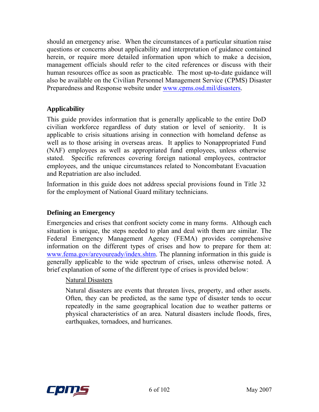<span id="page-5-0"></span>should an emergency arise. When the circumstances of a particular situation raise questions or concerns about applicability and interpretation of guidance contained herein, or require more detailed information upon which to make a decision, management officials should refer to the cited references or discuss with their human resources office as soon as practicable. The most up-to-date guidance will also be available on the Civilian Personnel Management Service (CPMS) Disaster Preparedness and Response website under www.cpms.osd.mil/disasters.

# **Applicability**

This guide provides information that is generally applicable to the entire DoD civilian workforce regardless of duty station or level of seniority. It is applicable to crisis situations arising in connection with homeland defense as well as to those arising in overseas areas. It applies to Nonappropriated Fund (NAF) employees as well as appropriated fund employees, unless otherwise stated. Specific references covering foreign national employees, contractor employees, and the unique circumstances related to Noncombatant Evacuation and Repatriation are also included.

Information in this guide does not address special provisions found in Title 32 for the employment of National Guard military technicians.

# **Defining an Emergency**

Emergencies and crises that confront society come in many forms. Although each situation is unique, the steps needed to plan and deal with them are similar. The Federal Emergency Management Agency (FEMA) provides comprehensive information on the different types of crises and how to prepare for them at: [www.fema.gov/areyouready/index.shtm](http://www.fema.gov/areyouready/index.shtm). The planning information in this guide is generally applicable to the wide spectrum of crises, unless otherwise noted. A brief explanation of some of the different type of crises is provided below:

# Natural Disasters

Natural disasters are events that threaten lives, property, and other assets. Often, they can be predicted, as the same type of disaster tends to occur repeatedly in the same geographical location due to weather patterns or physical characteristics of an area. Natural disasters include floods, fires, earthquakes, tornadoes, and hurricanes.

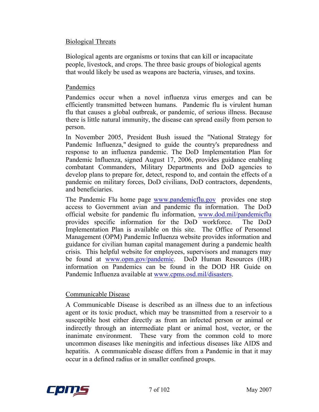#### Biological Threats

Biological agents are organisms or toxins that can kill or incapacitate people, livestock, and crops. The three basic groups of biological agents that would likely be used as weapons are bacteria, viruses, and toxins.

#### Pandemics

Pandemics occur when a novel influenza virus emerges and can be efficiently transmitted between humans. Pandemic flu is virulent human flu that causes a global outbreak, or pandemic, of serious illness. Because there is little natural immunity, the disease can spread easily from person to person.

In November 2005, President Bush issued the "National Strategy for Pandemic Influenza," designed to guide the country's preparedness and response to an influenza pandemic. The DoD Implementation Plan for Pandemic Influenza, signed August 17, 2006, provides guidance enabling combatant Commanders, Military Departments and DoD agencies to develop plans to prepare for, detect, respond to, and contain the effects of a pandemic on military forces, DoD civilians, DoD contractors, dependents, and beneficiaries.

The Pandemic Flu home page [www.pandemicflu.gov](http://www.pandemicflu.gov/) provides one stop access to Government avian and pandemic flu information. The DoD official website for pandemic flu information, www.dod.mil/pandemicflu provides specific information for the DoD workforce. The DoD Implementation Plan is available on this site. The Office of Personnel Management (OPM) Pandemic Influenza website provides information and guidance for civilian human capital management during a pandemic health crisis. This helpful website for employees, supervisors and managers may be found at [www.opm.gov/pandemic.](http://www.opm.gov/pandemic) DoD Human Resources (HR) information on Pandemics can be found in the DOD HR Guide on Pandemic Influenza available at [www.cpms.osd.mil/disasters.](http://www.cpms.osd.mil/disasters)

#### Communicable Disease

A Communicable Disease is described as an illness due to an infectious agent or its toxic product, which may be transmitted from a reservoir to a susceptible host either directly as from an infected person or animal or indirectly through an intermediate plant or animal host, vector, or the inanimate environment. These vary from the common cold to more uncommon diseases like meningitis and infectious diseases like AIDS and hepatitis. A communicable disease differs from a Pandemic in that it may occur in a defined radius or in smaller confined groups.

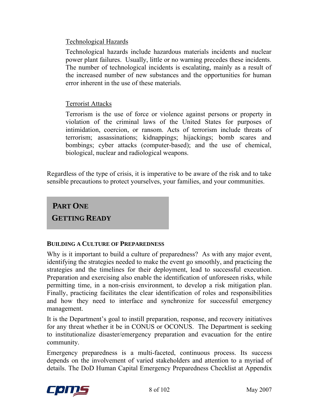# <span id="page-7-0"></span>Technological Hazards

Technological hazards include hazardous materials incidents and nuclear power plant failures. Usually, little or no warning precedes these incidents. The number of technological incidents is escalating, mainly as a result of the increased number of new substances and the opportunities for human error inherent in the use of these materials.

# Terrorist Attacks

Terrorism is the use of force or violence against persons or property in violation of the criminal laws of the United States for purposes of intimidation, coercion, or ransom. Acts of terrorism include threats of terrorism; assassinations; kidnappings; hijackings; bomb scares and bombings; cyber attacks (computer-based); and the use of chemical, biological, nuclear and radiological weapons.

Regardless of the type of crisis, it is imperative to be aware of the risk and to take sensible precautions to protect yourselves, your families, and your communities.

# **PART ONE**

# **GETTING READY**

#### **BUILDING A CULTURE OF PREPAREDNESS**

Why is it important to build a culture of preparedness? As with any major event, identifying the strategies needed to make the event go smoothly, and practicing the strategies and the timelines for their deployment, lead to successful execution. Preparation and exercising also enable the identification of unforeseen risks, while permitting time, in a non-crisis environment, to develop a risk mitigation plan. Finally, practicing facilitates the clear identification of roles and responsibilities and how they need to interface and synchronize for successful emergency management.

It is the Department's goal to instill preparation, response, and recovery initiatives for any threat whether it be in CONUS or OCONUS. The Department is seeking to institutionalize disaster/emergency preparation and evacuation for the entire community.

Emergency preparedness is a multi-faceted, continuous process. Its success depends on the involvement of varied stakeholders and attention to a myriad of details. The DoD Human Capital Emergency Preparedness Checklist at Appendix

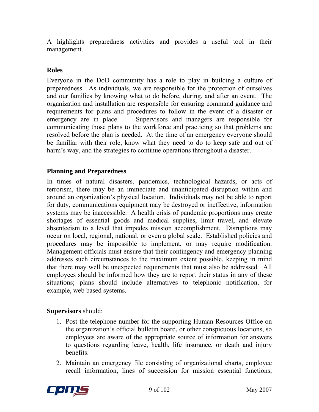<span id="page-8-0"></span>A highlights preparedness activities and provides a useful tool in their management.

# **Roles**

Everyone in the DoD community has a role to play in building a culture of preparedness. As individuals, we are responsible for the protection of ourselves and our families by knowing what to do before, during, and after an event. The organization and installation are responsible for ensuring command guidance and requirements for plans and procedures to follow in the event of a disaster or emergency are in place. Supervisors and managers are responsible for communicating those plans to the workforce and practicing so that problems are resolved before the plan is needed. At the time of an emergency everyone should be familiar with their role, know what they need to do to keep safe and out of harm's way, and the strategies to continue operations throughout a disaster.

# **Planning and Preparedness**

In times of natural disasters, pandemics, technological hazards, or acts of terrorism, there may be an immediate and unanticipated disruption within and around an organization's physical location. Individuals may not be able to report for duty, communications equipment may be destroyed or ineffective, information systems may be inaccessible. A health crisis of pandemic proportions may create shortages of essential goods and medical supplies, limit travel, and elevate absenteeism to a level that impedes mission accomplishment. Disruptions may occur on local, regional, national, or even a global scale. Established policies and procedures may be impossible to implement, or may require modification. Management officials must ensure that their contingency and emergency planning addresses such circumstances to the maximum extent possible, keeping in mind that there may well be unexpected requirements that must also be addressed. All employees should be informed how they are to report their status in any of these situations; plans should include alternatives to telephonic notification, for example, web based systems.

#### **Supervisors** should:

- 1. Post the telephone number for the supporting Human Resources Office on the organization's official bulletin board, or other conspicuous locations, so employees are aware of the appropriate source of information for answers to questions regarding leave, health, life insurance, or death and injury benefits.
- 2. Maintain an emergency file consisting of organizational charts, employee recall information, lines of succession for mission essential functions,

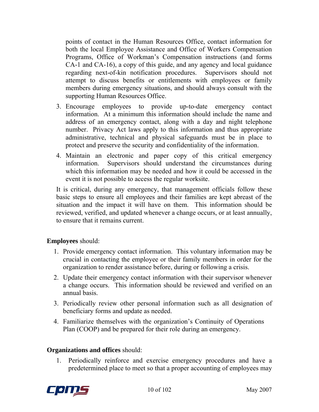<span id="page-9-0"></span>points of contact in the Human Resources Office, contact information for both the local Employee Assistance and Office of Workers Compensation Programs, Office of Workman's Compensation instructions (and forms CA-1 and CA-16), a copy of this guide, and any agency and local guidance regarding next-of-kin notification procedures. Supervisors should not attempt to discuss benefits or entitlements with employees or family members during emergency situations, and should always consult with the supporting Human Resources Office.

- 3. Encourage employees to provide up-to-date emergency contact information. At a minimum this information should include the name and address of an emergency contact, along with a day and night telephone number. Privacy Act laws apply to this information and thus appropriate administrative, technical and physical safeguards must be in place to protect and preserve the security and confidentiality of the information.
- 4. Maintain an electronic and paper copy of this critical emergency information. Supervisors should understand the circumstances during which this information may be needed and how it could be accessed in the event it is not possible to access the regular worksite.

It is critical, during any emergency, that management officials follow these basic steps to ensure all employees and their families are kept abreast of the situation and the impact it will have on them. This information should be reviewed, verified, and updated whenever a change occurs, or at least annually, to ensure that it remains current.

#### **Employees** should:

- 1. Provide emergency contact information. This voluntary information may be crucial in contacting the employee or their family members in order for the organization to render assistance before, during or following a crisis.
- 2. Update their emergency contact information with their supervisor whenever a change occurs. This information should be reviewed and verified on an annual basis.
- 3. Periodically review other personal information such as all designation of beneficiary forms and update as needed.
- 4. Familiarize themselves with the organization's Continuity of Operations Plan (COOP) and be prepared for their role during an emergency.

#### **Organizations and offices** should:

1. Periodically reinforce and exercise emergency procedures and have a predetermined place to meet so that a proper accounting of employees may

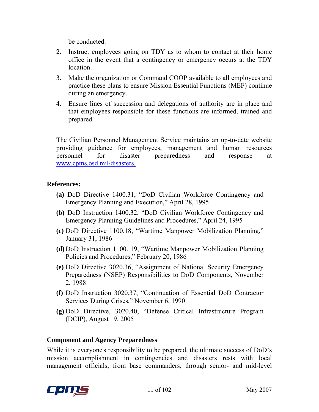be conducted.

- <span id="page-10-0"></span>2. Instruct employees going on TDY as to whom to contact at their home office in the event that a contingency or emergency occurs at the TDY location.
- 3. Make the organization or Command COOP available to all employees and practice these plans to ensure Mission Essential Functions (MEF) continue during an emergency.
- 4. Ensure lines of succession and delegations of authority are in place and that employees responsible for these functions are informed, trained and prepared.

The Civilian Personnel Management Service maintains an up-to-date website providing guidance for employees, management and human resources personnel for disaster preparedness and response at [www.cpms.osd.mil/disasters](http://www.cpms.osd.mil/disasters).

#### **References:**

- **(a)** DoD Directive 1400.31, "DoD Civilian Workforce Contingency and Emergency Planning and Execution," April 28, 1995
- **(b)** DoD Instruction 1400.32, "DoD Civilian Workforce Contingency and Emergency Planning Guidelines and Procedures," April 24, 1995
- **(c)** DoD Directive 1100.18, "Wartime Manpower Mobilization Planning," January 31, 1986
- **(d)** DoD Instruction 1100. 19, "Wartime Manpower Mobilization Planning Policies and Procedures," February 20, 1986
- **(e)** DoD Directive 3020.36, "Assignment of National Security Emergency Preparedness (NSEP) Responsibilities to DoD Components, November 2, 1988
- **(f)** DoD Instruction 3020.37, "Continuation of Essential DoD Contractor Services During Crises," November 6, 1990
- **(g)** DoD Directive, 3020.40, "Defense Critical Infrastructure Program (DCIP), August 19, 2005

#### **Component and Agency Preparedness**

While it is everyone's responsibility to be prepared, the ultimate success of DoD's mission accomplishment in contingencies and disasters rests with local management officials, from base commanders, through senior- and mid-level

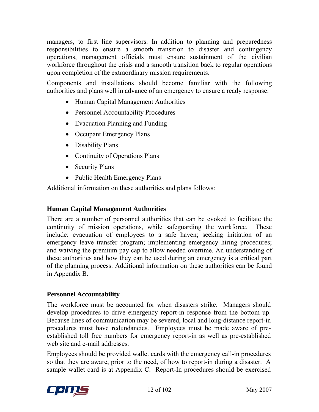<span id="page-11-0"></span>managers, to first line supervisors. In addition to planning and preparedness responsibilities to ensure a smooth transition to disaster and contingency operations, management officials must ensure sustainment of the civilian workforce throughout the crisis and a smooth transition back to regular operations upon completion of the extraordinary mission requirements.

Components and installations should become familiar with the following authorities and plans well in advance of an emergency to ensure a ready response:

- Human Capital Management Authorities
- Personnel Accountability Procedures
- Evacuation Planning and Funding
- Occupant Emergency Plans
- Disability Plans
- Continuity of Operations Plans
- Security Plans
- Public Health Emergency Plans

Additional information on these authorities and plans follows:

# **Human Capital Management Authorities**

There are a number of personnel authorities that can be evoked to facilitate the continuity of mission operations, while safeguarding the workforce. These include: evacuation of employees to a safe haven; seeking initiation of an emergency leave transfer program; implementing emergency hiring procedures; and waiving the premium pay cap to allow needed overtime. An understanding of these authorities and how they can be used during an emergency is a critical part of the planning process. Additional information on these authorities can be found in Appendix B.

# **Personnel Accountability**

The workforce must be accounted for when disasters strike. Managers should develop procedures to drive emergency report-in response from the bottom up. Because lines of communication may be severed, local and long-distance report-in procedures must have redundancies. Employees must be made aware of preestablished toll free numbers for emergency report-in as well as pre-established web site and e-mail addresses.

Employees should be provided wallet cards with the emergency call-in procedures so that they are aware, prior to the need, of how to report-in during a disaster. A sample wallet card is at Appendix C. Report-In procedures should be exercised

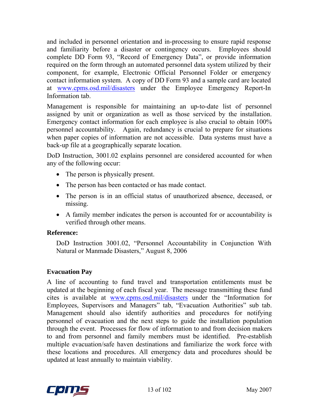<span id="page-12-0"></span>and included in personnel orientation and in-processing to ensure rapid response and familiarity before a disaster or contingency occurs. Employees should complete DD Form 93, "Record of Emergency Data", or provide information required on the form through an automated personnel data system utilized by their component, for example, Electronic Official Personnel Folder or emergency contact information system. A copy of DD Form 93 and a sample card are located at [www.cpms.osd.mil/disasters](http://www.cpms.osd.mil/disasters) under the Employee Emergency Report-In Information tab.

Management is responsible for maintaining an up-to-date list of personnel assigned by unit or organization as well as those serviced by the installation. Emergency contact information for each employee is also crucial to obtain 100% personnel accountability. Again, redundancy is crucial to prepare for situations when paper copies of information are not accessible. Data systems must have a back-up file at a geographically separate location.

DoD Instruction, 3001.02 explains personnel are considered accounted for when any of the following occur:

- The person is physically present.
- The person has been contacted or has made contact.
- The person is in an official status of unauthorized absence, deceased, or missing.
- A family member indicates the person is accounted for or accountability is verified through other means.

#### **Reference:**

DoD Instruction 3001.02, "Personnel Accountability in Conjunction With Natural or Manmade Disasters," August 8, 2006

#### **Evacuation Pay**

A line of accounting to fund travel and transportation entitlements must be updated at the beginning of each fiscal year. The message transmitting these fund cites is available at [www.cpms.osd.mil/disasters](http://www.cpms.osd.mil/disasters) under the "Information for Employees, Supervisors and Managers" tab, "Evacuation Authorities" sub tab. Management should also identify authorities and procedures for notifying personnel of evacuation and the next steps to guide the installation population through the event. Processes for flow of information to and from decision makers to and from personnel and family members must be identified. Pre-establish multiple evacuation/safe haven destinations and familiarize the work force with these locations and procedures. All emergency data and procedures should be updated at least annually to maintain viability.

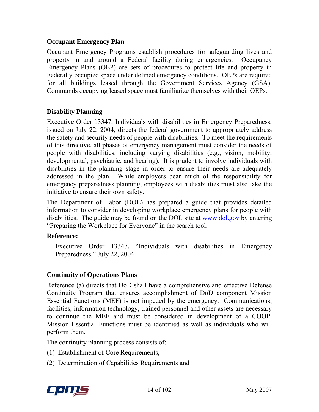# <span id="page-13-0"></span>**Occupant Emergency Plan**

Occupant Emergency Programs establish procedures for safeguarding lives and property in and around a Federal facility during emergencies. Occupancy Emergency Plans (OEP) are sets of procedures to protect life and property in Federally occupied space under defined emergency conditions. OEPs are required for all buildings leased through the Government Services Agency (GSA). Commands occupying leased space must familiarize themselves with their OEPs.

# **Disability Planning**

Executive Order 13347, Individuals with disabilities in Emergency Preparedness, issued on July 22, 2004, directs the federal government to appropriately address the safety and security needs of people with disabilities. To meet the requirements of this directive, all phases of emergency management must consider the needs of people with disabilities, including varying disabilities (e.g., vision, mobility, developmental, psychiatric, and hearing). It is prudent to involve individuals with disabilities in the planning stage in order to ensure their needs are adequately addressed in the plan. While employers bear much of the responsibility for emergency preparedness planning, employees with disabilities must also take the initiative to ensure their own safety.

The Department of Labor (DOL) has prepared a guide that provides detailed information to consider in developing workplace emergency plans for people with disabilities. The guide may be found on the DOL site at [www.dol.gov](http://www.dol.gov/) by entering "Preparing the Workplace for Everyone" in the search tool.

#### **Reference:**

 Executive Order 13347, "Individuals with disabilities in Emergency Preparedness," July 22, 2004

# **Continuity of Operations Plans**

Reference (a) directs that DoD shall have a comprehensive and effective Defense Continuity Program that ensures accomplishment of DoD component Mission Essential Functions (MEF) is not impeded by the emergency. Communications, facilities, information technology, trained personnel and other assets are necessary to continue the MEF and must be considered in development of a COOP. Mission Essential Functions must be identified as well as individuals who will perform them.

The continuity planning process consists of:

- (1) Establishment of Core Requirements,
- (2) Determination of Capabilities Requirements and

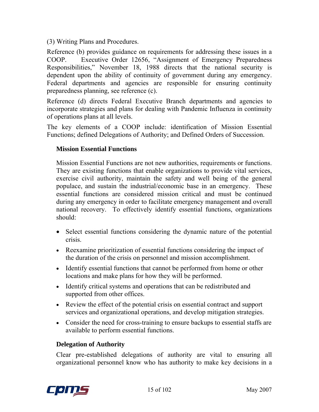(3) Writing Plans and Procedures.

Reference (b) provides guidance on requirements for addressing these issues in a COOP. Executive Order 12656, "Assignment of Emergency Preparedness Responsibilities," November 18, 1988 directs that the national security is dependent upon the ability of continuity of government during any emergency. Federal departments and agencies are responsible for ensuring continuity preparedness planning, see reference (c).

Reference (d) directs Federal Executive Branch departments and agencies to incorporate strategies and plans for dealing with Pandemic Influenza in continuity of operations plans at all levels.

The key elements of a COOP include: identification of Mission Essential Functions; defined Delegations of Authority; and Defined Orders of Succession.

# **Mission Essential Functions**

Mission Essential Functions are not new authorities, requirements or functions. They are existing functions that enable organizations to provide vital services, exercise civil authority, maintain the safety and well being of the general populace, and sustain the industrial/economic base in an emergency. These essential functions are considered mission critical and must be continued during any emergency in order to facilitate emergency management and overall national recovery. To effectively identify essential functions, organizations should:

- Select essential functions considering the dynamic nature of the potential crisis.
- Reexamine prioritization of essential functions considering the impact of the duration of the crisis on personnel and mission accomplishment.
- Identify essential functions that cannot be performed from home or other locations and make plans for how they will be performed.
- Identify critical systems and operations that can be redistributed and supported from other offices.
- Review the effect of the potential crisis on essential contract and support services and organizational operations, and develop mitigation strategies.
- Consider the need for cross-training to ensure backups to essential staffs are available to perform essential functions.

# **Delegation of Authority**

Clear pre-established delegations of authority are vital to ensuring all organizational personnel know who has authority to make key decisions in a

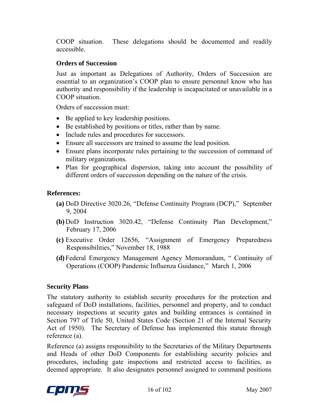<span id="page-15-0"></span>COOP situation. These delegations should be documented and readily accessible.

# **Orders of Succession**

Just as important as Delegations of Authority, Orders of Succession are essential to an organization's COOP plan to ensure personnel know who has authority and responsibility if the leadership is incapacitated or unavailable in a COOP situation.

Orders of succession must:

- Be applied to key leadership positions.
- Be established by positions or titles, rather than by name.
- Include rules and procedures for successors.
- Ensure all successors are trained to assume the lead position.
- Ensure plans incorporate rules pertaining to the succession of command of military organizations.
- Plan for geographical dispersion, taking into account the possibility of different orders of succession depending on the nature of the crisis.

# **References:**

- **(a)** DoD Directive 3020.26, "Defense Continuity Program (DCP)," September 9, 2004
- **(b)** DoD Instruction 3020.42, "Defense Continuity Plan Development," February 17, 2006
- **(c)** Executive Order 12656, "Assignment of Emergency Preparedness Responsibilities," November 18, 1988
- **(d)** Federal Emergency Management Agency Memorandum, " Continuity of Operations (COOP) Pandemic Influenza Guidance," March 1, 2006

#### **Security Plans**

The statutory authority to establish security procedures for the protection and safeguard of DoD installations, facilities, personnel and property, and to conduct necessary inspections at security gates and building entrances is contained in Section 797 of Title 50, United States Code (Section 21 of the Internal Security Act of 1950). The Secretary of Defense has implemented this statute through reference (a).

Reference (a) assigns responsibility to the Secretaries of the Military Departments and Heads of other DoD Components for establishing security policies and procedures, including gate inspections and restricted access to facilities, as deemed appropriate. It also designates personnel assigned to command positions

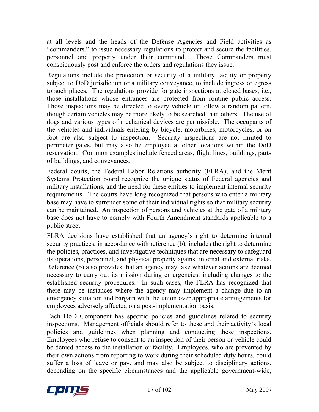at all levels and the heads of the Defense Agencies and Field activities as "commanders," to issue necessary regulations to protect and secure the facilities, personnel and property under their command. Those Commanders must conspicuously post and enforce the orders and regulations they issue.

Regulations include the protection or security of a military facility or property subject to DoD jurisdiction or a military conveyance, to include ingress or egress to such places. The regulations provide for gate inspections at closed bases, i.e., those installations whose entrances are protected from routine public access. Those inspections may be directed to every vehicle or follow a random pattern, though certain vehicles may be more likely to be searched than others. The use of dogs and various types of mechanical devices are permissible. The occupants of the vehicles and individuals entering by bicycle, motorbikes, motorcycles, or on foot are also subject to inspection. Security inspections are not limited to perimeter gates, but may also be employed at other locations within the DoD reservation. Common examples include fenced areas, flight lines, buildings, parts of buildings, and conveyances.

Federal courts, the Federal Labor Relations authority (FLRA), and the Merit Systems Protection board recognize the unique status of Federal agencies and military installations, and the need for these entities to implement internal security requirements. The courts have long recognized that persons who enter a military base may have to surrender some of their individual rights so that military security can be maintained. An inspection of persons and vehicles at the gate of a military base does not have to comply with Fourth Amendment standards applicable to a public street.

FLRA decisions have established that an agency's right to determine internal security practices, in accordance with reference (b), includes the right to determine the policies, practices, and investigative techniques that are necessary to safeguard its operations, personnel, and physical property against internal and external risks. Reference (b) also provides that an agency may take whatever actions are deemed necessary to carry out its mission during emergencies, including changes to the established security procedures. In such cases, the FLRA has recognized that there may be instances where the agency may implement a change due to an emergency situation and bargain with the union over appropriate arrangements for employees adversely affected on a post-implementation basis.

Each DoD Component has specific policies and guidelines related to security inspections. Management officials should refer to these and their activity's local policies and guidelines when planning and conducting these inspections. Employees who refuse to consent to an inspection of their person or vehicle could be denied access to the installation or facility. Employees, who are prevented by their own actions from reporting to work during their scheduled duty hours, could suffer a loss of leave or pay, and may also be subject to disciplinary actions, depending on the specific circumstances and the applicable government-wide,

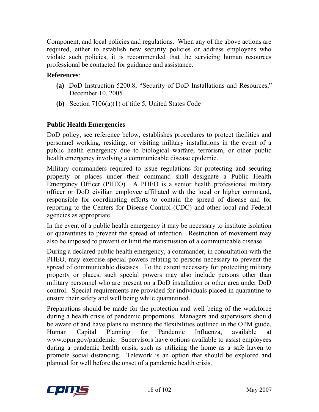<span id="page-17-0"></span>Component, and local policies and regulations. When any of the above actions are required, either to establish new security policies or address employees who violate such policies, it is recommended that the servicing human resources professional be contacted for guidance and assistance.

# **References**:

- **(a)** DoD Instruction 5200.8, "Security of DoD Installations and Resources," December 10, 2005
- **(b)** Section 7106(a)(1) of title 5, United States Code

# **Public Health Emergencies**

DoD policy, see reference below, establishes procedures to protect facilities and personnel working, residing, or visiting military installations in the event of a public health emergency due to biological warfare, terrorism, or other public health emergency involving a communicable disease epidemic.

Military commanders required to issue regulations for protecting and securing property or places under their command shall designate a Public Health Emergency Officer (PHEO). A PHEO is a senior health professional military officer or DoD civilian employee affiliated with the local or higher command, responsible for coordinating efforts to contain the spread of disease and for reporting to the Centers for Disease Control (CDC) and other local and Federal agencies as appropriate.

In the event of a public health emergency it may be necessary to institute isolation or quarantines to prevent the spread of infection. Restriction of movement may also be imposed to prevent or limit the transmission of a communicable disease.

During a declared public health emergency, a commander, in consultation with the PHEO, may exercise special powers relating to persons necessary to prevent the spread of communicable diseases. To the extent necessary for protecting military property or places, such special powers may also include persons other than military personnel who are present on a DoD installation or other area under DoD control. Special requirements are provided for individuals placed in quarantine to ensure their safety and well being while quarantined.

Preparations should be made for the protection and well being of the workforce during a health crisis of pandemic proportions. Managers and supervisors should be aware of and have plans to institute the flexibilities outlined in the OPM guide, Human Capital Planning for Pandemic Influenza, available at www.opm.gov/pandemic. Supervisors have options available to assist employees during a pandemic health crisis, such as utilizing the home as a safe haven to promote social distancing. Telework is an option that should be explored and planned for well before the onset of a pandemic health crisis.

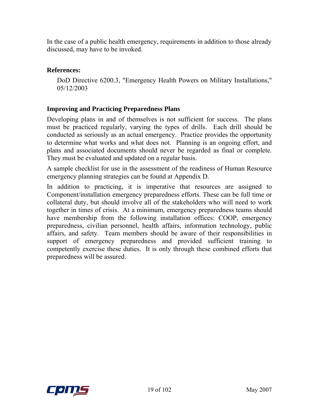<span id="page-18-0"></span>In the case of a public health emergency, requirements in addition to those already discussed, may have to be invoked.

# **References:**

 DoD Directive 6200.3, "Emergency Health Powers on Military Installations," 05/12/2003

# **Improving and Practicing Preparedness Plans**

Developing plans in and of themselves is not sufficient for success. The plans must be practiced regularly, varying the types of drills. Each drill should be conducted as seriously as an actual emergency. Practice provides the opportunity to determine what works and what does not. Planning is an ongoing effort, and plans and associated documents should never be regarded as final or complete. They must be evaluated and updated on a regular basis.

A sample checklist for use in the assessment of the readiness of Human Resource emergency planning strategies can be found at Appendix D.

In addition to practicing, it is imperative that resources are assigned to Component/installation emergency preparedness efforts. These can be full time or collateral duty, but should involve all of the stakeholders who will need to work together in times of crisis. At a minimum, emergency preparedness teams should have membership from the following installation offices: COOP, emergency preparedness, civilian personnel, health affairs, information technology, public affairs, and safety. Team members should be aware of their responsibilities in support of emergency preparedness and provided sufficient training to competently exercise these duties. It is only through these combined efforts that preparedness will be assured.

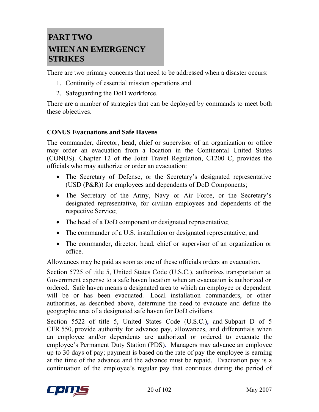# <span id="page-19-0"></span>**PART TWO WHEN AN EMERGENCY STRIKES**

There are two primary concerns that need to be addressed when a disaster occurs:

- 1. Continuity of essential mission operations and
- 2. Safeguarding the DoD workforce.

There are a number of strategies that can be deployed by commands to meet both these objectives.

# **CONUS Evacuations and Safe Havens**

The commander, director, head, chief or supervisor of an organization or office may order an evacuation from a location in the Continental United States (CONUS). Chapter 12 of the Joint Travel Regulation, C1200 C, provides the officials who may authorize or order an evacuation:

- The Secretary of Defense, or the Secretary's designated representative (USD (P&R)) for employees and dependents of DoD Components;
- The Secretary of the Army, Navy or Air Force, or the Secretary's designated representative, for civilian employees and dependents of the respective Service;
- The head of a DoD component or designated representative;
- The commander of a U.S. installation or designated representative; and
- The commander, director, head, chief or supervisor of an organization or office.

Allowances may be paid as soon as one of these officials orders an evacuation.

Section 5725 of title 5, United States Code (U.S.C.), authorizes transportation at Government expense to a safe haven location when an evacuation is authorized or ordered. Safe haven means a designated area to which an employee or dependent will be or has been evacuated. Local installation commanders, or other authorities, as described above, determine the need to evacuate and define the geographic area of a designated safe haven for DoD civilians.

Section 5522 of title 5, United States Code (U.S.C.), and Subpart D of 5 CFR 550, provide authority for advance pay, allowances, and differentials when an employee and/or dependents are authorized or ordered to evacuate the employee's Permanent Duty Station (PDS). Managers may advance an employee up to 30 days of pay; payment is based on the rate of pay the employee is earning at the time of the advance and the advance must be repaid. Evacuation pay is a continuation of the employee's regular pay that continues during the period of

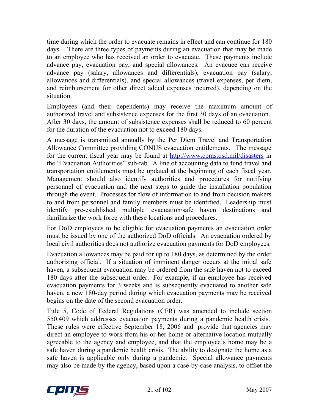time during which the order to evacuate remains in effect and can continue for 180 days. There are three types of payments during an evacuation that may be made to an employee who has received an order to evacuate. These payments include advance pay, evacuation pay, and special allowances. An evacuee can receive advance pay (salary, allowances and differentials), evacuation pay (salary, allowances and differentials), and special allowances (travel expenses, per diem, and reimbursement for other direct added expenses incurred), depending on the situation.

Employees (and their dependents) may receive the maximum amount of authorized travel and subsistence expenses for the first 30 days of an evacuation. After 30 days, the amount of subsistence expenses shall be reduced to 60 percent for the duration of the evacuation not to exceed 180 days.

A message is transmitted annually by the Per Diem Travel and Transportation Allowance Committee providing CONUS evacuation entitlements. The message for the current fiscal year may be found at <http://www.cpms.osd.mil/disasters> in the "Evacuation Authorities" sub-tab. A line of accounting data to fund travel and transportation entitlements must be updated at the beginning of each fiscal year. Management should also identify authorities and procedures for notifying personnel of evacuation and the next steps to guide the installation population through the event. Processes for flow of information to and from decision makers to and from personnel and family members must be identified. Leadership must identify pre-established multiple evacuation/safe haven destinations and familiarize the work force with these locations and procedures.

For DoD employees to be eligible for evacuation payments an evacuation order must be issued by one of the authorized DoD officials. An evacuation ordered by local civil authorities does not authorize evacuation payments for DoD employees.

Evacuation allowances may be paid for up to 180 days, as determined by the order authorizing official. If a situation of imminent danger occurs at the initial safe haven, a subsequent evacuation may be ordered from the safe haven not to exceed 180 days after the subsequent order. For example, if an employee has received evacuation payments for 3 weeks and is subsequently evacuated to another safe haven, a new 180-day period during which evacuation payments may be received begins on the date of the second evacuation order.

Title 5, Code of Federal Regulations (CFR) was amended to include section 550.409 which addresses evacuation payments during a pandemic health crisis. These rules were effective September 18, 2006 and provide that agencies may direct an employee to work from his or her home or alternative location mutually agreeable to the agency and employee, and that the employee's home may be a safe haven during a pandemic health crisis. The ability to designate the home as a safe haven is applicable only during a pandemic. Special allowance payments may also be made by the agency, based upon a case-by-case analysis, to offset the

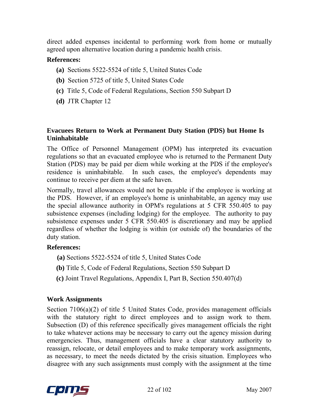<span id="page-21-0"></span>direct added expenses incidental to performing work from home or mutually agreed upon alternative location during a pandemic health crisis.

# **References:**

- **(a)** Sections 5522-5524 of title 5, United States Code
- **(b)** Section 5725 of title 5, United States Code
- **(c)** Title 5, Code of Federal Regulations, Section 550 Subpart D
- **(d)** JTR Chapter 12

# **Evacuees Return to Work at Permanent Duty Station (PDS) but Home Is Uninhabitable**

The Office of Personnel Management (OPM) has interpreted its evacuation regulations so that an evacuated employee who is returned to the Permanent Duty Station (PDS) may be paid per diem while working at the PDS if the employee's residence is uninhabitable. In such cases, the employee's dependents may continue to receive per diem at the safe haven.

Normally, travel allowances would not be payable if the employee is working at the PDS. However, if an employee's home is uninhabitable, an agency may use the special allowance authority in OPM's regulations at 5 CFR 550.405 to pay subsistence expenses (including lodging) for the employee. The authority to pay subsistence expenses under 5 CFR 550.405 is discretionary and may be applied regardless of whether the lodging is within (or outside of) the boundaries of the duty station.

#### **References:**

- **(a)** Sections 5522-5524 of title 5, United States Code
- **(b)** Title 5, Code of Federal Regulations, Section 550 Subpart D
- **(c)** Joint Travel Regulations, Appendix I, Part B, Section 550.407(d)

#### **Work Assignments**

Section 7106(a)(2) of title 5 United States Code, provides management officials with the statutory right to direct employees and to assign work to them. Subsection (D) of this reference specifically gives management officials the right to take whatever actions may be necessary to carry out the agency mission during emergencies. Thus, management officials have a clear statutory authority to reassign, relocate, or detail employees and to make temporary work assignments, as necessary, to meet the needs dictated by the crisis situation. Employees who disagree with any such assignments must comply with the assignment at the time

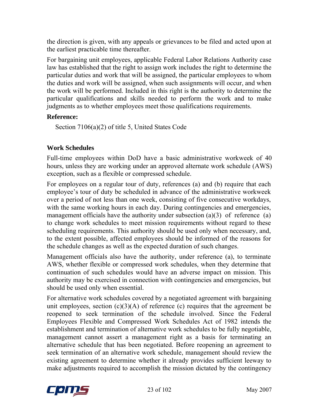<span id="page-22-0"></span>the direction is given, with any appeals or grievances to be filed and acted upon at the earliest practicable time thereafter.

For bargaining unit employees, applicable Federal Labor Relations Authority case law has established that the right to assign work includes the right to determine the particular duties and work that will be assigned, the particular employees to whom the duties and work will be assigned, when such assignments will occur, and when the work will be performed. Included in this right is the authority to determine the particular qualifications and skills needed to perform the work and to make judgments as to whether employees meet those qualifications requirements.

# **Reference:**

Section 7106(a)(2) of title 5, United States Code

# **Work Schedules**

Full-time employees within DoD have a basic administrative workweek of 40 hours, unless they are working under an approved alternate work schedule (AWS) exception, such as a flexible or compressed schedule.

For employees on a regular tour of duty, references (a) and (b) require that each employee's tour of duty be scheduled in advance of the administrative workweek over a period of not less than one week, consisting of five consecutive workdays, with the same working hours in each day. During contingencies and emergencies, management officials have the authority under subsection  $(a)(3)$  of reference  $(a)$ to change work schedules to meet mission requirements without regard to these scheduling requirements. This authority should be used only when necessary, and, to the extent possible, affected employees should be informed of the reasons for the schedule changes as well as the expected duration of such changes.

Management officials also have the authority, under reference (a), to terminate AWS, whether flexible or compressed work schedules, when they determine that continuation of such schedules would have an adverse impact on mission. This authority may be exercised in connection with contingencies and emergencies, but should be used only when essential.

For alternative work schedules covered by a negotiated agreement with bargaining unit employees, section  $(c)(3)(A)$  of reference  $(c)$  requires that the agreement be reopened to seek termination of the schedule involved. Since the Federal Employees Flexible and Compressed Work Schedules Act of 1982 intends the establishment and termination of alternative work schedules to be fully negotiable, management cannot assert a management right as a basis for terminating an alternative schedule that has been negotiated. Before reopening an agreement to seek termination of an alternative work schedule, management should review the existing agreement to determine whether it already provides sufficient leeway to make adjustments required to accomplish the mission dictated by the contingency

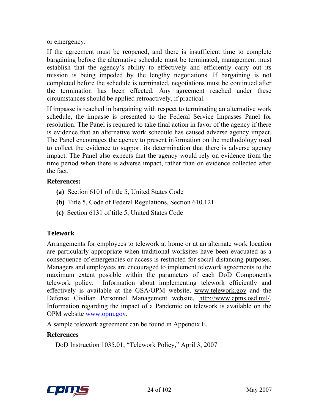<span id="page-23-0"></span>or emergency.

If the agreement must be reopened, and there is insufficient time to complete bargaining before the alternative schedule must be terminated, management must establish that the agency's ability to effectively and efficiently carry out its mission is being impeded by the lengthy negotiations. If bargaining is not completed before the schedule is terminated, negotiations must be continued after the termination has been effected. Any agreement reached under these circumstances should be applied retroactively, if practical.

If impasse is reached in bargaining with respect to terminating an alternative work schedule, the impasse is presented to the Federal Service Impasses Panel for resolution. The Panel is required to take final action in favor of the agency if there is evidence that an alternative work schedule has caused adverse agency impact. The Panel encourages the agency to present information on the methodology used to collect the evidence to support its determination that there is adverse agency impact. The Panel also expects that the agency would rely on evidence from the time period when there is adverse impact, rather than on evidence collected after the fact.

#### **References:**

- **(a)** Section 6101 of title 5, United States Code
- **(b)** Title 5, Code of Federal Regulations, Section 610.121
- **(c)** Section 6131 of title 5, United States Code

# **Telework**

Arrangements for employees to telework at home or at an alternate work location are particularly appropriate when traditional worksites have been evacuated as a consequence of emergencies or access is restricted for social distancing purposes. Managers and employees are encouraged to implement telework agreements to the maximum extent possible within the parameters of each DoD Component's telework policy. Information about implementing telework efficiently and effectively is available at the GSA/OPM website, www.telework.gov and the Defense Civilian Personnel Management website, http://www.cpms.osd.mil/. Information regarding the impact of a Pandemic on telework is available on the OPM website [www.opm.gov.](http://www.opm.gov/)

A sample telework agreement can be found in Appendix E.

# **References**

DoD Instruction 1035.01, "Telework Policy," April 3, 2007

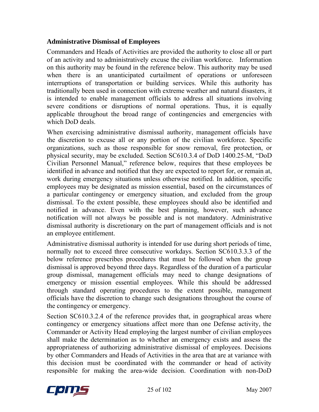#### <span id="page-24-0"></span>**Administrative Dismissal of Employees**

Commanders and Heads of Activities are provided the authority to close all or part of an activity and to administratively excuse the civilian workforce. Information on this authority may be found in the reference below. This authority may be used when there is an unanticipated curtailment of operations or unforeseen interruptions of transportation or building services. While this authority has traditionally been used in connection with extreme weather and natural disasters, it is intended to enable management officials to address all situations involving severe conditions or disruptions of normal operations. Thus, it is equally applicable throughout the broad range of contingencies and emergencies with which DoD deals.

When exercising administrative dismissal authority, management officials have the discretion to excuse all or any portion of the civilian workforce. Specific organizations, such as those responsible for snow removal, fire protection, or physical security, may be excluded. Section SC610.3.4 of DoD 1400.25-M, "DoD Civilian Personnel Manual," reference below, requires that these employees be identified in advance and notified that they are expected to report for, or remain at, work during emergency situations unless otherwise notified. In addition, specific employees may be designated as mission essential, based on the circumstances of a particular contingency or emergency situation, and excluded from the group dismissal. To the extent possible, these employees should also be identified and notified in advance. Even with the best planning, however, such advance notification will not always be possible and is not mandatory. Administrative dismissal authority is discretionary on the part of management officials and is not an employee entitlement.

Administrative dismissal authority is intended for use during short periods of time, normally not to exceed three consecutive workdays. Section SC610.3.3.3 of the below reference prescribes procedures that must be followed when the group dismissal is approved beyond three days. Regardless of the duration of a particular group dismissal, management officials may need to change designations of emergency or mission essential employees. While this should be addressed through standard operating procedures to the extent possible, management officials have the discretion to change such designations throughout the course of the contingency or emergency.

Section SC610.3.2.4 of the reference provides that, in geographical areas where contingency or emergency situations affect more than one Defense activity, the Commander or Activity Head employing the largest number of civilian employees shall make the determination as to whether an emergency exists and assess the appropriateness of authorizing administrative dismissal of employees. Decisions by other Commanders and Heads of Activities in the area that are at variance with this decision must be coordinated with the commander or head of activity responsible for making the area-wide decision. Coordination with non-DoD

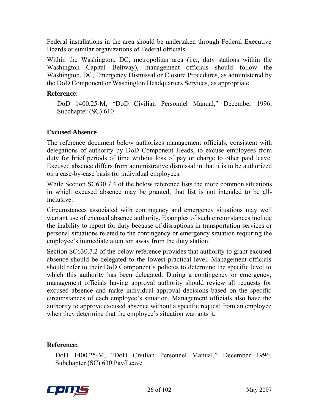<span id="page-25-0"></span>Federal installations in the area should be undertaken through Federal Executive Boards or similar organizations of Federal officials.

Within the Washington, DC, metropolitan area (i.e., duty stations within the Washington Capital Beltway), management officials should follow the Washington, DC, Emergency Dismissal or Closure Procedures, as administered by the DoD Component or Washington Headquarters Services, as appropriate.

#### **Reference:**

 DoD 1400.25-M, "DoD Civilian Personnel Manual," December 1996, Subchapter (SC) 610

# **Excused Absence**

The reference document below authorizes management officials, consistent with delegations of authority by DoD Component Heads, to excuse employees from duty for brief periods of time without loss of pay or charge to other paid leave. Excused absence differs from administrative dismissal in that it is to be authorized on a case-by-case basis for individual employees.

While Section SC630.7.4 of the below reference lists the more common situations in which excused absence may be granted, that list is not intended to be allinclusive.

Circumstances associated with contingency and emergency situations may well warrant use of excused absence authority. Examples of such circumstances include the inability to report for duty because of disruptions in transportation services or personal situations related to the contingency or emergency situation requiring the employee's immediate attention away from the duty station.

Section SC630.7.2 of the below reference provides that authority to grant excused absence should be delegated to the lowest practical level. Management officials should refer to their DoD Component's policies to determine the specific level to which this authority has been delegated. During a contingency or emergency, management officials having approval authority should review all requests for excused absence and make individual approval decisions based on the specific circumstances of each employee's situation. Management officials also have the authority to approve excused absence without a specific request from an employee when they determine that the employee's situation warrants it.

#### **Reference:**

 DoD 1400.25-M, "DoD Civilian Personnel Manual," December 1996, Subchapter (SC) 630 Pay/Leave

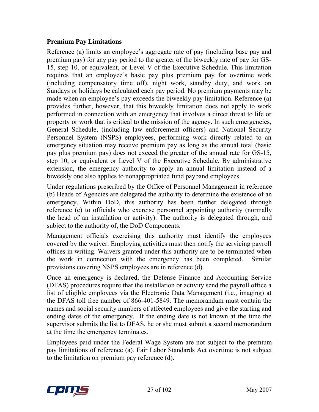# <span id="page-26-0"></span>**Premium Pay Limitations**

Reference (a) limits an employee's aggregate rate of pay (including base pay and premium pay) for any pay period to the greater of the biweekly rate of pay for GS-15, step 10, or equivalent, or Level V of the Executive Schedule. This limitation requires that an employee's basic pay plus premium pay for overtime work (including compensatory time off), night work, standby duty, and work on Sundays or holidays be calculated each pay period. No premium payments may be made when an employee's pay exceeds the biweekly pay limitation. Reference (a) provides further, however, that this biweekly limitation does not apply to work performed in connection with an emergency that involves a direct threat to life or property or work that is critical to the mission of the agency. In such emergencies, General Schedule, (including law enforcement officers) and National Security Personnel System (NSPS) employees, performing work directly related to an emergency situation may receive premium pay as long as the annual total (basic pay plus premium pay) does not exceed the greater of the annual rate for GS-15, step 10, or equivalent or Level V of the Executive Schedule. By administrative extension, the emergency authority to apply an annual limitation instead of a biweekly one also applies to nonappropriated fund payband employees.

Under regulations prescribed by the Office of Personnel Management in reference (b) Heads of Agencies are delegated the authority to determine the existence of an emergency. Within DoD, this authority has been further delegated through reference (c) to officials who exercise personnel appointing authority (normally the head of an installation or activity). The authority is delegated through, and subject to the authority of, the DoD Components.

Management officials exercising this authority must identify the employees covered by the waiver. Employing activities must then notify the servicing payroll offices in writing. Waivers granted under this authority are to be terminated when the work in connection with the emergency has been completed. Similar provisions covering NSPS employees are in reference (d).

Once an emergency is declared, the Defense Finance and Accounting Service (DFAS) procedures require that the installation or activity send the payroll office a list of eligible employees via the Electronic Data Management (i.e., imaging) at the DFAS toll free number of 866-401-5849. The memorandum must contain the names and social security numbers of affected employees and give the starting and ending dates of the emergency. If the ending date is not known at the time the supervisor submits the list to DFAS, he or she must submit a second memorandum at the time the emergency terminates.

Employees paid under the Federal Wage System are not subject to the premium pay limitations of reference (a). Fair Labor Standards Act overtime is not subject to the limitation on premium pay reference (d).

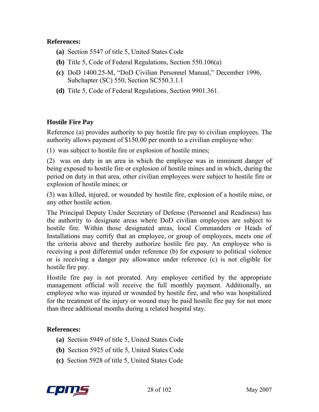#### <span id="page-27-0"></span>**References:**

- **(a)** Section 5547 of title 5, United States Code
- **(b)** Title 5, Code of Federal Regulations, Section 550.106(a)
- **(c)** DoD 1400.25-M, "DoD Civilian Personnel Manual," December 1996, Subchapter (SC) 550, Section SC550.3.1.1
- **(d)** Title 5, Code of Federal Regulations, Section 9901.361.

#### **Hostile Fire Pay**

Reference (a) provides authority to pay hostile fire pay to civilian employees. The authority allows payment of \$150.00 per month to a civilian employee who:

(1) was subject to hostile fire or explosion of hostile mines;

(2) was on duty in an area in which the employee was in imminent danger of being exposed to hostile fire or explosion of hostile mines and in which, during the period on duty in that area, other civilian employees were subject to hostile fire or explosion of hostile mines; or

(3) was killed, injured, or wounded by hostile fire, explosion of a hostile mine, or any other hostile action.

The Principal Deputy Under Secretary of Defense (Personnel and Readiness) has the authority to designate areas where DoD civilian employees are subject to hostile fire. Within those designated areas, local Commanders or Heads of Installations may certify that an employee, or group of employees, meets one of the criteria above and thereby authorize hostile fire pay. An employee who is receiving a post differential under reference (b) for exposure to political violence or is receiving a danger pay allowance under reference (c) is not eligible for hostile fire pay.

Hostile fire pay is not prorated. Any employee certified by the appropriate management official will receive the full monthly payment. Additionally, an employee who was injured or wounded by hostile fire, and who was hospitalized for the treatment of the injury or wound may be paid hostile fire pay for not more than three additional months during a related hospital stay.

#### **References:**

- **(a)** Section 5949 of title 5, United States Code
- **(b)** Section 5925 of title 5, United States Code
- **(c)** Section 5928 of title 5, United States Code

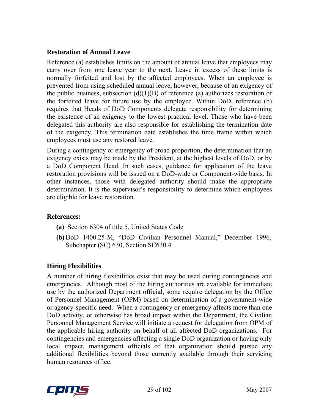#### <span id="page-28-0"></span>**Restoration of Annual Leave**

Reference (a) establishes limits on the amount of annual leave that employees may carry over from one leave year to the next. Leave in excess of these limits is normally forfeited and lost by the affected employees. When an employee is prevented from using scheduled annual leave, however, because of an exigency of the public business, subsection  $(d)(1)(B)$  of reference (a) authorizes restoration of the forfeited leave for future use by the employee. Within DoD, reference (b) requires that Heads of DoD Components delegate responsibility for determining the existence of an exigency to the lowest practical level. Those who have been delegated this authority are also responsible for establishing the termination date of the exigency. This termination date establishes the time frame within which employees must use any restored leave.

During a contingency or emergency of broad proportion, the determination that an exigency exists may be made by the President, at the highest levels of DoD, or by a DoD Component Head. In such cases, guidance for application of the leave restoration provisions will be issued on a DoD-wide or Component-wide basis. In other instances, those with delegated authority should make the appropriate determination. It is the supervisor's responsibility to determine which employees are eligible for leave restoration.

#### **References:**

- **(a)** Section 6304 of title 5, United States Code
- **(b)** DoD 1400.25-M, "DoD Civilian Personnel Manual," December 1996, Subchapter (SC) 630, Section SC630.4

# **Hiring Flexibilities**

A number of hiring flexibilities exist that may be used during contingencies and emergencies. Although most of the hiring authorities are available for immediate use by the authorized Department official, some require delegation by the Office of Personnel Management (OPM) based on determination of a government-wide or agency-specific need. When a contingency or emergency affects more than one DoD activity, or otherwise has broad impact within the Department, the Civilian Personnel Management Service will initiate a request for delegation from OPM of the applicable hiring authority on behalf of all affected DoD organizations. For contingencies and emergencies affecting a single DoD organization or having only local impact, management officials of that organization should pursue any additional flexibilities beyond those currently available through their servicing human resources office.

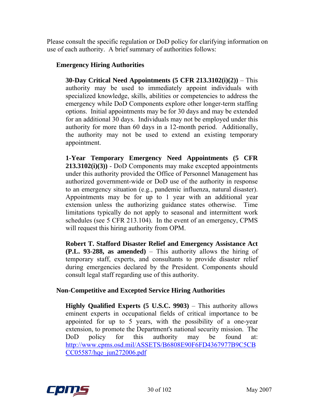Please consult the specific regulation or DoD policy for clarifying information on use of each authority. A brief summary of authorities follows:

#### **Emergency Hiring Authorities**

**30-Day Critical Need Appointments (5 CFR 213.3102(i)(2))** – This authority may be used to immediately appoint individuals with specialized knowledge, skills, abilities or competencies to address the emergency while DoD Components explore other longer-term staffing options. Initial appointments may be for 30 days and may be extended for an additional 30 days. Individuals may not be employed under this authority for more than 60 days in a 12-month period. Additionally, the authority may not be used to extend an existing temporary appointment.

**1-Year Temporary Emergency Need Appointments (5 CFR 213.3102(i)(3))** - DoD Components may make excepted appointments under this authority provided the Office of Personnel Management has authorized government-wide or DoD use of the authority in response to an emergency situation (e.g., pandemic influenza, natural disaster). Appointments may be for up to 1 year with an additional year extension unless the authorizing guidance states otherwise. Time limitations typically do not apply to seasonal and intermittent work schedules (see 5 CFR 213.104). In the event of an emergency, CPMS will request this hiring authority from OPM.

**Robert T. Stafford Disaster Relief and Emergency Assistance Act (P.L. 93-288, as amended)** – This authority allows the hiring of temporary staff, experts, and consultants to provide disaster relief during emergencies declared by the President. Components should consult legal staff regarding use of this authority.

# **Non-Competitive and Excepted Service Hiring Authorities**

**Highly Qualified Experts (5 U.S.C. 9903)** – This authority allows eminent experts in occupational fields of critical importance to be appointed for up to 5 years, with the possibility of a one-year extension, to promote the Department's national security mission. The DoD policy for this authority may be found at: [http://www.cpms.osd.mil/ASSETS/B6808E90F6FD4367977B9C5CB](http://www.cpms.osd.mil/ASSETS/B6808E90F6FD4367977B9C5CBCC05587/hqe_jun272006.pdf) CC05587/hqe\_jun272006.pdf

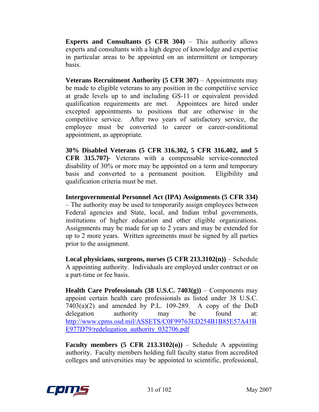**Experts and Consultants (5 CFR 304)** – This authority allows experts and consultants with a high degree of knowledge and expertise in particular areas to be appointed on an intermittent or temporary basis.

**Veterans Recruitment Authority (5 CFR 307)** – Appointments may be made to eligible veterans to any position in the competitive service at grade levels up to and including GS-11 or equivalent provided qualification requirements are met. Appointees are hired under excepted appointments to positions that are otherwise in the competitive service. After two years of satisfactory service, the employee must be converted to career or career-conditional appointment, as appropriate.

**30% Disabled Veterans (5 CFR 316.302, 5 CFR 316.402, and 5 CFR 315.707)**- Veterans with a compensable service-connected disability of 30% or more may be appointed on a term and temporary basis and converted to a permanent position. Eligibility and qualification criteria must be met.

**Intergovernmental Personnel Act (IPA) Assignments (5 CFR 334)** – The authority may be used to temporarily assign employees between Federal agencies and State, local, and Indian tribal governments, institutions of higher education and other eligible organizations. Assignments may be made for up to 2 years and may be extended for up to 2 more years. Written agreements must be signed by all parties prior to the assignment.

**Local physicians, surgeons, nurses (5 CFR 213.3102(n))** – Schedule A appointing authority. Individuals are employed under contract or on a part-time or fee basis.

**Health Care Professionals (38 U.S.C. 7403(g))** – Components may appoint certain health care professionals as listed under 38 U.S.C.  $7403(a)(2)$  and amended by P.L. 109-289. A copy of the DoD delegation authority may be found at: [http://www.cpms.osd.mil/ASSETS/C0F99763ED254B1B85E57A41B](http://www.cpms.osd.mil/ASSETS/C0F99763ED254B1B85E57A41BE977D79/redelegation_authority_032706.pdf) [E977D79/redelegation\\_authority\\_032706.pdf](http://www.cpms.osd.mil/ASSETS/C0F99763ED254B1B85E57A41BE977D79/redelegation_authority_032706.pdf)

**Faculty members (5 CFR 213.3102(o))** – Schedule A appointing authority. Faculty members holding full faculty status from accredited colleges and universities may be appointed to scientific, professional,

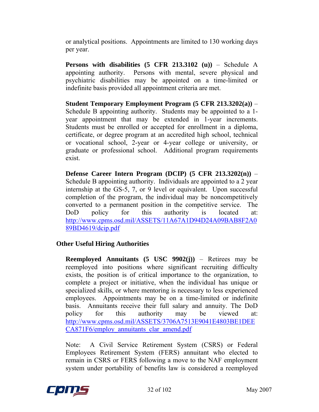or analytical positions. Appointments are limited to 130 working days per year.

**Persons with disabilities (5 CFR 213.3102 (u))** – Schedule A appointing authority. Persons with mental, severe physical and psychiatric disabilities may be appointed on a time-limited or indefinite basis provided all appointment criteria are met.

**Student Temporary Employment Program (5 CFR 213.3202(a))** – Schedule B appointing authority. Students may be appointed to a 1 year appointment that may be extended in 1-year increments. Students must be enrolled or accepted for enrollment in a diploma, certificate, or degree program at an accredited high school, technical or vocational school, 2-year or 4-year college or university, or graduate or professional school. Additional program requirements exist.

**Defense Career Intern Program (DCIP) (5 CFR 213.3202(n))** – Schedule B appointing authority. Individuals are appointed to a 2 year internship at the GS-5, 7, or 9 level or equivalent. Upon successful completion of the program, the individual may be noncompetitively converted to a permanent position in the competitive service. The DoD policy for this authority is located at: [http://www.cpms.osd.mil/ASSETS/11A67A1D94D24A09BAB8F2A0](http://www.cpms.osd.mil/ASSETS/11A67A1D94D24A09BAB8F2A089BD4619/dcip.pdf) [89BD4619/dcip.pdf](http://www.cpms.osd.mil/ASSETS/11A67A1D94D24A09BAB8F2A089BD4619/dcip.pdf) 

#### **Other Useful Hiring Authorities**

**Reemployed Annuitants (5 USC 9902(j))** – Retirees may be reemployed into positions where significant recruiting difficulty exists, the position is of critical importance to the organization, to complete a project or initiative, when the individual has unique or specialized skills, or where mentoring is necessary to less experienced employees. Appointments may be on a time-limited or indefinite basis. Annuitants receive their full salary and annuity. The DoD policy for this authority may be viewed at: [http://www.cpms.osd.mil/ASSETS/3706A7513E9041E4803BE1DEE](http://www.cpms.osd.mil/ASSETS/3706A7513E9041E4803BE1DEECA871F6/employ_annuitants_clar_amend.pdf) CA871F6/employ\_annuitants\_clar\_amend.pdf

Note: A Civil Service Retirement System (CSRS) or Federal Employees Retirement System (FERS) annuitant who elected to remain in CSRS or FERS following a move to the NAF employment system under portability of benefits law is considered a reemployed

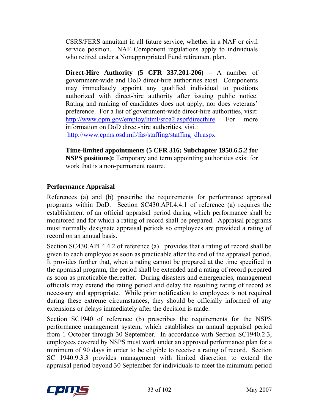<span id="page-32-0"></span>CSRS/FERS annuitant in all future service, whether in a NAF or civil service position. NAF Component regulations apply to individuals who retired under a Nonappropriated Fund retirement plan.

**Direct-Hire Authority (5 CFR 337.201-206) –** A number of government-wide and DoD direct-hire authorities exist. Components may immediately appoint any qualified individual to positions authorized with direct-hire authority after issuing public notice. Rating and ranking of candidates does not apply, nor does veterans' preference. For a list of government-wide direct-hire authorities, visit: <http://www.opm.gov/employ/html/sroa2.asp#directhire>. For more information on DoD direct-hire authorities, visit: [http://www.cpms.osd.mil/fas/staffing/staffing\\_dh.aspx](http://www.cpms.osd.mil/fas/staffing/staffing_dh.aspx)

**Time-limited appointments (5 CFR 316; Subchapter 1950.6.5.2 for NSPS positions):** Temporary and term appointing authorities exist for work that is a non-permanent nature.

# **Performance Appraisal**

References (a) and (b) prescribe the requirements for performance appraisal programs within DoD. Section SC430.API.4.4.1 of reference (a) requires the establishment of an official appraisal period during which performance shall be monitored and for which a rating of record shall be prepared. Appraisal programs must normally designate appraisal periods so employees are provided a rating of record on an annual basis.

Section SC430.API.4.4.2 of reference (a) provides that a rating of record shall be given to each employee as soon as practicable after the end of the appraisal period. It provides further that, when a rating cannot be prepared at the time specified in the appraisal program, the period shall be extended and a rating of record prepared as soon as practicable thereafter. During disasters and emergencies, management officials may extend the rating period and delay the resulting rating of record as necessary and appropriate. While prior notification to employees is not required during these extreme circumstances, they should be officially informed of any extensions or delays immediately after the decision is made.

Section SC1940 of reference (b) prescribes the requirements for the NSPS performance management system, which establishes an annual appraisal period from 1 October through 30 September. In accordance with Section SC1940.2.3, employees covered by NSPS must work under an approved performance plan for a minimum of 90 days in order to be eligible to receive a rating of record. Section SC 1940.9.3.3 provides management with limited discretion to extend the appraisal period beyond 30 September for individuals to meet the minimum period

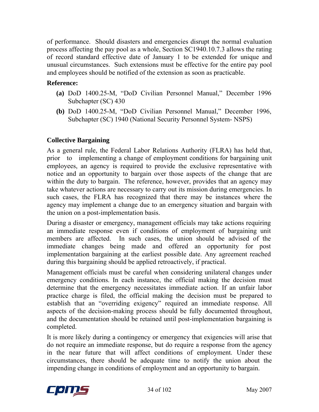<span id="page-33-0"></span>of performance. Should disasters and emergencies disrupt the normal evaluation process affecting the pay pool as a whole, Section SC1940.10.7.3 allows the rating of record standard effective date of January 1 to be extended for unique and unusual circumstances. Such extensions must be effective for the entire pay pool and employees should be notified of the extension as soon as practicable.

# **Reference:**

- **(a)** DoD 1400.25-M, "DoD Civilian Personnel Manual," December 1996 Subchapter (SC) 430
- **(b)** DoD 1400.25-M, "DoD Civilian Personnel Manual," December 1996, Subchapter (SC) 1940 (National Security Personnel System- NSPS)

# **Collective Bargaining**

As a general rule, the Federal Labor Relations Authority (FLRA) has held that, prior to implementing a change of employment conditions for bargaining unit employees, an agency is required to provide the exclusive representative with notice and an opportunity to bargain over those aspects of the change that are within the duty to bargain. The reference, however, provides that an agency may take whatever actions are necessary to carry out its mission during emergencies. In such cases, the FLRA has recognized that there may be instances where the agency may implement a change due to an emergency situation and bargain with the union on a post-implementation basis.

During a disaster or emergency, management officials may take actions requiring an immediate response even if conditions of employment of bargaining unit members are affected. In such cases, the union should be advised of the immediate changes being made and offered an opportunity for post implementation bargaining at the earliest possible date. Any agreement reached during this bargaining should be applied retroactively, if practical.

Management officials must be careful when considering unilateral changes under emergency conditions. In each instance, the official making the decision must determine that the emergency necessitates immediate action. If an unfair labor practice charge is filed, the official making the decision must be prepared to establish that an "overriding exigency" required an immediate response. All aspects of the decision-making process should be fully documented throughout, and the documentation should be retained until post-implementation bargaining is completed.

It is more likely during a contingency or emergency that exigencies will arise that do not require an immediate response, but do require a response from the agency in the near future that will affect conditions of employment. Under these circumstances, there should be adequate time to notify the union about the impending change in conditions of employment and an opportunity to bargain.

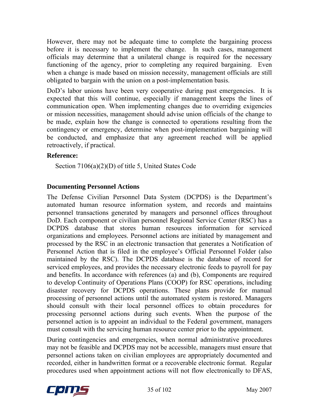<span id="page-34-0"></span>However, there may not be adequate time to complete the bargaining process before it is necessary to implement the change. In such cases, management officials may determine that a unilateral change is required for the necessary functioning of the agency, prior to completing any required bargaining. Even when a change is made based on mission necessity, management officials are still obligated to bargain with the union on a post-implementation basis.

DoD's labor unions have been very cooperative during past emergencies. It is expected that this will continue, especially if management keeps the lines of communication open. When implementing changes due to overriding exigencies or mission necessities, management should advise union officials of the change to be made, explain how the change is connected to operations resulting from the contingency or emergency, determine when post-implementation bargaining will be conducted, and emphasize that any agreement reached will be applied retroactively, if practical.

# **Reference:**

Section 7106(a)(2)(D) of title 5, United States Code

# **Documenting Personnel Actions**

The Defense Civilian Personnel Data System (DCPDS) is the Department's automated human resource information system, and records and maintains personnel transactions generated by managers and personnel offices throughout DoD. Each component or civilian personnel Regional Service Center (RSC) has a DCPDS database that stores human resources information for serviced organizations and employees. Personnel actions are initiated by management and processed by the RSC in an electronic transaction that generates a Notification of Personnel Action that is filed in the employee's Official Personnel Folder (also maintained by the RSC). The DCPDS database is the database of record for serviced employees, and provides the necessary electronic feeds to payroll for pay and benefits. In accordance with references (a) and (b), Components are required to develop Continuity of Operations Plans (COOP) for RSC operations, including disaster recovery for DCPDS operations. These plans provide for manual processing of personnel actions until the automated system is restored. Managers should consult with their local personnel offices to obtain procedures for processing personnel actions during such events. When the purpose of the personnel action is to appoint an individual to the Federal government, managers must consult with the servicing human resource center prior to the appointment.

During contingencies and emergencies, when normal administrative procedures may not be feasible and DCPDS may not be accessible, managers must ensure that personnel actions taken on civilian employees are appropriately documented and recorded, either in handwritten format or a recoverable electronic format. Regular procedures used when appointment actions will not flow electronically to DFAS,

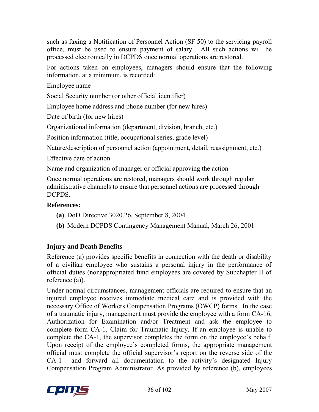<span id="page-35-0"></span>such as faxing a Notification of Personnel Action (SF 50) to the servicing payroll office, must be used to ensure payment of salary. All such actions will be processed electronically in DCPDS once normal operations are restored.

For actions taken on employees, managers should ensure that the following information, at a minimum, is recorded:

Employee name

Social Security number (or other official identifier)

Employee home address and phone number (for new hires)

Date of birth (for new hires)

Organizational information (department, division, branch, etc.)

Position information (title, occupational series, grade level)

Nature/description of personnel action (appointment, detail, reassignment, etc.)

Effective date of action

Name and organization of manager or official approving the action

Once normal operations are restored, managers should work through regular administrative channels to ensure that personnel actions are processed through DCPDS.

# **References:**

- **(a)** DoD Directive 3020.26, September 8, 2004
- **(b)** Modern DCPDS Contingency Management Manual, March 26, 2001

# **Injury and Death Benefits**

Reference (a) provides specific benefits in connection with the death or disability of a civilian employee who sustains a personal injury in the performance of official duties (nonappropriated fund employees are covered by Subchapter II of reference (a)).

Under normal circumstances, management officials are required to ensure that an injured employee receives immediate medical care and is provided with the necessary Office of Workers Compensation Programs (OWCP) forms. In the case of a traumatic injury, management must provide the employee with a form CA-16, Authorization for Examination and/or Treatment and ask the employee to complete form CA-1, Claim for Traumatic Injury. If an employee is unable to complete the CA-1, the supervisor completes the form on the employee's behalf. Upon receipt of the employee's completed forms, the appropriate management official must complete the official supervisor's report on the reverse side of the CA-1 and forward all documentation to the activity's designated Injury Compensation Program Administrator. As provided by reference (b), employees

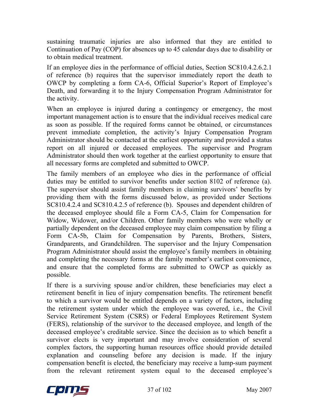sustaining traumatic injuries are also informed that they are entitled to Continuation of Pay (COP) for absences up to 45 calendar days due to disability or to obtain medical treatment.

If an employee dies in the performance of official duties, Section SC810.4.2.6.2.1 of reference (b) requires that the supervisor immediately report the death to OWCP by completing a form CA-6, Official Superior's Report of Employee's Death, and forwarding it to the Injury Compensation Program Administrator for the activity.

When an employee is injured during a contingency or emergency, the most important management action is to ensure that the individual receives medical care as soon as possible. If the required forms cannot be obtained, or circumstances prevent immediate completion, the activity's Injury Compensation Program Administrator should be contacted at the earliest opportunity and provided a status report on all injured or deceased employees. The supervisor and Program Administrator should then work together at the earliest opportunity to ensure that all necessary forms are completed and submitted to OWCP.

The family members of an employee who dies in the performance of official duties may be entitled to survivor benefits under section 8102 of reference (a). The supervisor should assist family members in claiming survivors' benefits by providing them with the forms discussed below, as provided under Sections SC810.4.2.4 and SC810.4.2.5 of reference (b). Spouses and dependent children of the deceased employee should file a Form CA-5, Claim for Compensation for Widow, Widower, and/or Children. Other family members who were wholly or partially dependent on the deceased employee may claim compensation by filing a Form CA-5b, Claim for Compensation by Parents, Brothers, Sisters, Grandparents, and Grandchildren. The supervisor and the Injury Compensation Program Administrator should assist the employee's family members in obtaining and completing the necessary forms at the family member's earliest convenience, and ensure that the completed forms are submitted to OWCP as quickly as possible.

If there is a surviving spouse and/or children, these beneficiaries may elect a retirement benefit in lieu of injury compensation benefits. The retirement benefit to which a survivor would be entitled depends on a variety of factors, including the retirement system under which the employee was covered, i.e., the Civil Service Retirement System (CSRS) or Federal Employees Retirement System (FERS), relationship of the survivor to the deceased employee, and length of the deceased employee's creditable service. Since the decision as to which benefit a survivor elects is very important and may involve consideration of several complex factors, the supporting human resources office should provide detailed explanation and counseling before any decision is made. If the injury compensation benefit is elected, the beneficiary may receive a lump-sum payment from the relevant retirement system equal to the deceased employee's

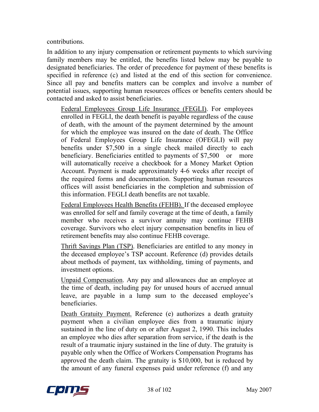contributions.

In addition to any injury compensation or retirement payments to which surviving family members may be entitled, the benefits listed below may be payable to designated beneficiaries. The order of precedence for payment of these benefits is specified in reference (c) and listed at the end of this section for convenience. Since all pay and benefits matters can be complex and involve a number of potential issues, supporting human resources offices or benefits centers should be contacted and asked to assist beneficiaries.

Federal Employees Group Life Insurance (FEGLI). For employees enrolled in FEGLI, the death benefit is payable regardless of the cause of death, with the amount of the payment determined by the amount for which the employee was insured on the date of death. The Office of Federal Employees Group Life Insurance (OFEGLI) will pay benefits under \$7,500 in a single check mailed directly to each beneficiary. Beneficiaries entitled to payments of \$7,500 or more will automatically receive a checkbook for a Money Market Option Account. Payment is made approximately 4-6 weeks after receipt of the required forms and documentation. Supporting human resources offices will assist beneficiaries in the completion and submission of this information. FEGLI death benefits are not taxable.

Federal Employees Health Benefits (FEHB). If the deceased employee was enrolled for self and family coverage at the time of death, a family member who receives a survivor annuity may continue FEHB coverage. Survivors who elect injury compensation benefits in lieu of retirement benefits may also continue FEHB coverage.

Thrift Savings Plan (TSP). Beneficiaries are entitled to any money in the deceased employee's TSP account. Reference (d) provides details about methods of payment, tax withholding, timing of payments, and investment options.

Unpaid Compensation. Any pay and allowances due an employee at the time of death, including pay for unused hours of accrued annual leave, are payable in a lump sum to the deceased employee's beneficiaries.

Death Gratuity Payment. Reference (e) authorizes a death gratuity payment when a civilian employee dies from a traumatic injury sustained in the line of duty on or after August 2, 1990. This includes an employee who dies after separation from service, if the death is the result of a traumatic injury sustained in the line of duty. The gratuity is payable only when the Office of Workers Compensation Programs has approved the death claim. The gratuity is \$10,000, but is reduced by the amount of any funeral expenses paid under reference (f) and any

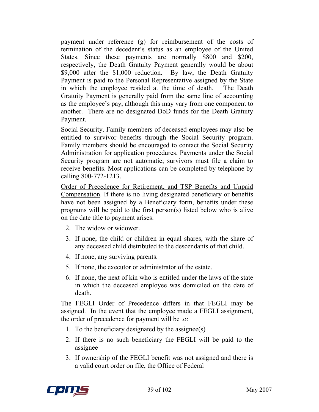payment under reference (g) for reimbursement of the costs of termination of the decedent's status as an employee of the United States. Since these payments are normally \$800 and \$200, respectively, the Death Gratuity Payment generally would be about \$9,000 after the \$1,000 reduction. By law, the Death Gratuity Payment is paid to the Personal Representative assigned by the State in which the employee resided at the time of death. The Death Gratuity Payment is generally paid from the same line of accounting as the employee's pay, although this may vary from one component to another. There are no designated DoD funds for the Death Gratuity Payment.

Social Security. Family members of deceased employees may also be entitled to survivor benefits through the Social Security program. Family members should be encouraged to contact the Social Security Administration for application procedures. Payments under the Social Security program are not automatic; survivors must file a claim to receive benefits. Most applications can be completed by telephone by calling 800-772-1213.

Order of Precedence for Retirement, and TSP Benefits and Unpaid Compensation. If there is no living designated beneficiary or benefits have not been assigned by a Beneficiary form, benefits under these programs will be paid to the first person(s) listed below who is alive on the date title to payment arises:

- 2. The widow or widower.
- 3. If none, the child or children in equal shares, with the share of any deceased child distributed to the descendants of that child.
- 4. If none, any surviving parents.
- 5. If none, the executor or administrator of the estate.
- 6. If none, the next of kin who is entitled under the laws of the state in which the deceased employee was domiciled on the date of death.

The FEGLI Order of Precedence differs in that FEGLI may be assigned. In the event that the employee made a FEGLI assignment, the order of precedence for payment will be to:

- 1. To the beneficiary designated by the assignee(s)
- 2. If there is no such beneficiary the FEGLI will be paid to the assignee
- 3. If ownership of the FEGLI benefit was not assigned and there is a valid court order on file, the Office of Federal

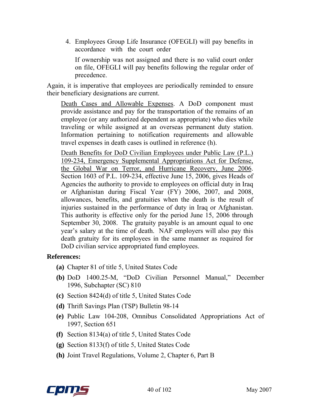4. Employees Group Life Insurance (OFEGLI) will pay benefits in accordance with the court order

If ownership was not assigned and there is no valid court order on file, OFEGLI will pay benefits following the regular order of precedence.

Again, it is imperative that employees are periodically reminded to ensure their beneficiary designations are current.

Death Cases and Allowable Expenses. A DoD component must provide assistance and pay for the transportation of the remains of an employee (or any authorized dependent as appropriate) who dies while traveling or while assigned at an overseas permanent duty station. Information pertaining to notification requirements and allowable travel expenses in death cases is outlined in reference (h).

Death Benefits for DoD Civilian Employees under Public Law (P.L.) 109-234, Emergency Supplemental Appropriations Act for Defense, the Global War on Terror, and Hurricane Recovery, June 2006. Section 1603 of P.L. 109-234, effective June 15, 2006, gives Heads of Agencies the authority to provide to employees on official duty in Iraq or Afghanistan during Fiscal Year (FY) 2006, 2007, and 2008, allowances, benefits, and gratuities when the death is the result of injuries sustained in the performance of duty in Iraq or Afghanistan. This authority is effective only for the period June 15, 2006 through September 30, 2008. The gratuity payable is an amount equal to one year's salary at the time of death. NAF employers will also pay this death gratuity for its employees in the same manner as required for DoD civilian service appropriated fund employees.

#### **References:**

- **(a)** Chapter 81 of title 5, United States Code
- **(b)** DoD 1400.25-M, "DoD Civilian Personnel Manual," December 1996, Subchapter (SC) 810
- **(c)** Section 8424(d) of title 5, United States Code
- **(d)** Thrift Savings Plan (TSP) Bulletin 98-14
- **(e)** Public Law 104-208, Omnibus Consolidated Appropriations Act of 1997, Section 651
- **(f)** Section 8134(a) of title 5, United States Code
- **(g)** Section 8133(f) of title 5, United States Code
- **(h)** Joint Travel Regulations, Volume 2, Chapter 6, Part B

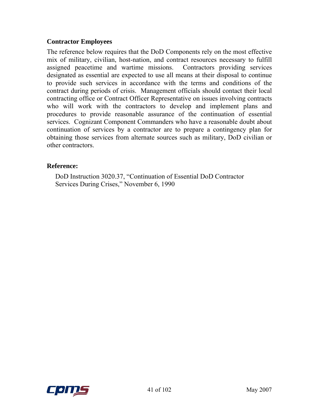#### **Contractor Employees**

The reference below requires that the DoD Components rely on the most effective mix of military, civilian, host-nation, and contract resources necessary to fulfill assigned peacetime and wartime missions. Contractors providing services designated as essential are expected to use all means at their disposal to continue to provide such services in accordance with the terms and conditions of the contract during periods of crisis. Management officials should contact their local contracting office or Contract Officer Representative on issues involving contracts who will work with the contractors to develop and implement plans and procedures to provide reasonable assurance of the continuation of essential services. Cognizant Component Commanders who have a reasonable doubt about continuation of services by a contractor are to prepare a contingency plan for obtaining those services from alternate sources such as military, DoD civilian or other contractors.

#### **Reference:**

DoD Instruction 3020.37, "Continuation of Essential DoD Contractor Services During Crises," November 6, 1990

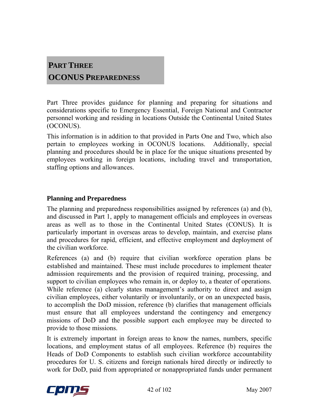# **PART THREE OCONUS PREPAREDNESS**

Part Three provides guidance for planning and preparing for situations and considerations specific to Emergency Essential, Foreign National and Contractor personnel working and residing in locations Outside the Continental United States (OCONUS).

This information is in addition to that provided in Parts One and Two, which also pertain to employees working in OCONUS locations. Additionally, special planning and procedures should be in place for the unique situations presented by employees working in foreign locations, including travel and transportation, staffing options and allowances.

## **Planning and Preparedness**

The planning and preparedness responsibilities assigned by references (a) and (b), and discussed in Part 1, apply to management officials and employees in overseas areas as well as to those in the Continental United States (CONUS). It is particularly important in overseas areas to develop, maintain, and exercise plans and procedures for rapid, efficient, and effective employment and deployment of the civilian workforce.

References (a) and (b) require that civilian workforce operation plans be established and maintained. These must include procedures to implement theater admission requirements and the provision of required training, processing, and support to civilian employees who remain in, or deploy to, a theater of operations. While reference (a) clearly states management's authority to direct and assign civilian employees, either voluntarily or involuntarily, or on an unexpected basis, to accomplish the DoD mission, reference (b) clarifies that management officials must ensure that all employees understand the contingency and emergency missions of DoD and the possible support each employee may be directed to provide to those missions.

It is extremely important in foreign areas to know the names, numbers, specific locations, and employment status of all employees. Reference (b) requires the Heads of DoD Components to establish such civilian workforce accountability procedures for U. S. citizens and foreign nationals hired directly or indirectly to work for DoD, paid from appropriated or nonappropriated funds under permanent

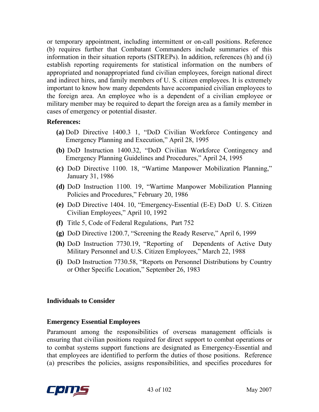or temporary appointment, including intermittent or on-call positions. Reference (b) requires further that Combatant Commanders include summaries of this information in their situation reports (SITREPs). In addition, references (h) and (i) establish reporting requirements for statistical information on the numbers of appropriated and nonappropriated fund civilian employees, foreign national direct and indirect hires, and family members of U. S. citizen employees. It is extremely important to know how many dependents have accompanied civilian employees to the foreign area. An employee who is a dependent of a civilian employee or military member may be required to depart the foreign area as a family member in cases of emergency or potential disaster.

#### **References:**

- **(a)** DoD Directive 1400.3 1, "DoD Civilian Workforce Contingency and Emergency Planning and Execution," April 28, 1995
- **(b)** DoD Instruction 1400.32, "DoD Civilian Workforce Contingency and Emergency Planning Guidelines and Procedures," April 24, 1995
- **(c)** DoD Directive 1100. 18, "Wartime Manpower Mobilization Planning," January 31, 1986
- **(d)** DoD Instruction 1100. 19, "Wartime Manpower Mobilization Planning Policies and Procedures," February 20, 1986
- **(e)** DoD Directive 1404. 10, "Emergency-Essential (E-E) DoD U. S. Citizen Civilian Employees," April 10, 1992
- **(f)** Title 5, Code of Federal Regulations, Part 752
- **(g)** DoD Directive 1200.7, "Screening the Ready Reserve," April 6, 1999
- **(h)** DoD Instruction 7730.19, "Reporting of Dependents of Active Duty Military Personnel and U.S. Citizen Employees," March 22, 1988
- **(i)** DoD Instruction 7730.58, "Reports on Personnel Distributions by Country or Other Specific Location," September 26, 1983

#### **Individuals to Consider**

#### **Emergency Essential Employees**

Paramount among the responsibilities of overseas management officials is ensuring that civilian positions required for direct support to combat operations or to combat systems support functions are designated as Emergency-Essential and that employees are identified to perform the duties of those positions. Reference (a) prescribes the policies, assigns responsibilities, and specifies procedures for

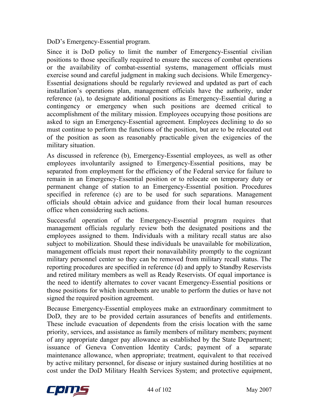DoD's Emergency-Essential program.

Since it is DoD policy to limit the number of Emergency-Essential civilian positions to those specifically required to ensure the success of combat operations or the availability of combat-essential systems, management officials must exercise sound and careful judgment in making such decisions. While Emergency-Essential designations should be regularly reviewed and updated as part of each installation's operations plan, management officials have the authority, under reference (a), to designate additional positions as Emergency-Essential during a contingency or emergency when such positions are deemed critical to accomplishment of the military mission. Employees occupying those positions are asked to sign an Emergency-Essential agreement. Employees declining to do so must continue to perform the functions of the position, but are to be relocated out of the position as soon as reasonably practicable given the exigencies of the military situation.

As discussed in reference (b), Emergency-Essential employees, as well as other employees involuntarily assigned to Emergency-Essential positions, may be separated from employment for the efficiency of the Federal service for failure to remain in an Emergency-Essential position or to relocate on temporary duty or permanent change of station to an Emergency-Essential position. Procedures specified in reference (c) are to be used for such separations. Management officials should obtain advice and guidance from their local human resources office when considering such actions.

Successful operation of the Emergency-Essential program requires that management officials regularly review both the designated positions and the employees assigned to them. Individuals with a military recall status are also subject to mobilization. Should these individuals be unavailable for mobilization, management officials must report their nonavailability promptly to the cognizant military personnel center so they can be removed from military recall status. The reporting procedures are specified in reference (d) and apply to Standby Reservists and retired military members as well as Ready Reservists. Of equal importance is the need to identify alternates to cover vacant Emergency-Essential positions or those positions for which incumbents are unable to perform the duties or have not signed the required position agreement.

Because Emergency-Essential employees make an extraordinary commitment to DoD, they are to be provided certain assurances of benefits and entitlements. These include evacuation of dependents from the crisis location with the same priority, services, and assistance as family members of military members; payment of any appropriate danger pay allowance as established by the State Department; issuance of Geneva Convention Identity Cards; payment of a separate maintenance allowance, when appropriate; treatment, equivalent to that received by active military personnel, for disease or injury sustained during hostilities at no cost under the DoD Military Health Services System; and protective equipment,

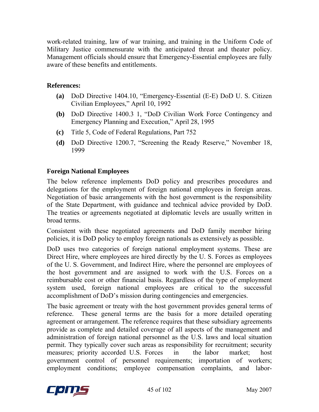work-related training, law of war training, and training in the Uniform Code of Military Justice commensurate with the anticipated threat and theater policy. Management officials should ensure that Emergency-Essential employees are fully aware of these benefits and entitlements.

# **References:**

- **(a)** DoD Directive 1404.10, "Emergency-Essential (E-E) DoD U. S. Citizen Civilian Employees," April 10, 1992
- **(b)** DoD Directive 1400.3 1, "DoD Civilian Work Force Contingency and Emergency Planning and Execution," April 28, 1995
- **(c)** Title 5, Code of Federal Regulations, Part 752
- **(d)** DoD Directive 1200.7, "Screening the Ready Reserve," November 18, 1999

# **Foreign National Employees**

The below reference implements DoD policy and prescribes procedures and delegations for the employment of foreign national employees in foreign areas. Negotiation of basic arrangements with the host government is the responsibility of the State Department, with guidance and technical advice provided by DoD. The treaties or agreements negotiated at diplomatic levels are usually written in broad terms.

Consistent with these negotiated agreements and DoD family member hiring policies, it is DoD policy to employ foreign nationals as extensively as possible.

DoD uses two categories of foreign national employment systems. These are Direct Hire, where employees are hired directly by the U. S. Forces as employees of the U. S. Government, and Indirect Hire, where the personnel are employees of the host government and are assigned to work with the U.S. Forces on a reimbursable cost or other financial basis. Regardless of the type of employment system used, foreign national employees are critical to the successful accomplishment of DoD's mission during contingencies and emergencies.

The basic agreement or treaty with the host government provides general terms of reference. These general terms are the basis for a more detailed operating agreement or arrangement. The reference requires that these subsidiary agreements provide as complete and detailed coverage of all aspects of the management and administration of foreign national personnel as the U.S. laws and local situation permit. They typically cover such areas as responsibility for recruitment; security measures; priority accorded U.S. Forces in the labor market; host government control of personnel requirements; importation of workers; employment conditions; employee compensation complaints, and labor-

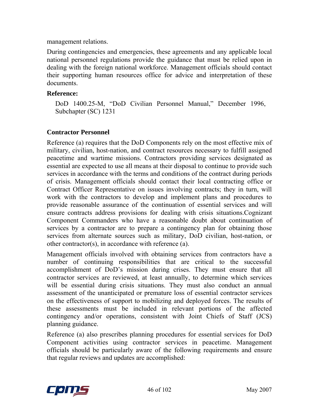management relations.

During contingencies and emergencies, these agreements and any applicable local national personnel regulations provide the guidance that must be relied upon in dealing with the foreign national workforce. Management officials should contact their supporting human resources office for advice and interpretation of these documents.

### **Reference:**

 DoD 1400.25-M, "DoD Civilian Personnel Manual," December 1996, Subchapter (SC) 1231

# **Contractor Personnel**

Reference (a) requires that the DoD Components rely on the most effective mix of military, civilian, host-nation, and contract resources necessary to fulfill assigned peacetime and wartime missions. Contractors providing services designated as essential are expected to use all means at their disposal to continue to provide such services in accordance with the terms and conditions of the contract during periods of crisis. Management officials should contact their local contracting office or Contract Officer Representative on issues involving contracts; they in turn, will work with the contractors to develop and implement plans and procedures to provide reasonable assurance of the continuation of essential services and will ensure contracts address provisions for dealing with crisis situations.Cognizant Component Commanders who have a reasonable doubt about continuation of services by a contractor are to prepare a contingency plan for obtaining those services from alternate sources such as military, DoD civilian, host-nation, or other contractor(s), in accordance with reference (a).

Management officials involved with obtaining services from contractors have a number of continuing responsibilities that are critical to the successful accomplishment of DoD's mission during crises. They must ensure that all contractor services are reviewed, at least annually, to determine which services will be essential during crisis situations. They must also conduct an annual assessment of the unanticipated or premature loss of essential contractor services on the effectiveness of support to mobilizing and deployed forces. The results of these assessments must be included in relevant portions of the affected contingency and/or operations, consistent with Joint Chiefs of Staff (JCS) planning guidance.

Reference (a) also prescribes planning procedures for essential services for DoD Component activities using contractor services in peacetime. Management officials should be particularly aware of the following requirements and ensure that regular reviews and updates are accomplished:

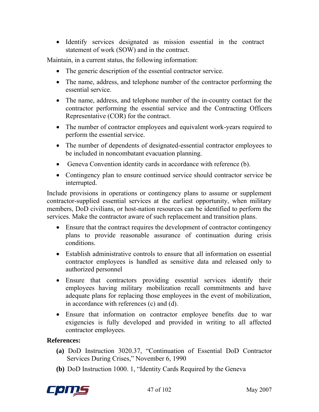• Identify services designated as mission essential in the contract statement of work (SOW) and in the contract.

Maintain, in a current status, the following information:

- The generic description of the essential contractor service.
- The name, address, and telephone number of the contractor performing the essential service.
- The name, address, and telephone number of the in-country contact for the contractor performing the essential service and the Contracting Officers Representative (COR) for the contract.
- The number of contractor employees and equivalent work-years required to perform the essential service.
- The number of dependents of designated-essential contractor employees to be included in noncombatant evacuation planning.
- Geneva Convention identity cards in accordance with reference (b).
- Contingency plan to ensure continued service should contractor service be interrupted.

Include provisions in operations or contingency plans to assume or supplement contractor-supplied essential services at the earliest opportunity, when military members, DoD civilians, or host-nation resources can be identified to perform the services. Make the contractor aware of such replacement and transition plans.

- Ensure that the contract requires the development of contractor contingency plans to provide reasonable assurance of continuation during crisis conditions.
- Establish administrative controls to ensure that all information on essential contractor employees is handled as sensitive data and released only to authorized personnel
- Ensure that contractors providing essential services identify their employees having military mobilization recall commitments and have adequate plans for replacing those employees in the event of mobilization, in accordance with references (c) and (d).
- Ensure that information on contractor employee benefits due to war exigencies is fully developed and provided in writing to all affected contractor employees.

# **References:**

- **(a)** DoD Instruction 3020.37, "Continuation of Essential DoD Contractor Services During Crises," November 6, 1990
- **(b)** DoD Instruction 1000. 1, "Identity Cards Required by the Geneva

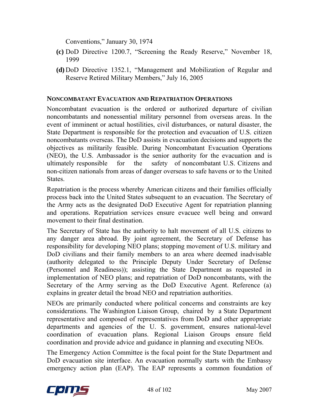Conventions," January 30, 1974

- **(c)** DoD Directive 1200.7, "Screening the Ready Reserve," November 18, 1999
- **(d)** DoD Directive 1352.1, "Management and Mobilization of Regular and Reserve Retired Military Members," July 16, 2005

#### **NONCOMBATANT EVACUATION AND REPATRIATION OPERATIONS**

Noncombatant evacuation is the ordered or authorized departure of civilian noncombatants and nonessential military personnel from overseas areas. In the event of imminent or actual hostilities, civil disturbances, or natural disaster, the State Department is responsible for the protection and evacuation of U.S. citizen noncombatants overseas. The DoD assists in evacuation decisions and supports the objectives as militarily feasible. During Noncombatant Evacuation Operations (NEO), the U.S. Ambassador is the senior authority for the evacuation and is ultimately responsible for the safety of noncombatant U.S. Citizens and non-citizen nationals from areas of danger overseas to safe havens or to the United States.

Repatriation is the process whereby American citizens and their families officially process back into the United States subsequent to an evacuation. The Secretary of the Army acts as the designated DoD Executive Agent for repatriation planning and operations. Repatriation services ensure evacuee well being and onward movement to their final destination.

The Secretary of State has the authority to halt movement of all U.S. citizens to any danger area abroad. By joint agreement, the Secretary of Defense has responsibility for developing NEO plans; stopping movement of U.S. military and DoD civilians and their family members to an area where deemed inadvisable (authority delegated to the Principle Deputy Under Secretary of Defense (Personnel and Readiness)); assisting the State Department as requested in implementation of NEO plans; and repatriation of DoD noncombatants, with the Secretary of the Army serving as the DoD Executive Agent. Reference (a) explains in greater detail the broad NEO and repatriation authorities.

NEOs are primarily conducted where political concerns and constraints are key considerations. The Washington Liaison Group, chaired by a State Department representative and composed of representatives from DoD and other appropriate departments and agencies of the U. S. government, ensures national-level coordination of evacuation plans. Regional Liaison Groups ensure field coordination and provide advice and guidance in planning and executing NEOs.

The Emergency Action Committee is the focal point for the State Department and DoD evacuation site interface. An evacuation normally starts with the Embassy emergency action plan (EAP). The EAP represents a common foundation of

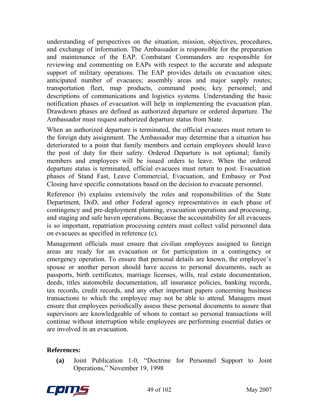understanding of perspectives on the situation, mission, objectives, procedures, and exchange of information. The Ambassador is responsible for the preparation and maintenance of the EAP. Combatant Commanders are responsible for reviewing and commenting on EAPs with respect to the accurate and adequate support of military operations. The EAP provides details on evacuation sites; anticipated number of evacuees; assembly areas and major supply routes; transportation fleet, map products, command posts; key personnel; and descriptions of communications and logistics systems. Understanding the basic notification phases of evacuation will help in implementing the evacuation plan. Drawdown phases are defined as authorized departure or ordered departure. The Ambassador must request authorized departure status from State.

When an authorized departure is terminated, the official evacuees must return to the foreign duty assignment. The Ambassador may determine that a situation has deteriorated to a point that family members and certain employees should leave the post of duty for their safety. Ordered Departure is not optional; family members and employees will be issued orders to leave. When the ordered departure status is terminated, official evacuees must return to post. Evacuation phases of Stand Fast, Leave Commercial, Evacuation, and Embassy or Post Closing have specific connotations based on the decision to evacuate personnel.

Reference (b) explains extensively the roles and responsibilities of the State Department, DoD, and other Federal agency representatives in each phase of contingency and pre-deployment planning, evacuation operations and processing, and staging and safe haven operations. Because the accountability for all evacuees is so important, repatriation processing centers must collect valid personnel data on evacuees as specified in reference (c).

Management officials must ensure that civilian employees assigned to foreign areas are ready for an evacuation or for participation in a contingency or emergency operation. To ensure that personal details are known, the employee's spouse or another person should have access to personal documents, such as passports, birth certificates, marriage licenses, wills, real estate documentation, deeds, titles automobile documentation, all insurance policies, banking records, tax records, credit records, and any other important papers concerning business transactions to which the employee may not be able to attend. Managers must ensure that employees periodically assess these personal documents to assure that supervisors are knowledgeable of whom to contact so personal transactions will continue without interruption while employees are performing essential duties or are involved in an evacuation.

# **References:**

**(a)** Joint Publication 1-0, "Doctrine for Personnel Support to Joint Operations," November 19, 1998

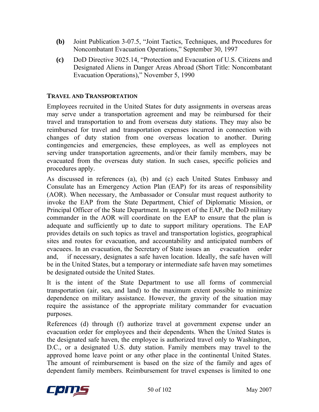- **(b)** Joint Publication 3-07.5, "Joint Tactics, Techniques, and Procedures for Noncombatant Evacuation Operations," September 30, 1997
- **(c)** DoD Directive 3025.14, "Protection and Evacuation of U.S. Citizens and Designated Aliens in Danger Areas Abroad (Short Title: Noncombatant Evacuation Operations)," November 5, 1990

### **TRAVEL AND TRANSPORTATION**

Employees recruited in the United States for duty assignments in overseas areas may serve under a transportation agreement and may be reimbursed for their travel and transportation to and from overseas duty stations. They may also be reimbursed for travel and transportation expenses incurred in connection with changes of duty station from one overseas location to another. During contingencies and emergencies, these employees, as well as employees not serving under transportation agreements, and/or their family members, may be evacuated from the overseas duty station. In such cases, specific policies and procedures apply.

As discussed in references (a), (b) and (c) each United States Embassy and Consulate has an Emergency Action Plan (EAP) for its areas of responsibility (AOR). When necessary, the Ambassador or Consular must request authority to invoke the EAP from the State Department, Chief of Diplomatic Mission, or Principal Officer of the State Department. In support of the EAP, the DoD military commander in the AOR will coordinate on the EAP to ensure that the plan is adequate and sufficiently up to date to support military operations. The EAP provides details on such topics as travel and transportation logistics, geographical sites and routes for evacuation, and accountability and anticipated numbers of evacuees. In an evacuation, the Secretary of State issues an evacuation order and, if necessary, designates a safe haven location. Ideally, the safe haven will be in the United States, but a temporary or intermediate safe haven may sometimes be designated outside the United States.

It is the intent of the State Department to use all forms of commercial transportation (air, sea, and land) to the maximum extent possible to minimize dependence on military assistance. However, the gravity of the situation may require the assistance of the appropriate military commander for evacuation purposes.

References (d) through (f) authorize travel at government expense under an evacuation order for employees and their dependents. When the United States is the designated safe haven, the employee is authorized travel only to Washington, D.C., or a designated U.S. duty station. Family members may travel to the approved home leave point or any other place in the continental United States. The amount of reimbursement is based on the size of the family and ages of dependent family members. Reimbursement for travel expenses is limited to one

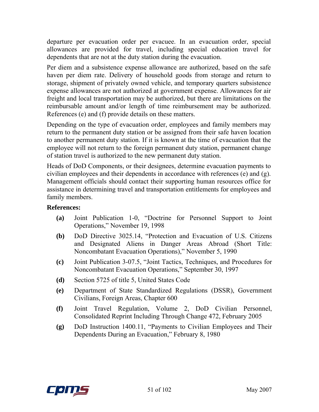departure per evacuation order per evacuee. In an evacuation order, special allowances are provided for travel, including special education travel for dependents that are not at the duty station during the evacuation.

Per diem and a subsistence expense allowance are authorized, based on the safe haven per diem rate. Delivery of household goods from storage and return to storage, shipment of privately owned vehicle, and temporary quarters subsistence expense allowances are not authorized at government expense. Allowances for air freight and local transportation may be authorized, but there are limitations on the reimbursable amount and/or length of time reimbursement may be authorized. References (e) and (f) provide details on these matters.

Depending on the type of evacuation order, employees and family members may return to the permanent duty station or be assigned from their safe haven location to another permanent duty station. If it is known at the time of evacuation that the employee will not return to the foreign permanent duty station, permanent change of station travel is authorized to the new permanent duty station.

Heads of DoD Components, or their designees, determine evacuation payments to civilian employees and their dependents in accordance with references (e) and (g). Management officials should contact their supporting human resources office for assistance in determining travel and transportation entitlements for employees and family members.

#### **References:**

- **(a)** Joint Publication 1-0, "Doctrine for Personnel Support to Joint Operations," November 19, 1998
- **(b)** DoD Directive 3025.14, "Protection and Evacuation of U.S. Citizens and Designated Aliens in Danger Areas Abroad (Short Title: Noncombatant Evacuation Operations)," November 5, 1990
- **(c)** Joint Publication 3-07.5, "Joint Tactics, Techniques, and Procedures for Noncombatant Evacuation Operations," September 30, 1997
- **(d)** Section 5725 of title 5, United States Code
- **(e)** Department of State Standardized Regulations (DSSR), Government Civilians, Foreign Areas, Chapter 600
- **(f)** Joint Travel Regulation, Volume 2, DoD Civilian Personnel, Consolidated Reprint Including Through Change 472, February 2005
- **(g)** DoD Instruction 1400.11, "Payments to Civilian Employees and Their Dependents During an Evacuation," February 8, 1980

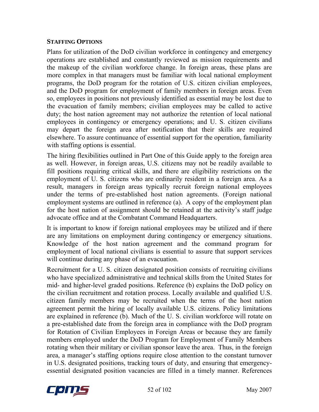#### **STAFFING OPTIONS**

Plans for utilization of the DoD civilian workforce in contingency and emergency operations are established and constantly reviewed as mission requirements and the makeup of the civilian workforce change. In foreign areas, these plans are more complex in that managers must be familiar with local national employment programs, the DoD program for the rotation of U.S. citizen civilian employees, and the DoD program for employment of family members in foreign areas. Even so, employees in positions not previously identified as essential may be lost due to the evacuation of family members; civilian employees may be called to active duty; the host nation agreement may not authorize the retention of local national employees in contingency or emergency operations; and U. S. citizen civilians may depart the foreign area after notification that their skills are required elsewhere. To assure continuance of essential support for the operation, familiarity with staffing options is essential.

The hiring flexibilities outlined in Part One of this Guide apply to the foreign area as well. However, in foreign areas, U.S. citizens may not be readily available to fill positions requiring critical skills, and there are eligibility restrictions on the employment of U. S. citizens who are ordinarily resident in a foreign area. As a result, managers in foreign areas typically recruit foreign national employees under the terms of pre-established host nation agreements. (Foreign national employment systems are outlined in reference (a). A copy of the employment plan for the host nation of assignment should be retained at the activity's staff judge advocate office and at the Combatant Command Headquarters.

It is important to know if foreign national employees may be utilized and if there are any limitations on employment during contingency or emergency situations. Knowledge of the host nation agreement and the command program for employment of local national civilians is essential to assure that support services will continue during any phase of an evacuation.

Recruitment for a U. S. citizen designated position consists of recruiting civilians who have specialized administrative and technical skills from the United States for mid- and higher-level graded positions. Reference (b) explains the DoD policy on the civilian recruitment and rotation process. Locally available and qualified U.S. citizen family members may be recruited when the terms of the host nation agreement permit the hiring of locally available U.S. citizens. Policy limitations are explained in reference (b). Much of the U. S. civilian workforce will rotate on a pre-established date from the foreign area in compliance with the DoD program for Rotation of Civilian Employees in Foreign Areas or because they are family members employed under the DoD Program for Employment of Family Members rotating when their military or civilian sponsor leave the area. Thus, in the foreign area, a manager's staffing options require close attention to the constant turnover in U.S. designated positions, tracking tours of duty, and ensuring that emergencyessential designated position vacancies are filled in a timely manner. References

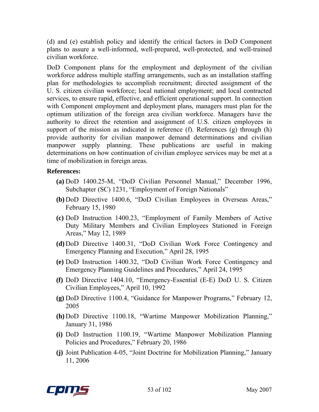(d) and (e) establish policy and identify the critical factors in DoD Component plans to assure a well-informed, well-prepared, well-protected, and well-trained civilian workforce.

DoD Component plans for the employment and deployment of the civilian workforce address multiple staffing arrangements, such as an installation staffing plan for methodologies to accomplish recruitment; directed assignment of the U. S. citizen civilian workforce; local national employment; and local contracted services, to ensure rapid, effective, and efficient operational support. In connection with Component employment and deployment plans, managers must plan for the optimum utilization of the foreign area civilian workforce. Managers have the authority to direct the retention and assignment of U.S. citizen employees in support of the mission as indicated in reference (f). References (g) through (h) provide authority for civilian manpower demand determinations and civilian manpower supply planning. These publications are useful in making determinations on how continuation of civilian employee services may be met at a time of mobilization in foreign areas.

#### **References:**

- **(a)** DoD 1400.25-M, "DoD Civilian Personnel Manual," December 1996, Subchapter (SC) 1231, "Employment of Foreign Nationals"
- **(b)** DoD Directive 1400.6, "DoD Civilian Employees in Overseas Areas," February 15, 1980
- **(c)** DoD Instruction 1400.23, "Employment of Family Members of Active Duty Military Members and Civilian Employees Stationed in Foreign Areas," May 12, 1989
- **(d)** DoD Directive 1400.31, "DoD Civilian Work Force Contingency and Emergency Planning and Execution," April 28, 1995
- **(e)** DoD Instruction 1400.32, "DoD Civilian Work Force Contingency and Emergency Planning Guidelines and Procedures," April 24, 1995
- **(f)** DoD Directive 1404.10, "Emergency-Essential (E-E) DoD U. S. Citizen Civilian Employees," April 10, 1992
- **(g)** DoD Directive 1100.4, "Guidance for Manpower Programs," February 12, 2005
- **(h)** DoD Directive 1100.18, "Wartime Manpower Mobilization Planning," January 31, 1986
- **(i)** DoD Instruction 1100.19, "Wartime Manpower Mobilization Planning Policies and Procedures," February 20, 1986
- **(j)** Joint Publication 4-05, "Joint Doctrine for Mobilization Planning," January 11, 2006

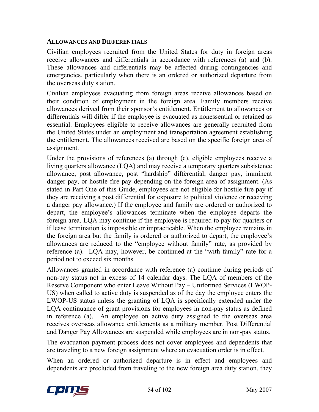#### **ALLOWANCES AND DIFFERENTIALS**

Civilian employees recruited from the United States for duty in foreign areas receive allowances and differentials in accordance with references (a) and (b). These allowances and differentials may be affected during contingencies and emergencies, particularly when there is an ordered or authorized departure from the overseas duty station.

Civilian employees evacuating from foreign areas receive allowances based on their condition of employment in the foreign area. Family members receive allowances derived from their sponsor's entitlement. Entitlement to allowances or differentials will differ if the employee is evacuated as nonessential or retained as essential. Employees eligible to receive allowances are generally recruited from the United States under an employment and transportation agreement establishing the entitlement. The allowances received are based on the specific foreign area of assignment.

Under the provisions of references (a) through (c), eligible employees receive a living quarters allowance (LQA) and may receive a temporary quarters subsistence allowance, post allowance, post "hardship" differential, danger pay, imminent danger pay, or hostile fire pay depending on the foreign area of assignment. (As stated in Part One of this Guide, employees are not eligible for hostile fire pay if they are receiving a post differential for exposure to political violence or receiving a danger pay allowance.) If the employee and family are ordered or authorized to depart, the employee's allowances terminate when the employee departs the foreign area. LQA may continue if the employee is required to pay for quarters or if lease termination is impossible or impracticable. When the employee remains in the foreign area but the family is ordered or authorized to depart, the employee's allowances are reduced to the "employee without family" rate, as provided by reference (a). LQA may, however, be continued at the "with family" rate for a period not to exceed six months.

Allowances granted in accordance with reference (a) continue during periods of non-pay status not in excess of 14 calendar days. The LQA of members of the Reserve Component who enter Leave Without Pay – Uniformed Services (LWOP-US) when called to active duty is suspended as of the day the employee enters the LWOP-US status unless the granting of LQA is specifically extended under the LQA continuance of grant provisions for employees in non-pay status as defined in reference (a). An employee on active duty assigned to the overseas area receives overseas allowance entitlements as a military member. Post Differential and Danger Pay Allowances are suspended while employees are in non-pay status.

The evacuation payment process does not cover employees and dependents that are traveling to a new foreign assignment where an evacuation order is in effect.

When an ordered or authorized departure is in effect and employees and dependents are precluded from traveling to the new foreign area duty station, they

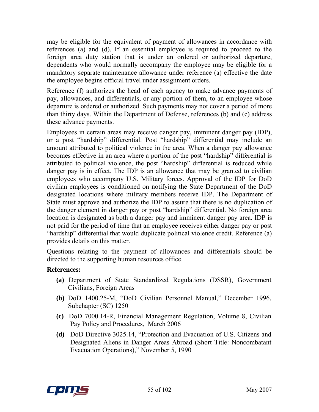may be eligible for the equivalent of payment of allowances in accordance with references (a) and (d). If an essential employee is required to proceed to the foreign area duty station that is under an ordered or authorized departure, dependents who would normally accompany the employee may be eligible for a mandatory separate maintenance allowance under reference (a) effective the date the employee begins official travel under assignment orders.

Reference (f) authorizes the head of each agency to make advance payments of pay, allowances, and differentials, or any portion of them, to an employee whose departure is ordered or authorized. Such payments may not cover a period of more than thirty days. Within the Department of Defense, references (b) and (c) address these advance payments.

Employees in certain areas may receive danger pay, imminent danger pay (IDP), or a post "hardship" differential. Post "hardship" differential may include an amount attributed to political violence in the area. When a danger pay allowance becomes effective in an area where a portion of the post "hardship" differential is attributed to political violence, the post "hardship" differential is reduced while danger pay is in effect. The IDP is an allowance that may be granted to civilian employees who accompany U.S. Military forces. Approval of the IDP for DoD civilian employees is conditioned on notifying the State Department of the DoD designated locations where military members receive IDP. The Department of State must approve and authorize the IDP to assure that there is no duplication of the danger element in danger pay or post "hardship" differential. No foreign area location is designated as both a danger pay and imminent danger pay area. IDP is not paid for the period of time that an employee receives either danger pay or post "hardship" differential that would duplicate political violence credit. Reference (a) provides details on this matter.

Questions relating to the payment of allowances and differentials should be directed to the supporting human resources office.

# **References:**

- **(a)** Department of State Standardized Regulations (DSSR), Government Civilians, Foreign Areas
- **(b)** DoD 1400.25-M, "DoD Civilian Personnel Manual," December 1996, Subchapter (SC) 1250
- **(c)** DoD 7000.14-R, Financial Management Regulation, Volume 8, Civilian Pay Policy and Procedures, March 2006
- **(d)** DoD Directive 3025.14, "Protection and Evacuation of U.S. Citizens and Designated Aliens in Danger Areas Abroad (Short Title: Noncombatant Evacuation Operations)," November 5, 1990

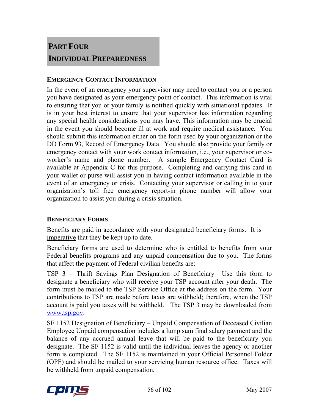# **PART FOUR INDIVIDUAL PREPAREDNESS**

#### **EMERGENCY CONTACT INFORMATION**

In the event of an emergency your supervisor may need to contact you or a person you have designated as your emergency point of contact. This information is vital to ensuring that you or your family is notified quickly with situational updates. It is in your best interest to ensure that your supervisor has information regarding any special health considerations you may have. This information may be crucial in the event you should become ill at work and require medical assistance. You should submit this information either on the form used by your organization or the DD Form 93, Record of Emergency Data. You should also provide your family or emergency contact with your work contact information, i.e., your supervisor or coworker's name and phone number. A sample Emergency Contact Card is available at Appendix C for this purpose. Completing and carrying this card in your wallet or purse will assist you in having contact information available in the event of an emergency or crisis. Contacting your supervisor or calling in to your organization's toll free emergency report-in phone number will allow your organization to assist you during a crisis situation.

#### **BENEFICIARY FORMS**

Benefits are paid in accordance with your designated beneficiary forms. It is imperative that they be kept up to date.

Beneficiary forms are used to determine who is entitled to benefits from your Federal benefits programs and any unpaid compensation due to you. The forms that affect the payment of Federal civilian benefits are:

TSP 3 – Thrift Savings Plan Designation of Beneficiary Use this form to designate a beneficiary who will receive your TSP account after your death. The form must be mailed to the TSP Service Office at the address on the form. Your contributions to TSP are made before taxes are withheld; therefore, when the TSP account is paid you taxes will be withheld. The TSP 3 may be downloaded from www.tsp.gov.

SF 1152 Designation of Beneficiary – Unpaid Compensation of Deceased Civilian Employee Unpaid compensation includes a lump sum final salary payment and the balance of any accrued annual leave that will be paid to the beneficiary you designate. The SF 1152 is valid until the individual leaves the agency or another form is completed. The SF 1152 is maintained in your Official Personnel Folder (OPF) and should be mailed to your servicing human resource office. Taxes will be withheld from unpaid compensation.

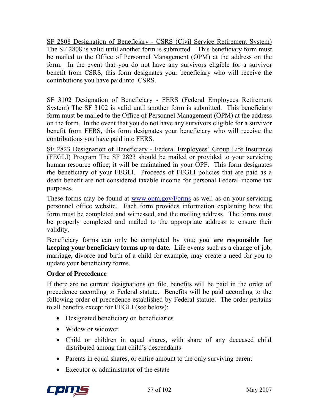SF 2808 Designation of Beneficiary - CSRS (Civil Service Retirement System) The SF 2808 is valid until another form is submitted. This beneficiary form must be mailed to the Office of Personnel Management (OPM) at the address on the form. In the event that you do not have any survivors eligible for a survivor benefit from CSRS, this form designates your beneficiary who will receive the contributions you have paid into CSRS.

SF 3102 Designation of Beneficiary - FERS (Federal Employees Retirement System) The SF 3102 is valid until another form is submitted. This beneficiary form must be mailed to the Office of Personnel Management (OPM) at the address on the form. In the event that you do not have any survivors eligible for a survivor benefit from FERS, this form designates your beneficiary who will receive the contributions you have paid into FERS.

SF 2823 Designation of Beneficiary - Federal Employees' Group Life Insurance (FEGLI) Program The SF 2823 should be mailed or provided to your servicing human resource office; it will be maintained in your OPF. This form designates the beneficiary of your FEGLI. Proceeds of FEGLI policies that are paid as a death benefit are not considered taxable income for personal Federal income tax purposes.

These forms may be found at www.opm.gov/Forms as well as on your servicing personnel office website. Each form provides information explaining how the form must be completed and witnessed, and the mailing address. The forms must be properly completed and mailed to the appropriate address to ensure their validity.

Beneficiary forms can only be completed by you; **you are responsible for keeping your beneficiary forms up to date**. Life events such as a change of job, marriage, divorce and birth of a child for example, may create a need for you to update your beneficiary forms.

# **Order of Precedence**

If there are no current designations on file, benefits will be paid in the order of precedence according to Federal statute. Benefits will be paid according to the following order of precedence established by Federal statute. The order pertains to all benefits except for FEGLI (see below):

- Designated beneficiary or beneficiaries
- Widow or widower
- Child or children in equal shares, with share of any deceased child distributed among that child's descendants
- Parents in equal shares, or entire amount to the only surviving parent
- Executor or administrator of the estate

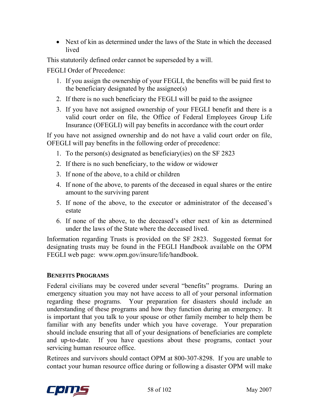• Next of kin as determined under the laws of the State in which the deceased lived

This statutorily defined order cannot be superseded by a will.

FEGLI Order of Precedence:

- 1. If you assign the ownership of your FEGLI, the benefits will be paid first to the beneficiary designated by the assignee(s)
- 2. If there is no such beneficiary the FEGLI will be paid to the assignee
- 3. If you have not assigned ownership of your FEGLI benefit and there is a valid court order on file, the Office of Federal Employees Group Life Insurance (OFEGLI) will pay benefits in accordance with the court order

If you have not assigned ownership and do not have a valid court order on file, OFEGLI will pay benefits in the following order of precedence:

- 1. To the person(s) designated as beneficiary(ies) on the SF 2823
- 2. If there is no such beneficiary, to the widow or widower
- 3. If none of the above, to a child or children
- 4. If none of the above, to parents of the deceased in equal shares or the entire amount to the surviving parent
- 5. If none of the above, to the executor or administrator of the deceased's estate
- 6. If none of the above, to the deceased's other next of kin as determined under the laws of the State where the deceased lived.

Information regarding Trusts is provided on the SF 2823. Suggested format for designating trusts may be found in the FEGLI Handbook available on the OPM FEGLI web page: www.opm.gov/insure/life/handbook.

# **BENEFITS PROGRAMS**

Federal civilians may be covered under several "benefits" programs. During an emergency situation you may not have access to all of your personal information regarding these programs. Your preparation for disasters should include an understanding of these programs and how they function during an emergency. It is important that you talk to your spouse or other family member to help them be familiar with any benefits under which you have coverage. Your preparation should include ensuring that all of your designations of beneficiaries are complete and up-to-date. If you have questions about these programs, contact your servicing human resource office.

Retirees and survivors should contact OPM at 800-307-8298. If you are unable to contact your human resource office during or following a disaster OPM will make

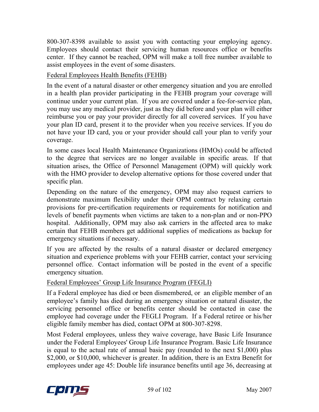800-307-8398 available to assist you with contacting your employing agency. Employees should contact their servicing human resources office or benefits center. If they cannot be reached, OPM will make a toll free number available to assist employees in the event of some disasters.

# Federal Employees Health Benefits (FEHB)

In the event of a natural disaster or other emergency situation and you are enrolled in a health plan provider participating in the FEHB program your coverage will continue under your current plan. If you are covered under a fee-for-service plan, you may use any medical provider, just as they did before and your plan will either reimburse you or pay your provider directly for all covered services. If you have your plan ID card, present it to the provider when you receive services. If you do not have your ID card, you or your provider should call your plan to verify your coverage.

In some cases local Health Maintenance Organizations (HMOs) could be affected to the degree that services are no longer available in specific areas. If that situation arises, the Office of Personnel Management (OPM) will quickly work with the HMO provider to develop alternative options for those covered under that specific plan.

Depending on the nature of the emergency, OPM may also request carriers to demonstrate maximum flexibility under their OPM contract by relaxing certain provisions for pre-certification requirements or requirements for notification and levels of benefit payments when victims are taken to a non-plan and or non-PPO hospital. Additionally, OPM may also ask carriers in the affected area to make certain that FEHB members get additional supplies of medications as backup for emergency situations if necessary.

If you are affected by the results of a natural disaster or declared emergency situation and experience problems with your FEHB carrier, contact your servicing personnel office. Contact information will be posted in the event of a specific emergency situation.

# Federal Employees' Group Life Insurance Program (FEGLI)

If a Federal employee has died or been dismembered, or an eligible member of an employee's family has died during an emergency situation or natural disaster, the servicing personnel office or benefits center should be contacted in case the employee had coverage under the FEGLI Program. If a Federal retiree or his/her eligible family member has died, contact OPM at 800-307-8298.

Most Federal employees, unless they waive coverage, have Basic Life Insurance under the Federal Employees' Group Life Insurance Program. Basic Life Insurance is equal to the actual rate of annual basic pay (rounded to the next \$1,000) plus \$2,000, or \$10,000, whichever is greater. In addition, there is an Extra Benefit for employees under age 45: Double life insurance benefits until age 36, decreasing at

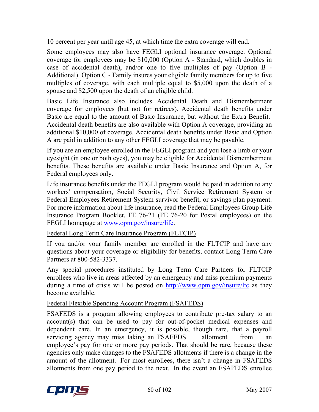10 percent per year until age 45, at which time the extra coverage will end.

Some employees may also have FEGLI optional insurance coverage. Optional coverage for employees may be \$10,000 (Option A - Standard, which doubles in case of accidental death), and/or one to five multiples of pay (Option B - Additional). Option C - Family insures your eligible family members for up to five multiples of coverage, with each multiple equal to \$5,000 upon the death of a spouse and \$2,500 upon the death of an eligible child.

Basic Life Insurance also includes Accidental Death and Dismemberment coverage for employees (but not for retirees). Accidental death benefits under Basic are equal to the amount of Basic Insurance, but without the Extra Benefit. Accidental death benefits are also available with Option A coverage, providing an additional \$10,000 of coverage. Accidental death benefits under Basic and Option A are paid in addition to any other FEGLI coverage that may be payable.

If you are an employee enrolled in the FEGLI program and you lose a limb or your eyesight (in one or both eyes), you may be eligible for Accidental Dismemberment benefits. These benefits are available under Basic Insurance and Option A, for Federal employees only.

Life insurance benefits under the FEGLI program would be paid in addition to any workers' compensation, Social Security, Civil Service Retirement System or Federal Employees Retirement System survivor benefit, or savings plan payment. For more information about life insurance, read the Federal Employees Group Life Insurance Program Booklet, FE 76-21 (FE 76-20 for Postal employees) on the FEGLI homepage at www.opm.gov/insure/life.

Federal Long Term Care Insurance Program (FLTCIP)

If you and/or your family member are enrolled in the FLTCIP and have any questions about your coverage or eligibility for benefits, contact Long Term Care Partners at 800-582-3337.

Any special procedures instituted by Long Term Care Partners for FLTCIP enrollees who live in areas affected by an emergency and miss premium payments during a time of crisis will be posted on <http://www.opm.gov/insure/ltc> as they become available.

# Federal Flexible Spending Account Program (FSAFEDS)

FSAFEDS is a program allowing employees to contribute pre-tax salary to an account(s) that can be used to pay for out-of-pocket medical expenses and dependent care. In an emergency, it is possible, though rare, that a payroll servicing agency may miss taking an FSAFEDS allotment from an employee's pay for one or more pay periods. That should be rare, because these agencies only make changes to the FSAFEDS allotments if there is a change in the amount of the allotment. For most enrollees, there isn't a change in FSAFEDS allotments from one pay period to the next. In the event an FSAFEDS enrollee

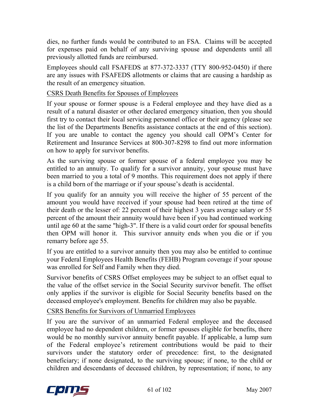dies, no further funds would be contributed to an FSA. Claims will be accepted for expenses paid on behalf of any surviving spouse and dependents until all previously allotted funds are reimbursed.

Employees should call FSAFEDS at 877-372-3337 (TTY 800-952-0450) if there are any issues with FSAFEDS allotments or claims that are causing a hardship as the result of an emergency situation.

### CSRS Death Benefits for Spouses of Employees

If your spouse or former spouse is a Federal employee and they have died as a result of a natural disaster or other declared emergency situation, then you should first try to contact their local servicing personnel office or their agency (please see the list of the Departments Benefits assistance contacts at the end of this section). If you are unable to contact the agency you should call OPM's Center for Retirement and Insurance Services at 800-307-8298 to find out more information on how to apply for survivor benefits.

As the surviving spouse or former spouse of a federal employee you may be entitled to an annuity. To qualify for a survivor annuity, your spouse must have been married to you a total of 9 months. This requirement does not apply if there is a child born of the marriage or if your spouse's death is accidental.

If you qualify for an annuity you will receive the higher of 55 percent of the amount you would have received if your spouse had been retired at the time of their death or the lesser of: 22 percent of their highest 3 years average salary or 55 percent of the amount their annuity would have been if you had continued working until age 60 at the same "high-3". If there is a valid court order for spousal benefits then OPM will honor it. This survivor annuity ends when you die or if you remarry before age 55.

If you are entitled to a survivor annuity then you may also be entitled to continue your Federal Employees Health Benefits (FEHB) Program coverage if your spouse was enrolled for Self and Family when they died.

Survivor benefits of CSRS Offset employees may be subject to an offset equal to the value of the offset service in the Social Security survivor benefit. The offset only applies if the survivor is eligible for Social Security benefits based on the deceased employee's employment. Benefits for children may also be payable.

#### CSRS Benefits for Survivors of Unmarried Employees

If you are the survivor of an unmarried Federal employee and the deceased employee had no dependent children, or former spouses eligible for benefits, there would be no monthly survivor annuity benefit payable. If applicable, a lump sum of the Federal employee's retirement contributions would be paid to their survivors under the statutory order of precedence: first, to the designated beneficiary; if none designated, to the surviving spouse; if none, to the child or children and descendants of deceased children, by representation; if none, to any

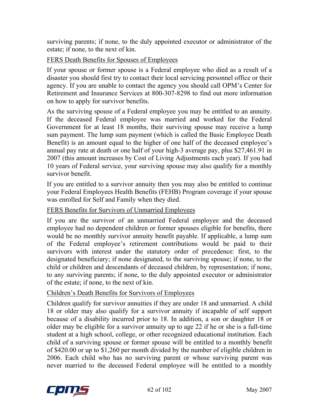surviving parents; if none, to the duly appointed executor or administrator of the estate; if none, to the next of kin.

# FERS Death Benefits for Spouses of Employees

If your spouse or former spouse is a Federal employee who died as a result of a disaster you should first try to contact their local servicing personnel office or their agency. If you are unable to contact the agency you should call OPM's Center for Retirement and Insurance Services at 800-307-8298 to find out more information on how to apply for survivor benefits.

As the surviving spouse of a Federal employee you may be entitled to an annuity. If the deceased Federal employee was married and worked for the Federal Government for at least 18 months, their surviving spouse may receive a lump sum payment. The lump sum payment (which is called the Basic Employee Death Benefit) is an amount equal to the higher of one half of the deceased employee's annual pay rate at death or one half of your high-3 average pay, plus \$27,461.91 in 2007 (this amount increases by Cost of Living Adjustments each year). If you had 10 years of Federal service, your surviving spouse may also qualify for a monthly survivor benefit.

If you are entitled to a survivor annuity then you may also be entitled to continue your Federal Employees Health Benefits (FEHB) Program coverage if your spouse was enrolled for Self and Family when they died.

#### FERS Benefits for Survivors of Unmarried Employees

If you are the survivor of an unmarried Federal employee and the deceased employee had no dependent children or former spouses eligible for benefits, there would be no monthly survivor annuity benefit payable. If applicable, a lump sum of the Federal employee's retirement contributions would be paid to their survivors with interest under the statutory order of precedence: first, to the designated beneficiary; if none designated, to the surviving spouse; if none, to the child or children and descendants of deceased children, by representation; if none, to any surviving parents; if none, to the duly appointed executor or administrator of the estate; if none, to the next of kin.

#### Children's Death Benefits for Survivors of Employees

Children qualify for survivor annuities if they are under 18 and unmarried. A child 18 or older may also qualify for a survivor annuity if incapable of self support because of a disability incurred prior to 18. In addition, a son or daughter 18 or older may be eligible for a survivor annuity up to age 22 if he or she is a full-time student at a high school, college, or other recognized educational institution. Each child of a surviving spouse or former spouse will be entitled to a monthly benefit of \$420.00 or up to \$1,260 per month divided by the number of eligible children in 2006. Each child who has no surviving parent or whose surviving parent was never married to the deceased Federal employee will be entitled to a monthly

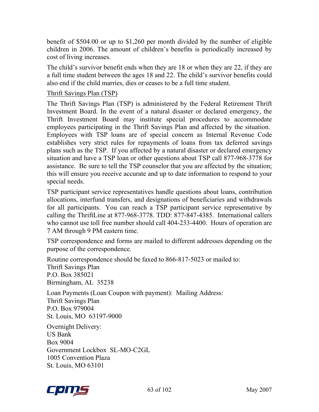benefit of \$504.00 or up to \$1,260 per month divided by the number of eligible children in 2006. The amount of children's benefits is periodically increased by cost of living increases.

The child's survivor benefit ends when they are 18 or when they are 22, if they are a full time student between the ages 18 and 22. The child's survivor benefits could also end if the child marries, dies or ceases to be a full time student.

### Thrift Savings Plan (TSP)

The Thrift Savings Plan (TSP) is administered by the Federal Retirement Thrift Investment Board. In the event of a natural disaster or declared emergency, the Thrift Investment Board may institute special procedures to accommodate employees participating in the Thrift Savings Plan and affected by the situation. Employees with TSP loans are of special concern as Internal Revenue Code establishes very strict rules for repayments of loans from tax deferred savings plans such as the TSP. If you affected by a natural disaster or declared emergency situation and have a TSP loan or other questions about TSP call 877-968-3778 for assistance. Be sure to tell the TSP counselor that you are affected by the situation; this will ensure you receive accurate and up to date information to respond to your special needs.

TSP participant service representatives handle questions about loans, contribution allocations, interfund transfers, and designations of beneficiaries and withdrawals for all participants. You can reach a TSP participant service representative by calling the ThriftLine at 877-968-3778. TDD: 877-847-4385. International callers who cannot use toll free number should call 404-233-4400. Hours of operation are 7 AM through 9 PM eastern time.

TSP correspondence and forms are mailed to different addresses depending on the purpose of the correspondence.

Routine correspondence should be faxed to 866-817-5023 or mailed to: Thrift Savings Plan P.O. Box 385021 Birmingham, AL 35238

Loan Payments (Loan Coupon with payment): Mailing Address: Thrift Savings Plan P.O. Box 979004 St. Louis, MO 63197-9000

Overnight Delivery: US Bank Box 9004 Government Lockbox SL-MO-C2GL 1005 Convention Plaza St. Louis, MO 63101

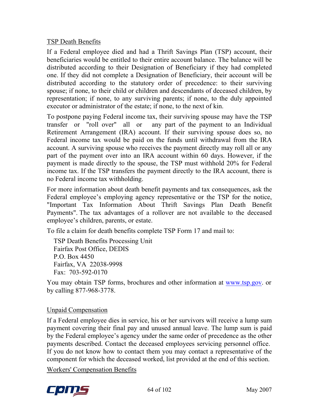# TSP Death Benefits

If a Federal employee died and had a Thrift Savings Plan (TSP) account, their beneficiaries would be entitled to their entire account balance. The balance will be distributed according to their Designation of Beneficiary if they had completed one. If they did not complete a Designation of Beneficiary, their account will be distributed according to the statutory order of precedence: to their surviving spouse; if none, to their child or children and descendants of deceased children, by representation; if none, to any surviving parents; if none, to the duly appointed executor or administrator of the estate; if none, to the next of kin.

To postpone paying Federal income tax, their surviving spouse may have the TSP transfer or "roll over" all or any part of the payment to an Individual Retirement Arrangement (IRA) account. If their surviving spouse does so, no Federal income tax would be paid on the funds until withdrawal from the IRA account. A surviving spouse who receives the payment directly may roll all or any part of the payment over into an IRA account within 60 days. However, if the payment is made directly to the spouse, the TSP must withhold 20% for Federal income tax. If the TSP transfers the payment directly to the IRA account, there is no Federal income tax withholding.

For more information about death benefit payments and tax consequences, ask the Federal employee's employing agency representative or the TSP for the notice, "Important Tax Information About Thrift Savings Plan Death Benefit Payments". The tax advantages of a rollover are not available to the deceased employee's children, parents, or estate.

To file a claim for death benefits complete TSP Form 17 and mail to:

TSP Death Benefits Processing Unit Fairfax Post Office, DEDIS P.O. Box 4450 Fairfax, VA 22038-9998 Fax: 703-592-0170

You may obtain TSP forms, brochures and other information at www.tsp.gov. or by calling 877-968-3778.

#### Unpaid Compensation

If a Federal employee dies in service, his or her survivors will receive a lump sum payment covering their final pay and unused annual leave. The lump sum is paid by the Federal employee's agency under the same order of precedence as the other payments described. Contact the deceased employees servicing personnel office. If you do not know how to contact them you may contact a representative of the component for which the deceased worked, list provided at the end of this section.

Workers' Compensation Benefits

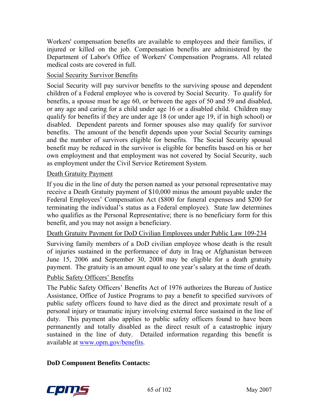Workers' compensation benefits are available to employees and their families, if injured or killed on the job. Compensation benefits are administered by the Department of Labor's Office of Workers' Compensation Programs. All related medical costs are covered in full.

# Social Security Survivor Benefits

Social Security will pay survivor benefits to the surviving spouse and dependent children of a Federal employee who is covered by Social Security. To qualify for benefits, a spouse must be age 60, or between the ages of 50 and 59 and disabled, or any age and caring for a child under age 16 or a disabled child. Children may qualify for benefits if they are under age 18 (or under age 19, if in high school) or disabled. Dependent parents and former spouses also may qualify for survivor benefits. The amount of the benefit depends upon your Social Security earnings and the number of survivors eligible for benefits. The Social Security spousal benefit may be reduced in the survivor is eligible for benefits based on his or her own employment and that employment was not covered by Social Security, such as employment under the Civil Service Retirement System.

# Death Gratuity Payment

If you die in the line of duty the person named as your personal representative may receive a Death Gratuity payment of \$10,000 minus the amount payable under the Federal Employees' Compensation Act (\$800 for funeral expenses and \$200 for terminating the individual's status as a Federal employee). State law determines who qualifies as the Personal Representative; there is no beneficiary form for this benefit, and you may not assign a beneficiary.

# Death Gratuity Payment for DoD Civilian Employees under Public Law 109-234

Surviving family members of a DoD civilian employee whose death is the result of injuries sustained in the performance of duty in Iraq or Afghanistan between June 15, 2006 and September 30, 2008 may be eligible for a death gratuity payment. The gratuity is an amount equal to one year's salary at the time of death.

# Public Safety Officers' Benefits

The Public Safety Officers' Benefits Act of 1976 authorizes the Bureau of Justice Assistance, Office of Justice Programs to pay a benefit to specified survivors of public safety officers found to have died as the direct and proximate result of a personal injury or traumatic injury involving external force sustained in the line of duty. This payment also applies to public safety officers found to have been permanently and totally disabled as the direct result of a catastrophic injury sustained in the line of duty. Detailed information regarding this benefit is available at [www.opm.gov/benefits.](http://www.opm.gov/benefits)

# **DoD Component Benefits Contacts:**

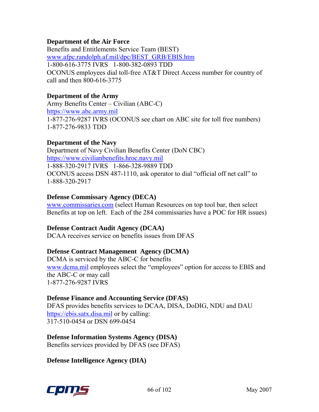#### **Department of the Air Force**

Benefits and Entitlements Service Team (BEST) [www.afpc.randolph.af.mil/dpc/BEST\\_GRB/EBIS.htm](http://www.afpc.randolph.af.mil/dpc/BEST_GRB/EBIS.htm)  1-800-616-3775 IVRS 1-800-382-0893 TDD OCONUS employees dial toll-free AT&T Direct Access number for country of call and then 800-616-3775

#### **Department of the Army**

Army Benefits Center – Civilian (ABC-C) [https://www.abc.army.mil](https://www.abc.army.mil/) 1-877-276-9287 IVRS (OCONUS see chart on ABC site for toll free numbers) 1-877-276-9833 TDD

#### **Department of the Navy**

Department of Navy Civilian Benefits Center (DoN CBC) [https://www.civilianbenefits.hroc.navy.mil](https://www.civilianbenefits.hroc.navy.mil/) 1-888-320-2917 IVRS 1-866-328-9889 TDD OCONUS access DSN 487-1110, ask operator to dial "official off net call" to 1-888-320-2917

#### **Defense Commissary Agency (DECA)**

[www.commissaries.com](http://www.commissaries.com/) (select Human Resources on top tool bar, then select Benefits at top on left. Each of the 284 commissaries have a POC for HR issues)

#### **Defense Contract Audit Agency (DCAA)**

DCAA receives service on benefits issues from DFAS

#### **Defense Contract Management Agency (DCMA)**

DCMA is serviced by the ABC-C for benefits [www.dcma.mil](http://www.dcma.mil/) employees select the "employees" option for access to EBIS and the ABC-C or may call 1-877-276-9287 IVRS

#### **Defense Finance and Accounting Service (DFAS)**

DFAS provides benefits services to DCAA, DISA, DoDIG, NDU and DAU [https://ebis.satx.disa.mil](https://ebis.satx.disa.mil/) or by calling: 317-510-0454 or DSN 699-0454

#### **Defense Information Systems Agency (DISA)**

Benefits services provided by DFAS (see DFAS)

**Defense Intelligence Agency (DIA)** 

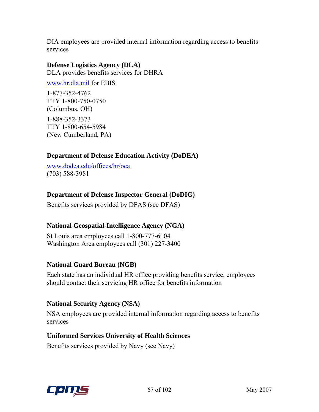DIA employees are provided internal information regarding access to benefits services

**Defense Logistics Agency (DLA)**  DLA provides benefits services for DHRA [www.hr.dla.mil](http://www.hr.dla.mil/) for EBIS 1-877-352-4762 TTY 1-800-750-0750 (Columbus, OH) 1-888-352-3373 TTY 1-800-654-5984 (New Cumberland, PA)

## **Department of Defense Education Activity (DoDEA)**

[www.dodea.edu/offices/hr/oca](http://www.dodea.edu/offices/hr/oca) (703) 588-3981

## **Department of Defense Inspector General (DoDIG)**

Benefits services provided by DFAS (see DFAS)

# **National Geospatial-Intelligence Agency (NGA)**

St Louis area employees call 1-800-777-6104 Washington Area employees call (301) 227-3400

# **National Guard Bureau (NGB)**

Each state has an individual HR office providing benefits service, employees should contact their servicing HR office for benefits information

# **National Security Agency (NSA)**

NSA employees are provided internal information regarding access to benefits services

#### **Uniformed Services University of Health Sciences**

Benefits services provided by Navy (see Navy)

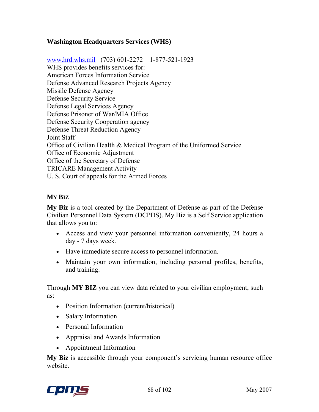## **Washington Headquarters Services (WHS)**

[www.hrd.whs.mil](http://www.hrd.whs.mil/) (703) 601-2272 1-877-521-1923 WHS provides benefits services for: American Forces Information Service Defense Advanced Research Projects Agency Missile Defense Agency Defense Security Service Defense Legal Services Agency Defense Prisoner of War/MIA Office Defense Security Cooperation agency Defense Threat Reduction Agency Joint Staff Office of Civilian Health & Medical Program of the Uniformed Service Office of Economic Adjustment Office of the Secretary of Defense TRICARE Management Activity U. S. Court of appeals for the Armed Forces

## **MY BIZ**

**My Biz** is a tool created by the Department of Defense as part of the Defense Civilian Personnel Data System (DCPDS). My Biz is a Self Service application that allows you to:

- Access and view your personnel information conveniently, 24 hours a day - 7 days week.
- Have immediate secure access to personnel information.
- Maintain your own information, including personal profiles, benefits, and training.

Through **MY BIZ** you can view data related to your civilian employment, such as:

- Position Information (current/historical)
- Salary Information
- Personal Information
- Appraisal and Awards Information
- Appointment Information

**My Biz** is accessible through your component's servicing human resource office website.

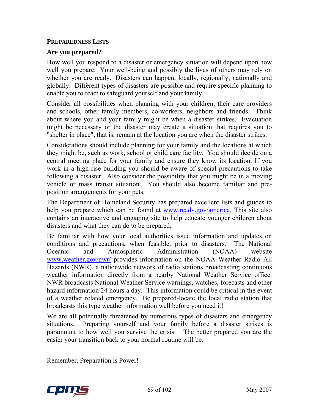#### **PREPAREDNESS LISTS**

#### **Are you prepared?**

How well you respond to a disaster or emergency situation will depend upon how well you prepare. Your well-being and possibly the lives of others may rely on whether you are ready. Disasters can happen, locally, regionally, nationally and globally. Different types of disasters are possible and require specific planning to enable you to react to safeguard yourself and your family.

Consider all possibilities when planning with your children, their care providers and schools, other family members, co-workers, neighbors and friends. Think about where you and your family might be when a disaster strikes. Evacuation might be necessary or the disaster may create a situation that requires you to "shelter in place", that is, remain at the location you are when the disaster strikes.

Considerations should include planning for your family and the locations at which they might be, such as work, school or child care facility. You should decide on a central meeting place for your family and ensure they know its location. If you work in a high-rise building you should be aware of special precautions to take following a disaster. Also consider the possibility that you might be in a moving vehicle or mass transit situation. You should also become familiar and preposition arrangements for your pets.

The Department of Homeland Security has prepared excellent lists and guides to help you prepare which can be found at www.ready.gov/america. This site also contains an interactive and engaging site to help educate younger children about disasters and what they can do to be prepared.

Be familiar with how your local authorities issue information and updates on conditions and precautions, when feasible, prior to disasters. The National Oceanic and Atmospheric Administration (NOAA) website www.weather.gov/nwr/ provides information on the NOAA Weather Radio All Hazards (NWR), a nationwide network of radio stations broadcasting continuous weather information directly from a nearby National Weather Service office. NWR broadcasts National Weather Service warnings, watches, forecasts and other hazard information 24 hours a day. This information could be critical in the event of a weather related emergency. Be prepared-locate the local radio station that broadcasts this type weather information well before you need it!

We are all potentially threatened by numerous types of disasters and emergency situations. Preparing yourself and your family before a disaster strikes is paramount to how well you survive the crisis. The better prepared you are the easier your transition back to your normal routine will be.

Remember, Preparation is Power!

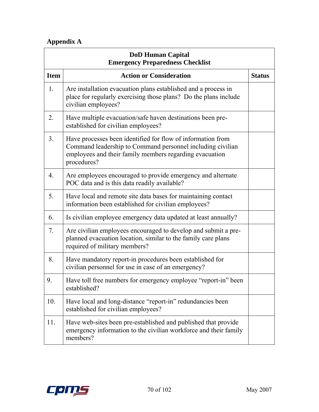# **Appendix A**

| <b>DoD Human Capital</b><br><b>Emergency Preparedness Checklist</b> |                                                                                                                                                                                                     |               |  |
|---------------------------------------------------------------------|-----------------------------------------------------------------------------------------------------------------------------------------------------------------------------------------------------|---------------|--|
| <b>Item</b>                                                         | <b>Action or Consideration</b>                                                                                                                                                                      | <b>Status</b> |  |
| 1 <sub>1</sub>                                                      | Are installation evacuation plans established and a process in<br>place for regularly exercising those plans? Do the plans include<br>civilian employees?                                           |               |  |
| 2.                                                                  | Have multiple evacuation/safe haven destinations been pre-<br>established for civilian employees?                                                                                                   |               |  |
| 3.                                                                  | Have processes been identified for flow of information from<br>Command leadership to Command personnel including civilian<br>employees and their family members regarding evacuation<br>procedures? |               |  |
| 4.                                                                  | Are employees encouraged to provide emergency and alternate<br>POC data and is this data readily available?                                                                                         |               |  |
| 5.                                                                  | Have local and remote site data bases for maintaining contact<br>information been established for civilian employees?                                                                               |               |  |
| 6.                                                                  | Is civilian employee emergency data updated at least annually?                                                                                                                                      |               |  |
| 7.                                                                  | Are civilian employees encouraged to develop and submit a pre-<br>planned evacuation location, similar to the family care plans<br>required of military members?                                    |               |  |
| 8.                                                                  | Have mandatory report-in procedures been established for<br>civilian personnel for use in case of an emergency?                                                                                     |               |  |
| 9.                                                                  | Have toll free numbers for emergency employee "report-in" been<br>established?                                                                                                                      |               |  |
| 10.                                                                 | Have local and long-distance "report-in" redundancies been<br>established for civilian employees?                                                                                                   |               |  |
| 11.                                                                 | Have web-sites been pre-established and published that provide<br>emergency information to the civilian workforce and their family<br>members?                                                      |               |  |

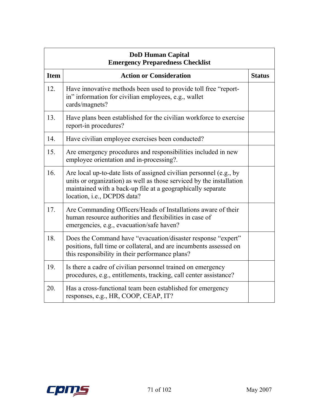| <b>DoD Human Capital</b><br><b>Emergency Preparedness Checklist</b> |                                                                                                                                                                                                                                           |               |  |
|---------------------------------------------------------------------|-------------------------------------------------------------------------------------------------------------------------------------------------------------------------------------------------------------------------------------------|---------------|--|
| <b>Item</b>                                                         | <b>Action or Consideration</b>                                                                                                                                                                                                            | <b>Status</b> |  |
| 12.                                                                 | Have innovative methods been used to provide toll free "report-<br>in" information for civilian employees, e.g., wallet<br>cards/magnets?                                                                                                 |               |  |
| 13.                                                                 | Have plans been established for the civilian workforce to exercise<br>report-in procedures?                                                                                                                                               |               |  |
| 14.                                                                 | Have civilian employee exercises been conducted?                                                                                                                                                                                          |               |  |
| 15.                                                                 | Are emergency procedures and responsibilities included in new<br>employee orientation and in-processing?.                                                                                                                                 |               |  |
| 16.                                                                 | Are local up-to-date lists of assigned civilian personnel (e.g., by<br>units or organization) as well as those serviced by the installation<br>maintained with a back-up file at a geographically separate<br>location, i.e., DCPDS data? |               |  |
| 17.                                                                 | Are Commanding Officers/Heads of Installations aware of their<br>human resource authorities and flexibilities in case of<br>emergencies, e.g., evacuation/safe haven?                                                                     |               |  |
| 18.                                                                 | Does the Command have "evacuation/disaster response "expert"<br>positions, full time or collateral, and are incumbents assessed on<br>this responsibility in their performance plans?                                                     |               |  |
| 19.                                                                 | Is there a cadre of civilian personnel trained on emergency<br>procedures, e.g., entitlements, tracking, call center assistance?                                                                                                          |               |  |
| 20.                                                                 | Has a cross-functional team been established for emergency<br>responses, e.g., HR, COOP, CEAP, IT?                                                                                                                                        |               |  |

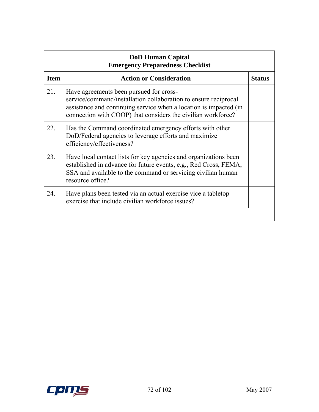| <b>DoD Human Capital</b><br><b>Emergency Preparedness Checklist</b> |                                                                                                                                                                                                                                                 |               |  |  |
|---------------------------------------------------------------------|-------------------------------------------------------------------------------------------------------------------------------------------------------------------------------------------------------------------------------------------------|---------------|--|--|
| <b>Item</b>                                                         | <b>Action or Consideration</b>                                                                                                                                                                                                                  | <b>Status</b> |  |  |
| 21.                                                                 | Have agreements been pursued for cross-<br>service/command/installation collaboration to ensure reciprocal<br>assistance and continuing service when a location is impacted (in<br>connection with COOP) that considers the civilian workforce? |               |  |  |
| 22.                                                                 | Has the Command coordinated emergency efforts with other<br>DoD/Federal agencies to leverage efforts and maximize<br>efficiency/effectiveness?                                                                                                  |               |  |  |
| 23.                                                                 | Have local contact lists for key agencies and organizations been<br>established in advance for future events, e.g., Red Cross, FEMA,<br>SSA and available to the command or servicing civilian human<br>resource office?                        |               |  |  |
| 24.                                                                 | Have plans been tested via an actual exercise vice a tabletop<br>exercise that include civilian workforce issues?                                                                                                                               |               |  |  |
|                                                                     |                                                                                                                                                                                                                                                 |               |  |  |

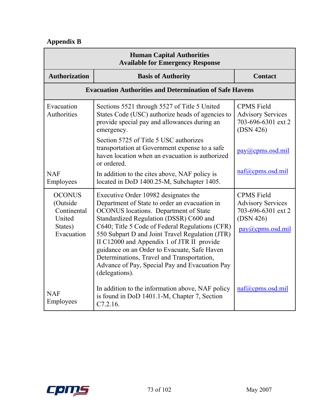# **Appendix B**

| <b>Human Capital Authorities</b><br><b>Available for Emergency Response</b> |                                                                                                                                                                                                                                                                                                                                                                                                                                                                                                        |                                                                                                      |  |  |
|-----------------------------------------------------------------------------|--------------------------------------------------------------------------------------------------------------------------------------------------------------------------------------------------------------------------------------------------------------------------------------------------------------------------------------------------------------------------------------------------------------------------------------------------------------------------------------------------------|------------------------------------------------------------------------------------------------------|--|--|
| <b>Authorization</b>                                                        | <b>Basis of Authority</b>                                                                                                                                                                                                                                                                                                                                                                                                                                                                              | <b>Contact</b>                                                                                       |  |  |
|                                                                             | <b>Evacuation Authorities and Determination of Safe Havens</b>                                                                                                                                                                                                                                                                                                                                                                                                                                         |                                                                                                      |  |  |
| Evacuation<br><b>Authorities</b>                                            | Sections 5521 through 5527 of Title 5 United<br>States Code (USC) authorize heads of agencies to<br>provide special pay and allowances during an<br>emergency.                                                                                                                                                                                                                                                                                                                                         | <b>CPMS Field</b><br><b>Advisory Services</b><br>703-696-6301 ext 2<br>(DSN 426)                     |  |  |
|                                                                             | Section 5725 of Title 5 USC authorizes<br>transportation at Government expense to a safe<br>haven location when an evacuation is authorized<br>or ordered.                                                                                                                                                                                                                                                                                                                                             | pay@cpms.osd.mil                                                                                     |  |  |
| <b>NAF</b><br>Employees                                                     | In addition to the cites above, NAF policy is<br>located in DoD 1400.25-M, Subchapter 1405.                                                                                                                                                                                                                                                                                                                                                                                                            | $naf(a)$ cpms.osd.mil                                                                                |  |  |
| <b>OCONUS</b><br>(Outside<br>Continental<br>United<br>States)<br>Evacuation | Executive Order 10982 designates the<br>Department of State to order an evacuation in<br><b>OCONUS</b> locations. Department of State<br>Standardized Regulation (DSSR) C600 and<br>C640; Title 5 Code of Federal Regulations (CFR)<br>550 Subpart D and Joint Travel Regulation (JTR)<br>II C12000 and Appendix 1 of JTR II provide<br>guidance on an Order to Evacuate, Safe Haven<br>Determinations, Travel and Transportation,<br>Advance of Pay, Special Pay and Evacuation Pay<br>(delegations). | <b>CPMS</b> Field<br><b>Advisory Services</b><br>703-696-6301 ext 2<br>(DSN 426)<br>pay@cpms.osd.mil |  |  |
| <b>NAF</b><br>Employees                                                     | In addition to the information above, NAF policy<br>is found in DoD 1401.1-M, Chapter 7, Section<br>$C7.2.16$ .                                                                                                                                                                                                                                                                                                                                                                                        | $naf(a)$ cpms.osd.mil                                                                                |  |  |

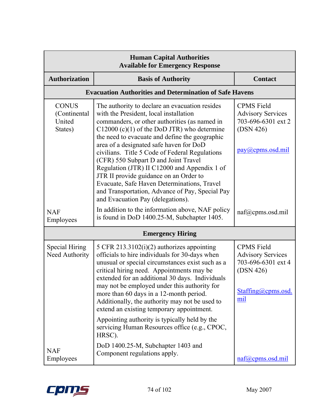| <b>Human Capital Authorities</b><br><b>Available for Emergency Response</b> |                                                                                                                                                                                                                                                                                                                                                                                                                                                                                                                                                                                                                    |                                                                                                               |  |  |
|-----------------------------------------------------------------------------|--------------------------------------------------------------------------------------------------------------------------------------------------------------------------------------------------------------------------------------------------------------------------------------------------------------------------------------------------------------------------------------------------------------------------------------------------------------------------------------------------------------------------------------------------------------------------------------------------------------------|---------------------------------------------------------------------------------------------------------------|--|--|
| <b>Authorization</b>                                                        | <b>Basis of Authority</b>                                                                                                                                                                                                                                                                                                                                                                                                                                                                                                                                                                                          | <b>Contact</b>                                                                                                |  |  |
|                                                                             | <b>Evacuation Authorities and Determination of Safe Havens</b>                                                                                                                                                                                                                                                                                                                                                                                                                                                                                                                                                     |                                                                                                               |  |  |
| <b>CONUS</b><br>(Continental)<br>United<br>States)                          | The authority to declare an evacuation resides<br>with the President, local installation<br>commanders, or other authorities (as named in<br>$C12000$ (c)(1) of the DoD JTR) who determine<br>the need to evacuate and define the geographic<br>area of a designated safe haven for DoD<br>civilians. Title 5 Code of Federal Regulations<br>(CFR) 550 Subpart D and Joint Travel<br>Regulation (JTR) II C12000 and Appendix 1 of<br>JTR II provide guidance on an Order to<br>Evacuate, Safe Haven Determinations, Travel<br>and Transportation, Advance of Pay, Special Pay<br>and Evacuation Pay (delegations). | <b>CPMS</b> Field<br><b>Advisory Services</b><br>703-696-6301 ext 2<br>(DSN 426)<br>$pay(\omega)cpms.osd.mil$ |  |  |
| <b>NAF</b><br>Employees                                                     | In addition to the information above, NAF policy<br>is found in DoD 1400.25-M, Subchapter 1405.                                                                                                                                                                                                                                                                                                                                                                                                                                                                                                                    | $naf(a)$ cpms.osd.mil                                                                                         |  |  |
|                                                                             | <b>Emergency Hiring</b>                                                                                                                                                                                                                                                                                                                                                                                                                                                                                                                                                                                            |                                                                                                               |  |  |
| <b>Special Hiring</b><br><b>Need Authority</b>                              | 5 CFR 213.3102 $(i)(2)$ authorizes appointing<br>officials to hire individuals for 30-days when<br>unusual or special circumstances exist such as a<br>critical hiring need. Appointments may be<br>extended for an additional 30 days. Individuals<br>may not be employed under this authority for<br>more than 60 days in a 12-month period.<br>Additionally, the authority may not be used to<br>extend an existing temporary appointment.<br>Appointing authority is typically held by the<br>servicing Human Resources office (e.g., CPOC,<br>HRSC).                                                          | <b>CPMS</b> Field<br><b>Advisory Services</b><br>703-696-6301 ext 4<br>(DSN 426)<br>Staffing@cpms.osd.<br>mil |  |  |
| <b>NAF</b><br>Employees                                                     | DoD 1400.25-M, Subchapter 1403 and<br>Component regulations apply.                                                                                                                                                                                                                                                                                                                                                                                                                                                                                                                                                 | $naf(a)$ cpms.osd.mil                                                                                         |  |  |

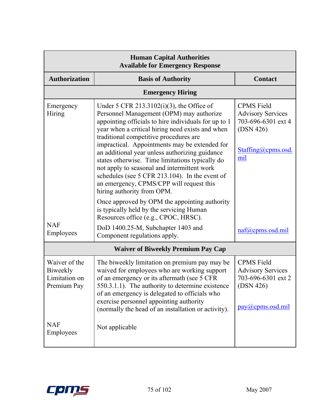| <b>Human Capital Authorities</b><br><b>Available for Emergency Response</b> |                                                                                                                                                                                                                                                                                                                                                                                                                                                                                                                                                                                                                                                                                                                                                         |                                                                                                                                        |  |  |
|-----------------------------------------------------------------------------|---------------------------------------------------------------------------------------------------------------------------------------------------------------------------------------------------------------------------------------------------------------------------------------------------------------------------------------------------------------------------------------------------------------------------------------------------------------------------------------------------------------------------------------------------------------------------------------------------------------------------------------------------------------------------------------------------------------------------------------------------------|----------------------------------------------------------------------------------------------------------------------------------------|--|--|
| <b>Authorization</b>                                                        | <b>Basis of Authority</b>                                                                                                                                                                                                                                                                                                                                                                                                                                                                                                                                                                                                                                                                                                                               | <b>Contact</b>                                                                                                                         |  |  |
|                                                                             | <b>Emergency Hiring</b>                                                                                                                                                                                                                                                                                                                                                                                                                                                                                                                                                                                                                                                                                                                                 |                                                                                                                                        |  |  |
| Emergency<br><b>Hiring</b><br><b>NAF</b><br>Employees                       | Under 5 CFR 213.3102(i)(3), the Office of<br>Personnel Management (OPM) may authorize<br>appointing officials to hire individuals for up to 1<br>year when a critical hiring need exists and when<br>traditional competitive procedures are<br>impractical. Appointments may be extended for<br>an additional year unless authorizing guidance<br>states otherwise. Time limitations typically do<br>not apply to seasonal and intermittent work<br>schedules (see 5 CFR 213.104). In the event of<br>an emergency, CPMS/CPP will request this<br>hiring authority from OPM.<br>Once approved by OPM the appointing authority<br>is typically held by the servicing Human<br>Resources office (e.g., CPOC, HRSC).<br>DoD 1400.25-M, Subchapter 1403 and | <b>CPMS</b> Field<br><b>Advisory Services</b><br>703-696-6301 ext 4<br>(DSN 426)<br>Staffing@cpms.osd.<br>mil<br>$naf(a)$ cpms.osd.mil |  |  |
|                                                                             | Component regulations apply.                                                                                                                                                                                                                                                                                                                                                                                                                                                                                                                                                                                                                                                                                                                            |                                                                                                                                        |  |  |
|                                                                             | <b>Waiver of Biweekly Premium Pay Cap</b>                                                                                                                                                                                                                                                                                                                                                                                                                                                                                                                                                                                                                                                                                                               |                                                                                                                                        |  |  |
| Waiver of the<br>Biweekly<br>Limitation on<br>Premium Pay                   | The biweekly limitation on premium pay may be<br>waived for employees who are working support<br>of an emergency or its aftermath (see 5 CFR<br>550.3.1.1). The authority to determine existence<br>of an emergency is delegated to officials who<br>exercise personnel appointing authority<br>(normally the head of an installation or activity).                                                                                                                                                                                                                                                                                                                                                                                                     | <b>CPMS Field</b><br><b>Advisory Services</b><br>703-696-6301 ext 2<br>(DSN 426)<br>pay@cpms.osd.mil                                   |  |  |
| <b>NAF</b><br>Employees                                                     | Not applicable                                                                                                                                                                                                                                                                                                                                                                                                                                                                                                                                                                                                                                                                                                                                          |                                                                                                                                        |  |  |

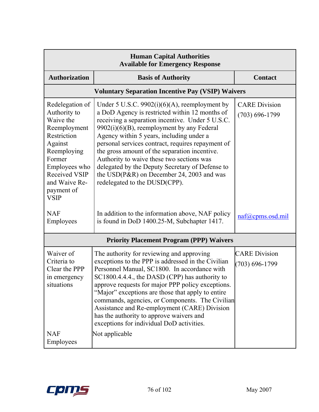| <b>Human Capital Authorities</b><br><b>Available for Emergency Response</b>                                                                                                                            |                                                                                                                                                                                                                                                                                                                                                                                                                                                                                                                                         |                                            |  |  |
|--------------------------------------------------------------------------------------------------------------------------------------------------------------------------------------------------------|-----------------------------------------------------------------------------------------------------------------------------------------------------------------------------------------------------------------------------------------------------------------------------------------------------------------------------------------------------------------------------------------------------------------------------------------------------------------------------------------------------------------------------------------|--------------------------------------------|--|--|
| <b>Authorization</b>                                                                                                                                                                                   | <b>Basis of Authority</b>                                                                                                                                                                                                                                                                                                                                                                                                                                                                                                               | <b>Contact</b>                             |  |  |
|                                                                                                                                                                                                        | <b>Voluntary Separation Incentive Pay (VSIP) Waivers</b>                                                                                                                                                                                                                                                                                                                                                                                                                                                                                |                                            |  |  |
| Redelegation of<br>Authority to<br>Waive the<br>Reemployment<br>Restriction<br>Against<br>Reemploying<br>Former<br>Employees who<br><b>Received VSIP</b><br>and Waive Re-<br>payment of<br><b>VSIP</b> | Under 5 U.S.C. $9902(i)(6)(A)$ , reemployment by<br>a DoD Agency is restricted within 12 months of<br>receiving a separation incentive. Under 5 U.S.C.<br>$9902(i)(6)(B)$ , reemployment by any Federal<br>Agency within 5 years, including under a<br>personal services contract, requires repayment of<br>the gross amount of the separation incentive.<br>Authority to waive these two sections was<br>delegated by the Deputy Secretary of Defense to<br>the USD(P&R) on December 24, 2003 and was<br>redelegated to the DUSD(CPP). | <b>CARE Division</b><br>$(703) 696 - 1799$ |  |  |
| <b>NAF</b><br>Employees                                                                                                                                                                                | In addition to the information above, NAF policy<br>is found in DoD 1400.25-M, Subchapter 1417.                                                                                                                                                                                                                                                                                                                                                                                                                                         | $na f(a)$ cpms.osd.mil                     |  |  |
|                                                                                                                                                                                                        | <b>Priority Placement Program (PPP) Waivers</b>                                                                                                                                                                                                                                                                                                                                                                                                                                                                                         |                                            |  |  |
| Waiver of<br>Criteria to<br>Clear the PPP<br>in emergency<br>situations                                                                                                                                | The authority for reviewing and approving<br>exceptions to the PPP is addressed in the Civilian<br>Personnel Manual, SC1800. In accordance with<br>SC1800.4.4.4., the DASD (CPP) has authority to<br>approve requests for major PPP policy exceptions.<br>"Major" exceptions are those that apply to entire<br>commands, agencies, or Components. The Civilian<br>Assistance and Re-employment (CARE) Division<br>has the authority to approve waivers and<br>exceptions for individual DoD activities.                                 | <b>CARE Division</b><br>$(703) 696 - 1799$ |  |  |
| <b>NAF</b><br>Employees                                                                                                                                                                                | Not applicable                                                                                                                                                                                                                                                                                                                                                                                                                                                                                                                          |                                            |  |  |

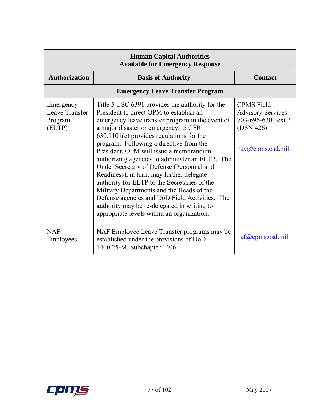| <b>Human Capital Authorities</b><br><b>Available for Emergency Response</b> |                                                                                                                                                                                                                                                                                                                                                                                                                                                                                                                                                                                                                                                                                                                    |                                                                                                               |  |  |
|-----------------------------------------------------------------------------|--------------------------------------------------------------------------------------------------------------------------------------------------------------------------------------------------------------------------------------------------------------------------------------------------------------------------------------------------------------------------------------------------------------------------------------------------------------------------------------------------------------------------------------------------------------------------------------------------------------------------------------------------------------------------------------------------------------------|---------------------------------------------------------------------------------------------------------------|--|--|
| <b>Authorization</b>                                                        | <b>Basis of Authority</b>                                                                                                                                                                                                                                                                                                                                                                                                                                                                                                                                                                                                                                                                                          | <b>Contact</b>                                                                                                |  |  |
|                                                                             | <b>Emergency Leave Transfer Program</b>                                                                                                                                                                                                                                                                                                                                                                                                                                                                                                                                                                                                                                                                            |                                                                                                               |  |  |
| Emergency<br>Leave Transfer<br>Program<br>(ELTP)                            | Title 5 USC 6391 provides the authority for the<br>President to direct OPM to establish an<br>emergency leave transfer program in the event of<br>a major disaster or emergency. 5 CFR<br>$630.1101(c)$ provides regulations for the<br>program. Following a directive from the<br>President, OPM will issue a memorandum<br>authorizing agencies to administer an ELTP. The<br>Under Secretary of Defense (Personnel and<br>Readiness), in turn, may further delegate<br>authority for ELTP to the Secretaries of the<br>Military Departments and the Heads of the<br>Defense agencies and DoD Field Activities. The<br>authority may be re-delegated in writing to<br>appropriate levels within an organization. | <b>CPMS</b> Field<br><b>Advisory Services</b><br>703-696-6301 ext 2<br>(DSN 426)<br>$pay(\omega)cpms.osd.mil$ |  |  |
| <b>NAF</b><br>Employees                                                     | NAF Employee Leave Transfer programs may be<br>established under the provisions of DoD<br>1400.25-M, Subchapter 1406                                                                                                                                                                                                                                                                                                                                                                                                                                                                                                                                                                                               | $naf(a)$ cpms.osd.mil                                                                                         |  |  |

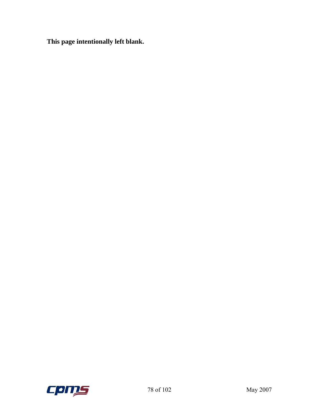**This page intentionally left blank.**

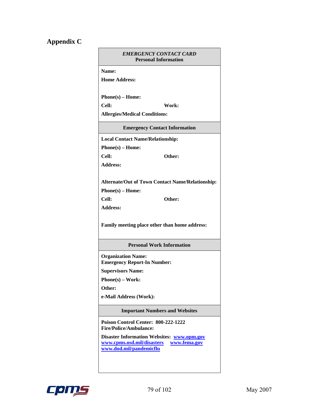# **Appendix C**

| <b>EMERGENCY CONTACT CARD</b><br><b>Personal Information</b>          |  |  |  |
|-----------------------------------------------------------------------|--|--|--|
| Name:                                                                 |  |  |  |
| <b>Home Address:</b>                                                  |  |  |  |
| $Phone(s) - Home:$                                                    |  |  |  |
| Cell:<br>Work:                                                        |  |  |  |
| <b>Allergies/Medical Conditions:</b>                                  |  |  |  |
| <b>Emergency Contact Information</b>                                  |  |  |  |
| <b>Local Contact Name/Relationship:</b>                               |  |  |  |
| $Phone(s) - Home:$                                                    |  |  |  |
| Cell:<br>Other:                                                       |  |  |  |
| <b>Address:</b>                                                       |  |  |  |
| Alternate/Out of Town Contact Name/Relationship:                      |  |  |  |
| $Phone(s) - Home:$                                                    |  |  |  |
| Cell:<br>Other:                                                       |  |  |  |
| <b>Address:</b>                                                       |  |  |  |
| Family meeting place other than home address:                         |  |  |  |
| <b>Personal Work Information</b>                                      |  |  |  |
| <b>Organization Name:</b><br><b>Emergency Report-In Number:</b>       |  |  |  |
| <b>Supervisors Name:</b>                                              |  |  |  |
| $Phone(s) - Work:$                                                    |  |  |  |
| Other:                                                                |  |  |  |
| e-Mail Address (Work):                                                |  |  |  |
| <b>Important Numbers and Websites</b>                                 |  |  |  |
| Poison Control Center: 800-222-1222<br>Fire/Police/Ambulance:         |  |  |  |
| Disaster Information Websites: www.opm.gov                            |  |  |  |
| www.cpms.osd.mil/disasters<br>www.fema.gov<br>www.dod.mil/pandemicflu |  |  |  |
|                                                                       |  |  |  |

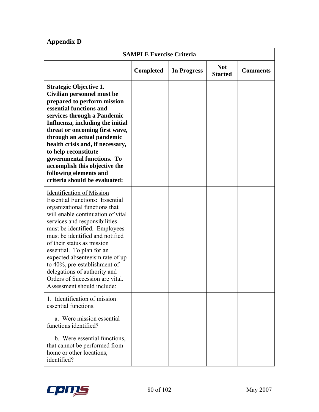# **Appendix D**

| <b>SAMPLE Exercise Criteria</b>                                                                                                                                                                                                                                                                                                                                                                                                                                                     |                  |             |                              |                 |
|-------------------------------------------------------------------------------------------------------------------------------------------------------------------------------------------------------------------------------------------------------------------------------------------------------------------------------------------------------------------------------------------------------------------------------------------------------------------------------------|------------------|-------------|------------------------------|-----------------|
|                                                                                                                                                                                                                                                                                                                                                                                                                                                                                     | <b>Completed</b> | In Progress | <b>Not</b><br><b>Started</b> | <b>Comments</b> |
| <b>Strategic Objective 1.</b><br>Civilian personnel must be<br>prepared to perform mission<br>essential functions and<br>services through a Pandemic<br>Influenza, including the initial<br>threat or oncoming first wave,<br>through an actual pandemic<br>health crisis and, if necessary,<br>to help reconstitute<br>governmental functions. To<br>accomplish this objective the<br>following elements and<br>criteria should be evaluated:                                      |                  |             |                              |                 |
| <b>Identification of Mission</b><br><b>Essential Functions: Essential</b><br>organizational functions that<br>will enable continuation of vital<br>services and responsibilities<br>must be identified. Employees<br>must be identified and notified<br>of their status as mission<br>essential. To plan for an<br>expected absenteeism rate of up<br>to 40%, pre-establishment of<br>delegations of authority and<br>Orders of Succession are vital.<br>Assessment should include: |                  |             |                              |                 |
| 1. Identification of mission<br>essential functions.                                                                                                                                                                                                                                                                                                                                                                                                                                |                  |             |                              |                 |
| a. Were mission essential<br>functions identified?                                                                                                                                                                                                                                                                                                                                                                                                                                  |                  |             |                              |                 |
| b. Were essential functions,<br>that cannot be performed from<br>home or other locations,<br>identified?                                                                                                                                                                                                                                                                                                                                                                            |                  |             |                              |                 |

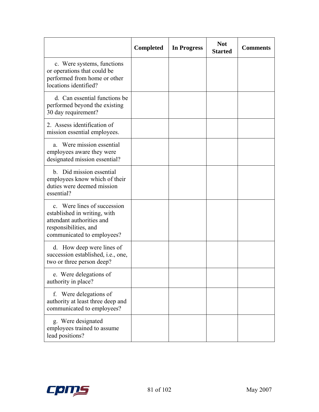|                                                                                                                                                 | <b>Completed</b> | <b>In Progress</b> | <b>Not</b><br><b>Started</b> | <b>Comments</b> |
|-------------------------------------------------------------------------------------------------------------------------------------------------|------------------|--------------------|------------------------------|-----------------|
| c. Were systems, functions<br>or operations that could be<br>performed from home or other<br>locations identified?                              |                  |                    |                              |                 |
| d. Can essential functions be<br>performed beyond the existing<br>30 day requirement?                                                           |                  |                    |                              |                 |
| 2. Assess identification of<br>mission essential employees.                                                                                     |                  |                    |                              |                 |
| a. Were mission essential<br>employees aware they were<br>designated mission essential?                                                         |                  |                    |                              |                 |
| b. Did mission essential<br>employees know which of their<br>duties were deemed mission<br>essential?                                           |                  |                    |                              |                 |
| c. Were lines of succession<br>established in writing, with<br>attendant authorities and<br>responsibilities, and<br>communicated to employees? |                  |                    |                              |                 |
| d. How deep were lines of<br>succession established, i.e., one,<br>two or three person deep?                                                    |                  |                    |                              |                 |
| e. Were delegations of<br>authority in place?                                                                                                   |                  |                    |                              |                 |
| f. Were delegations of<br>authority at least three deep and<br>communicated to employees?                                                       |                  |                    |                              |                 |
| g. Were designated<br>employees trained to assume<br>lead positions?                                                                            |                  |                    |                              |                 |

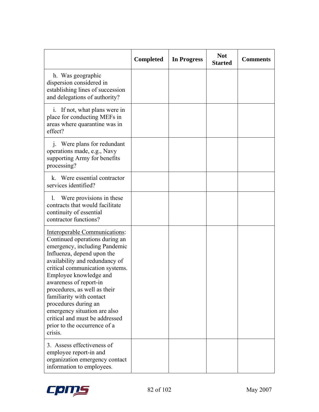|                                                                                                                                                                                                                                                                                                                                                                                                                                                          | <b>Completed</b> | In Progress | <b>Not</b><br><b>Started</b> | <b>Comments</b> |
|----------------------------------------------------------------------------------------------------------------------------------------------------------------------------------------------------------------------------------------------------------------------------------------------------------------------------------------------------------------------------------------------------------------------------------------------------------|------------------|-------------|------------------------------|-----------------|
| h. Was geographic<br>dispersion considered in<br>establishing lines of succession<br>and delegations of authority?                                                                                                                                                                                                                                                                                                                                       |                  |             |                              |                 |
| i. If not, what plans were in<br>place for conducting MEFs in<br>areas where quarantine was in<br>effect?                                                                                                                                                                                                                                                                                                                                                |                  |             |                              |                 |
| Were plans for redundant<br>operations made, e.g., Navy<br>supporting Army for benefits<br>processing?                                                                                                                                                                                                                                                                                                                                                   |                  |             |                              |                 |
| k. Were essential contractor<br>services identified?                                                                                                                                                                                                                                                                                                                                                                                                     |                  |             |                              |                 |
| Were provisions in these<br>contracts that would facilitate<br>continuity of essential<br>contractor functions?                                                                                                                                                                                                                                                                                                                                          |                  |             |                              |                 |
| Interoperable Communications:<br>Continued operations during an<br>emergency, including Pandemic<br>Influenza, depend upon the<br>availability and redundancy of<br>critical communication systems.<br>Employee knowledge and<br>awareness of report-in<br>procedures, as well as their<br>familiarity with contact<br>procedures during an<br>emergency situation are also<br>critical and must be addressed<br>prior to the occurrence of a<br>crisis. |                  |             |                              |                 |
| 3. Assess effectiveness of<br>employee report-in and<br>organization emergency contact<br>information to employees.                                                                                                                                                                                                                                                                                                                                      |                  |             |                              |                 |

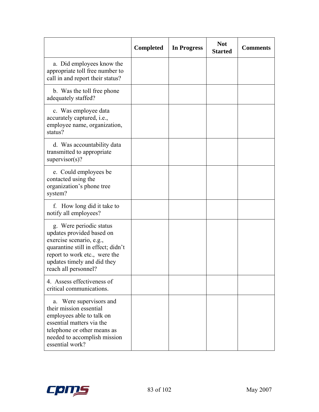|                                                                                                                                                                                                                | <b>Completed</b> | <b>In Progress</b> | <b>Not</b><br><b>Started</b> | <b>Comments</b> |
|----------------------------------------------------------------------------------------------------------------------------------------------------------------------------------------------------------------|------------------|--------------------|------------------------------|-----------------|
| a. Did employees know the<br>appropriate toll free number to<br>call in and report their status?                                                                                                               |                  |                    |                              |                 |
| b. Was the toll free phone<br>adequately staffed?                                                                                                                                                              |                  |                    |                              |                 |
| c. Was employee data<br>accurately captured, <i>i.e.</i> ,<br>employee name, organization,<br>status?                                                                                                          |                  |                    |                              |                 |
| d. Was accountability data<br>transmitted to appropriate<br>$supervisor(s)$ ?                                                                                                                                  |                  |                    |                              |                 |
| e. Could employees be.<br>contacted using the<br>organization's phone tree<br>system?                                                                                                                          |                  |                    |                              |                 |
| f. How long did it take to<br>notify all employees?                                                                                                                                                            |                  |                    |                              |                 |
| g. Were periodic status<br>updates provided based on<br>exercise scenario, e.g.,<br>quarantine still in effect; didn't<br>report to work etc., were the<br>updates timely and did they<br>reach all personnel? |                  |                    |                              |                 |
| 4. Assess effectiveness of<br>critical communications.                                                                                                                                                         |                  |                    |                              |                 |
| a. Were supervisors and<br>their mission essential<br>employees able to talk on<br>essential matters via the<br>telephone or other means as<br>needed to accomplish mission<br>essential work?                 |                  |                    |                              |                 |

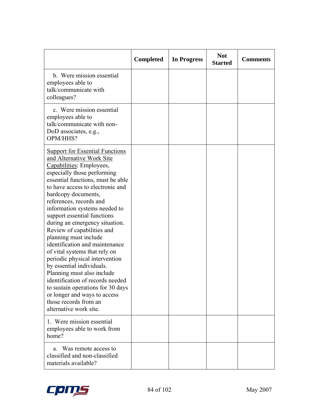|                                                                                                                                                                                                                                                                                                                                                                                                                                                                                                                                                                                                                                                                                                                                                | <b>Completed</b> | In Progress | <b>Not</b><br><b>Started</b> | <b>Comments</b> |
|------------------------------------------------------------------------------------------------------------------------------------------------------------------------------------------------------------------------------------------------------------------------------------------------------------------------------------------------------------------------------------------------------------------------------------------------------------------------------------------------------------------------------------------------------------------------------------------------------------------------------------------------------------------------------------------------------------------------------------------------|------------------|-------------|------------------------------|-----------------|
| b. Were mission essential<br>employees able to<br>talk/communicate with<br>colleagues?                                                                                                                                                                                                                                                                                                                                                                                                                                                                                                                                                                                                                                                         |                  |             |                              |                 |
| c. Were mission essential<br>employees able to<br>talk/communicate with non-<br>DoD associates, e.g.,<br>OPM/HHS?                                                                                                                                                                                                                                                                                                                                                                                                                                                                                                                                                                                                                              |                  |             |                              |                 |
| <b>Support for Essential Functions</b><br>and Alternative Work Site<br>Capabilities: Employees,<br>especially those performing<br>essential functions, must be able<br>to have access to electronic and<br>hardcopy documents,<br>references, records and<br>information systems needed to<br>support essential functions<br>during an emergency situation.<br>Review of capabilities and<br>planning must include<br>identification and maintenance<br>of vital systems that rely on<br>periodic physical intervention<br>by essential individuals.<br>Planning must also include<br>identification of records needed<br>to sustain operations for 30 days<br>or longer and ways to access<br>those records from an<br>alternative work site. |                  |             |                              |                 |
| 1. Were mission essential<br>employees able to work from<br>home?                                                                                                                                                                                                                                                                                                                                                                                                                                                                                                                                                                                                                                                                              |                  |             |                              |                 |
| a. Was remote access to<br>classified and non-classified<br>materials available?                                                                                                                                                                                                                                                                                                                                                                                                                                                                                                                                                                                                                                                               |                  |             |                              |                 |

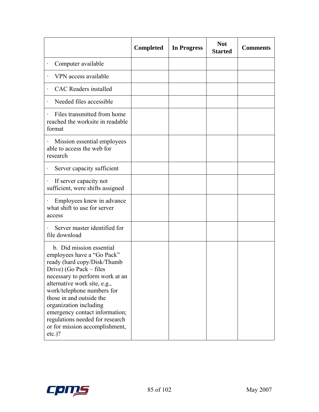|                                                                                                                                                                                                                                                                                                                                                                                             | <b>Completed</b> | In Progress | <b>Not</b><br><b>Started</b> | <b>Comments</b> |
|---------------------------------------------------------------------------------------------------------------------------------------------------------------------------------------------------------------------------------------------------------------------------------------------------------------------------------------------------------------------------------------------|------------------|-------------|------------------------------|-----------------|
| Computer available                                                                                                                                                                                                                                                                                                                                                                          |                  |             |                              |                 |
| VPN access available                                                                                                                                                                                                                                                                                                                                                                        |                  |             |                              |                 |
| <b>CAC</b> Readers installed                                                                                                                                                                                                                                                                                                                                                                |                  |             |                              |                 |
| Needed files accessible                                                                                                                                                                                                                                                                                                                                                                     |                  |             |                              |                 |
| Files transmitted from home<br>reached the worksite in readable<br>format                                                                                                                                                                                                                                                                                                                   |                  |             |                              |                 |
| Mission essential employees<br>able to access the web for<br>research                                                                                                                                                                                                                                                                                                                       |                  |             |                              |                 |
| Server capacity sufficient                                                                                                                                                                                                                                                                                                                                                                  |                  |             |                              |                 |
| If server capacity not<br>sufficient, were shifts assigned                                                                                                                                                                                                                                                                                                                                  |                  |             |                              |                 |
| Employees knew in advance<br>what shift to use for server<br>access                                                                                                                                                                                                                                                                                                                         |                  |             |                              |                 |
| Server master identified for<br>file download                                                                                                                                                                                                                                                                                                                                               |                  |             |                              |                 |
| b. Did mission essential<br>employees have a "Go Pack"<br>ready (hard copy/Disk/Thumb<br>Drive) (Go Pack – files<br>necessary to perform work at an<br>alternative work site, e.g.,<br>work/telephone numbers for<br>those in and outside the<br>organization including<br>emergency contact information;<br>regulations needed for research<br>or for mission accomplishment,<br>$etc.$ )? |                  |             |                              |                 |

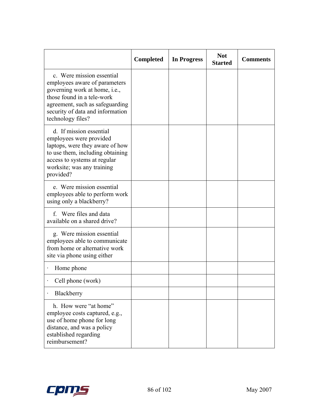|                                                                                                                                                                                                                               | <b>Completed</b> | <b>In Progress</b> | <b>Not</b><br><b>Started</b> | <b>Comments</b> |
|-------------------------------------------------------------------------------------------------------------------------------------------------------------------------------------------------------------------------------|------------------|--------------------|------------------------------|-----------------|
| c. Were mission essential<br>employees aware of parameters<br>governing work at home, <i>i.e.</i> ,<br>those found in a tele-work<br>agreement, such as safeguarding<br>security of data and information<br>technology files? |                  |                    |                              |                 |
| d. If mission essential<br>employees were provided<br>laptops, were they aware of how<br>to use them, including obtaining<br>access to systems at regular<br>worksite; was any training<br>provided?                          |                  |                    |                              |                 |
| e. Were mission essential<br>employees able to perform work<br>using only a blackberry?                                                                                                                                       |                  |                    |                              |                 |
| f. Were files and data<br>available on a shared drive?                                                                                                                                                                        |                  |                    |                              |                 |
| g. Were mission essential<br>employees able to communicate<br>from home or alternative work<br>site via phone using either                                                                                                    |                  |                    |                              |                 |
| Home phone                                                                                                                                                                                                                    |                  |                    |                              |                 |
| Cell phone (work)                                                                                                                                                                                                             |                  |                    |                              |                 |
| Blackberry                                                                                                                                                                                                                    |                  |                    |                              |                 |
| h. How were "at home"<br>employee costs captured, e.g.,<br>use of home phone for long<br>distance, and was a policy<br>established regarding<br>reimbursement?                                                                |                  |                    |                              |                 |

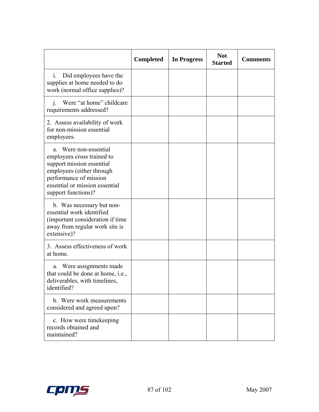|                                                                                                                                                                                                  | <b>Completed</b> | In Progress | <b>Not</b><br><b>Started</b> | <b>Comments</b> |
|--------------------------------------------------------------------------------------------------------------------------------------------------------------------------------------------------|------------------|-------------|------------------------------|-----------------|
| $\mathbf{i}$ .<br>Did employees have the<br>supplies at home needed to do<br>work (normal office supplies)?                                                                                      |                  |             |                              |                 |
| Were "at home" childcare<br>$\mathbf{1}$ .<br>requirements addressed?                                                                                                                            |                  |             |                              |                 |
| 2. Assess availability of work<br>for non-mission essential<br>employees.                                                                                                                        |                  |             |                              |                 |
| a. Were non-essential<br>employees cross trained to<br>support mission essential<br>employees (either through<br>performance of mission<br>essential or mission essential<br>support functions)? |                  |             |                              |                 |
| b. Was necessary but non-<br>essential work identified<br>(important consideration if time<br>away from regular work site is<br>extensive)?                                                      |                  |             |                              |                 |
| 3. Assess effectiveness of work<br>at home.                                                                                                                                                      |                  |             |                              |                 |
| Were assignments made<br>a.<br>that could be done at home, i.e.,<br>deliverables, with timelines,<br>identified?                                                                                 |                  |             |                              |                 |
| b. Were work measurements<br>considered and agreed upon?                                                                                                                                         |                  |             |                              |                 |
| c. How were timekeeping<br>records obtained and<br>maintained?                                                                                                                                   |                  |             |                              |                 |

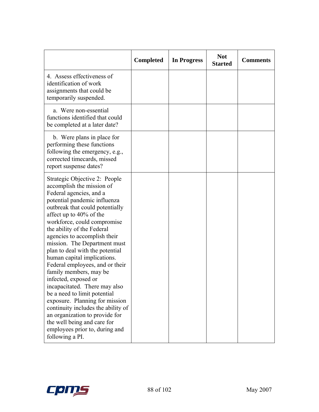|                                                                                                                                                                                                                                                                                                                                                                                                                                                                                                                                                                                                                                                                                                                                        | <b>Completed</b> | <b>In Progress</b> | <b>Not</b><br><b>Started</b> | <b>Comments</b> |
|----------------------------------------------------------------------------------------------------------------------------------------------------------------------------------------------------------------------------------------------------------------------------------------------------------------------------------------------------------------------------------------------------------------------------------------------------------------------------------------------------------------------------------------------------------------------------------------------------------------------------------------------------------------------------------------------------------------------------------------|------------------|--------------------|------------------------------|-----------------|
| 4. Assess effectiveness of<br>identification of work<br>assignments that could be<br>temporarily suspended.                                                                                                                                                                                                                                                                                                                                                                                                                                                                                                                                                                                                                            |                  |                    |                              |                 |
| a. Were non-essential<br>functions identified that could<br>be completed at a later date?                                                                                                                                                                                                                                                                                                                                                                                                                                                                                                                                                                                                                                              |                  |                    |                              |                 |
| b. Were plans in place for<br>performing these functions<br>following the emergency, e.g.,<br>corrected timecards, missed<br>report suspense dates?                                                                                                                                                                                                                                                                                                                                                                                                                                                                                                                                                                                    |                  |                    |                              |                 |
| Strategic Objective 2: People<br>accomplish the mission of<br>Federal agencies, and a<br>potential pandemic influenza<br>outbreak that could potentially<br>affect up to 40% of the<br>workforce, could compromise<br>the ability of the Federal<br>agencies to accomplish their<br>mission. The Department must<br>plan to deal with the potential<br>human capital implications.<br>Federal employees, and or their<br>family members, may be<br>infected, exposed or<br>incapacitated. There may also<br>be a need to limit potential<br>exposure. Planning for mission<br>continuity includes the ability of<br>an organization to provide for<br>the well being and care for<br>employees prior to, during and<br>following a PI. |                  |                    |                              |                 |

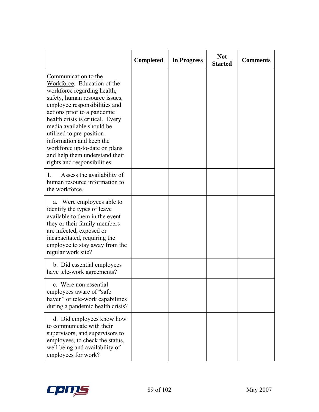|                                                                                                                                                                                                                                                                                                                                                                                                                  | <b>Completed</b> | In Progress | <b>Not</b><br><b>Started</b> | <b>Comments</b> |
|------------------------------------------------------------------------------------------------------------------------------------------------------------------------------------------------------------------------------------------------------------------------------------------------------------------------------------------------------------------------------------------------------------------|------------------|-------------|------------------------------|-----------------|
| Communication to the<br>Workforce. Education of the<br>workforce regarding health,<br>safety, human resource issues,<br>employee responsibilities and<br>actions prior to a pandemic<br>health crisis is critical. Every<br>media available should be<br>utilized to pre-position<br>information and keep the<br>workforce up-to-date on plans<br>and help them understand their<br>rights and responsibilities. |                  |             |                              |                 |
| Assess the availability of<br>$\mathbf{1}$ .<br>human resource information to<br>the workforce.                                                                                                                                                                                                                                                                                                                  |                  |             |                              |                 |
| a. Were employees able to<br>identify the types of leave<br>available to them in the event<br>they or their family members<br>are infected, exposed or<br>incapacitated, requiring the<br>employee to stay away from the<br>regular work site?                                                                                                                                                                   |                  |             |                              |                 |
| b. Did essential employees<br>have tele-work agreements?                                                                                                                                                                                                                                                                                                                                                         |                  |             |                              |                 |
| c. Were non essential<br>employees aware of "safe<br>haven" or tele-work capabilities<br>during a pandemic health crisis?                                                                                                                                                                                                                                                                                        |                  |             |                              |                 |
| d. Did employees know how<br>to communicate with their<br>supervisors, and supervisors to<br>employees, to check the status,<br>well being and availability of<br>employees for work?                                                                                                                                                                                                                            |                  |             |                              |                 |

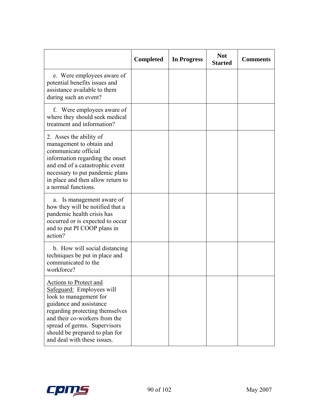|                                                                                                                                                                                                                                                                                      | <b>Completed</b> | In Progress | <b>Not</b><br><b>Started</b> | <b>Comments</b> |
|--------------------------------------------------------------------------------------------------------------------------------------------------------------------------------------------------------------------------------------------------------------------------------------|------------------|-------------|------------------------------|-----------------|
| e. Were employees aware of<br>potential benefits issues and<br>assistance available to them<br>during such an event?                                                                                                                                                                 |                  |             |                              |                 |
| Were employees aware of<br>f.<br>where they should seek medical<br>treatment and information?                                                                                                                                                                                        |                  |             |                              |                 |
| 2. Asses the ability of<br>management to obtain and<br>communicate official<br>information regarding the onset<br>and end of a catastrophic event<br>necessary to put pandemic plans<br>in place and then allow return to<br>a normal functions.                                     |                  |             |                              |                 |
| a. Is management aware of<br>how they will be notified that a<br>pandemic health crisis has<br>occurred or is expected to occur<br>and to put PI COOP plans in<br>action?                                                                                                            |                  |             |                              |                 |
| b. How will social distancing<br>techniques be put in place and<br>communicated to the<br>workforce?                                                                                                                                                                                 |                  |             |                              |                 |
| Actions to Protect and<br><b>Safeguard:</b> Employees will<br>look to management for<br>guidance and assistance<br>regarding protecting themselves<br>and their co-workers from the<br>spread of germs. Supervisors<br>should be prepared to plan for<br>and deal with these issues. |                  |             |                              |                 |

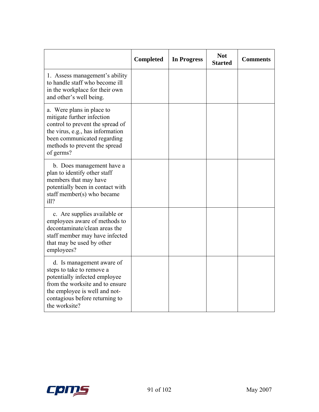|                                                                                                                                                                                                                | <b>Completed</b> | <b>In Progress</b> | <b>Not</b><br><b>Started</b> | <b>Comments</b> |
|----------------------------------------------------------------------------------------------------------------------------------------------------------------------------------------------------------------|------------------|--------------------|------------------------------|-----------------|
| 1. Assess management's ability<br>to handle staff who become ill<br>in the workplace for their own<br>and other's well being.                                                                                  |                  |                    |                              |                 |
| a. Were plans in place to<br>mitigate further infection<br>control to prevent the spread of<br>the virus, e.g., has information<br>been communicated regarding<br>methods to prevent the spread<br>of germs?   |                  |                    |                              |                 |
| b. Does management have a<br>plan to identify other staff<br>members that may have<br>potentially been in contact with<br>staff member(s) who became<br>ill?                                                   |                  |                    |                              |                 |
| c. Are supplies available or<br>employees aware of methods to<br>decontaminate/clean areas the<br>staff member may have infected<br>that may be used by other<br>employees?                                    |                  |                    |                              |                 |
| d. Is management aware of<br>steps to take to remove a<br>potentially infected employee<br>from the worksite and to ensure<br>the employee is well and not-<br>contagious before returning to<br>the worksite? |                  |                    |                              |                 |

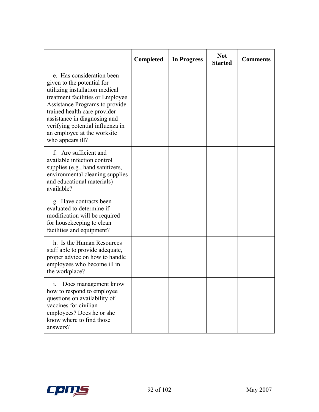|                                                                                                                                                                                                                                                                                                                        | <b>Completed</b> | In Progress | <b>Not</b><br><b>Started</b> | <b>Comments</b> |
|------------------------------------------------------------------------------------------------------------------------------------------------------------------------------------------------------------------------------------------------------------------------------------------------------------------------|------------------|-------------|------------------------------|-----------------|
| e. Has consideration been<br>given to the potential for<br>utilizing installation medical<br>treatment facilities or Employee<br>Assistance Programs to provide<br>trained health care provider<br>assistance in diagnosing and<br>verifying potential influenza in<br>an employee at the worksite<br>who appears ill? |                  |             |                              |                 |
| f. Are sufficient and<br>available infection control<br>supplies (e.g., hand sanitizers,<br>environmental cleaning supplies<br>and educational materials)<br>available?                                                                                                                                                |                  |             |                              |                 |
| g. Have contracts been<br>evaluated to determine if<br>modification will be required<br>for house keeping to clean<br>facilities and equipment?                                                                                                                                                                        |                  |             |                              |                 |
| h. Is the Human Resources<br>staff able to provide adequate,<br>proper advice on how to handle<br>employees who become ill in<br>the workplace?                                                                                                                                                                        |                  |             |                              |                 |
| Does management know<br>1.<br>how to respond to employee<br>questions on availability of<br>vaccines for civilian<br>employees? Does he or she<br>know where to find those<br>answers?                                                                                                                                 |                  |             |                              |                 |

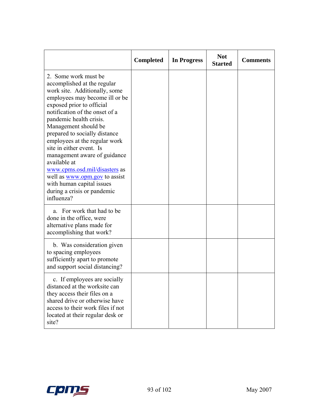|                                                                                                                                                                                                                                                                                                                                                                                                                                                                                                                                           | <b>Completed</b> | In Progress | <b>Not</b><br><b>Started</b> | <b>Comments</b> |
|-------------------------------------------------------------------------------------------------------------------------------------------------------------------------------------------------------------------------------------------------------------------------------------------------------------------------------------------------------------------------------------------------------------------------------------------------------------------------------------------------------------------------------------------|------------------|-------------|------------------------------|-----------------|
| 2. Some work must be<br>accomplished at the regular<br>work site. Additionally, some<br>employees may become ill or be<br>exposed prior to official<br>notification of the onset of a<br>pandemic health crisis.<br>Management should be<br>prepared to socially distance<br>employees at the regular work<br>site in either event. Is<br>management aware of guidance<br>available at<br>www.cpms.osd.mil/disasters as<br>well as <u>www.opm.gov</u> to assist<br>with human capital issues<br>during a crisis or pandemic<br>influenza? |                  |             |                              |                 |
| a. For work that had to be<br>done in the office, were<br>alternative plans made for<br>accomplishing that work?                                                                                                                                                                                                                                                                                                                                                                                                                          |                  |             |                              |                 |
| b. Was consideration given<br>to spacing employees<br>sufficiently apart to promote<br>and support social distancing?                                                                                                                                                                                                                                                                                                                                                                                                                     |                  |             |                              |                 |
| c. If employees are socially<br>distanced at the worksite can<br>they access their files on a<br>shared drive or otherwise have<br>access to their work files if not<br>located at their regular desk or<br>site?                                                                                                                                                                                                                                                                                                                         |                  |             |                              |                 |

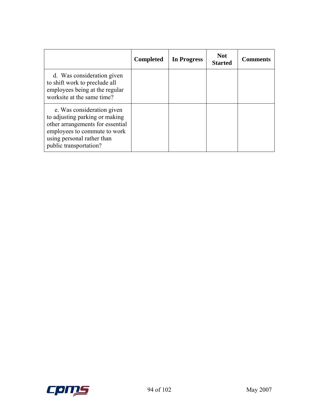|                                                                                                                                                                                          | <b>Completed</b> | In Progress | <b>Not</b><br><b>Started</b> | <b>Comments</b> |
|------------------------------------------------------------------------------------------------------------------------------------------------------------------------------------------|------------------|-------------|------------------------------|-----------------|
| d. Was consideration given<br>to shift work to preclude all<br>employees being at the regular<br>worksite at the same time?                                                              |                  |             |                              |                 |
| e. Was consideration given<br>to adjusting parking or making<br>other arrangements for essential<br>employees to commute to work<br>using personal rather than<br>public transportation? |                  |             |                              |                 |

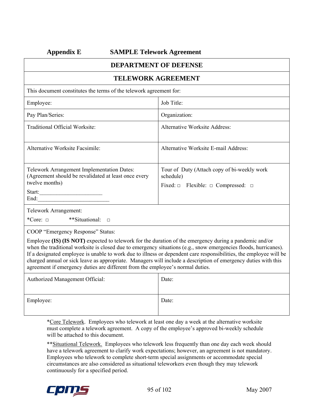#### **Appendix E SAMPLE Telework Agreement**

#### **DEPARTMENT OF DEFENSE**

#### **TELEWORK AGREEMENT**

This document constitutes the terms of the telework agreement for:

| Employee:                                                                                                                                     | Job Title:                                                                                                    |
|-----------------------------------------------------------------------------------------------------------------------------------------------|---------------------------------------------------------------------------------------------------------------|
| Pay Plan/Series:                                                                                                                              | Organization:                                                                                                 |
| Traditional Official Worksite:                                                                                                                | Alternative Worksite Address                                                                                  |
| Alternative Worksite Facsimile:                                                                                                               | Alternative Worksite E-mail Address:                                                                          |
| <b>Telework Arrangement Implementation Dates:</b><br>(Agreement should be revalidated at least once every<br>twelve months)<br>Start:<br>End: | Tour of Duty (Attach copy of bi-weekly work<br>schedule)<br>Fixed: $\Box$ Flexible: $\Box$ Compressed: $\Box$ |

Telework Arrangement:

\*Core: □ \*\*Situational: □

COOP "Emergency Response" Status:

Employee **(IS) (IS NOT)** expected to telework for the duration of the emergency during a pandemic and/or when the traditional worksite is closed due to emergency situations (e.g., snow emergencies floods, hurricanes). If a designated employee is unable to work due to illness or dependent care responsibilities, the employee will be charged annual or sick leave as appropriate. Managers will include a description of emergency duties with this agreement if emergency duties are different from the employee's normal duties.

| Authorized Management Official: | Date: |
|---------------------------------|-------|
| Employee:                       | Date: |

\*Core Telework. Employees who telework at least one day a week at the alternative worksite must complete a telework agreement. A copy of the employee's approved bi-weekly schedule will be attached to this document.

\*\*Situational Telework. Employees who telework less frequently than one day each week should have a telework agreement to clarify work expectations; however, an agreement is not mandatory. Employees who telework to complete short-term special assignments or accommodate special circumstances are also considered as situational teleworkers even though they may telework continuously for a specified period.

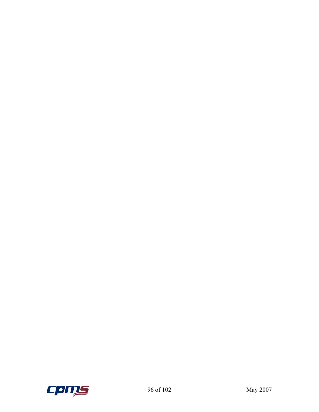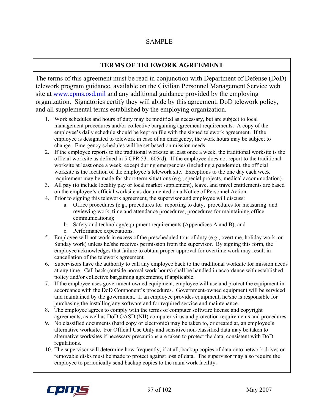#### SAMPLE

### **TERMS OF TELEWORK AGREEMENT**

The terms of this agreement must be read in conjunction with Department of Defense (DoD) telework program guidance, available on the Civilian Personnel Management Service web site at www.cpms.osd.mil and any additional guidance provided by the employing organization. Signatories certify they will abide by this agreement, DoD telework policy, and all supplemental terms established by the employing organization.

- 1. Work schedules and hours of duty may be modified as necessary, but are subject to local management procedures and/or collective bargaining agreement requirements. A copy of the employee's daily schedule should be kept on file with the signed telework agreement. If the employee is designated to telework in case of an emergency, the work hours may be subject to change. Emergency schedules will be set based on mission needs.
- 2. If the employee reports to the traditional worksite at least once a week, the traditional worksite is the official worksite as defined in 5 CFR 531.605(d). If the employee does not report to the traditional worksite at least once a week, except during emergencies (including a pandemic), the official worksite is the location of the employee's telework site. Exceptions to the one day each week requirement may be made for short-term situations (e.g., special projects, medical accommodation).
- 3. All pay (to include locality pay or local market supplement), leave, and travel entitlements are based on the employee's official worksite as documented on a Notice of Personnel Action.
- 4. Prior to signing this telework agreement, the supervisor and employee will discuss:
	- a. Office procedures (e.g., procedures for reporting to duty, procedures for measuring and reviewing work, time and attendance procedures, procedures for maintaining office communications);
	- b. Safety and technology/equipment requirements (Appendices A and B); and
	- c. Performance expectations.
- 5. Employee will not work in excess of the prescheduled tour of duty (e.g., overtime, holiday work, or Sunday work) unless he/she receives permission from the supervisor. By signing this form, the employee acknowledges that failure to obtain proper approval for overtime work may result in cancellation of the telework agreement.
- 6. Supervisors have the authority to call any employee back to the traditional worksite for mission needs at any time. Call back (outside normal work hours) shall be handled in accordance with established policy and/or collective bargaining agreements, if applicable.
- 7. If the employee uses government owned equipment, employee will use and protect the equipment in accordance with the DoD Component's procedures. Government-owned equipment will be serviced and maintained by the government. If an employee provides equipment, he/she is responsible for purchasing the installing any software and for required service and maintenance.
- 8. The employee agrees to comply with the terms of computer software license and copyright agreements, as well as DoD OASD (NII) computer virus and protection requirements and procedures.
- 9. No classified documents (hard copy or electronic) may be taken to, or created at, an employee's alternative worksite. For Official Use Only and sensitive non-classified data may be taken to alternative worksites if necessary precautions are taken to protect the data, consistent with DoD regulations.
- 10. The supervisor will determine how frequently, if at all, backup copies of data onto network drives or removable disks must be made to protect against loss of data. The supervisor may also require the employee to periodically send backup copies to the main work facility.

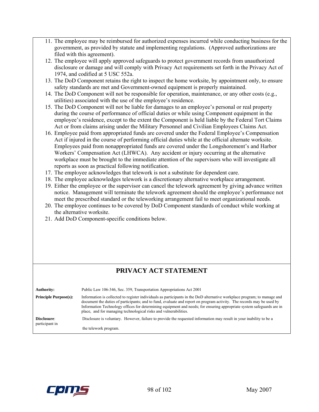- 11. The employee may be reimbursed for authorized expenses incurred while conducting business for the government, as provided by statute and implementing regulations. (Approved authorizations are filed with this agreement).
- 12. The employee will apply approved safeguards to protect government records from unauthorized disclosure or damage and will comply with Privacy Act requirements set forth in the Privacy Act of 1974, and codified at 5 USC 552a.
- 13. The DoD Component retains the right to inspect the home worksite, by appointment only, to ensure safety standards are met and Government-owned equipment is properly maintained.
- 14. The DoD Component will not be responsible for operation, maintenance, or any other costs (e.g., utilities) associated with the use of the employee's residence.
- 15. The DoD Component will not be liable for damages to an employee's personal or real property during the course of performance of official duties or while using Component equipment in the employee's residence, except to the extent the Component is held liable by the Federal Tort Claims Act or from claims arising under the Military Personnel and Civilian Employees Claims Act.
- 16. Employee paid from appropriated funds are covered under the Federal Employee's Compensation Act if injured in the course of performing official duties while at the official alternate worksite. Employees paid from nonappropriated funds are covered under the Longshorement's and Harbor Workers' Compensation Act (LHWCA). Any accident or injury occurring at the alternative workplace must be brought to the immediate attention of the supervisors who will investigate all reports as soon as practical following notification.
- 17. The employee acknowledges that telework is not a substitute for dependent care.
- 18. The employee acknowledges telework is a discretionary alternative workplace arrangement.
- 19. Either the employee or the supervisor can cancel the telework agreement by giving advance written notice. Management will terminate the telework agreement should the employee's performance not meet the prescribed standard or the teleworking arrangement fail to meet organizational needs.
- 20. The employee continues to be covered by DoD Component standards of conduct while working at the alternative worksite.
- 21. Add DoD Component-specific conditions below.

### **PRIVACY ACT STATEMENT**

| Public Law 106-346, Sec. 359, Transportation Appropriations Act 2001                                                                                                                                                                                                                                                                                                                                                                           |
|------------------------------------------------------------------------------------------------------------------------------------------------------------------------------------------------------------------------------------------------------------------------------------------------------------------------------------------------------------------------------------------------------------------------------------------------|
| Information is collected to register individuals as participants in the DoD alternative workplace program; to manage and<br>document the duties of participants; and to fund, evaluate and report on program activity. The records may be used by<br>Information Technology offices for determining equipment and needs; for ensuring appropriate system safeguards are in<br>place, and for managing technological risks and vulnerabilities. |
| Disclosure is voluntary. However, failure to provide the requested information may result in your inability to be a<br>the telework program.                                                                                                                                                                                                                                                                                                   |
|                                                                                                                                                                                                                                                                                                                                                                                                                                                |

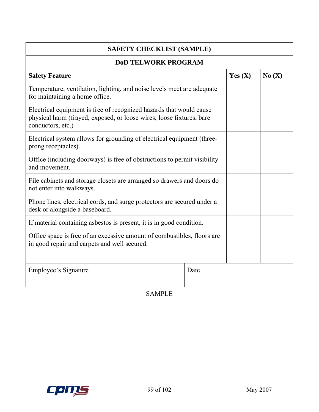| <b>SAFETY CHECKLIST (SAMPLE)</b>                                                                                                                                 |      |           |       |  |  |
|------------------------------------------------------------------------------------------------------------------------------------------------------------------|------|-----------|-------|--|--|
| <b>DOD TELWORK PROGRAM</b>                                                                                                                                       |      |           |       |  |  |
| <b>Safety Feature</b>                                                                                                                                            |      | Yes $(X)$ | No(X) |  |  |
| Temperature, ventilation, lighting, and noise levels meet are adequate<br>for maintaining a home office.                                                         |      |           |       |  |  |
| Electrical equipment is free of recognized hazards that would cause<br>physical harm (frayed, exposed, or loose wires; loose fixtures, bare<br>conductors, etc.) |      |           |       |  |  |
| Electrical system allows for grounding of electrical equipment (three-<br>prong receptacles).                                                                    |      |           |       |  |  |
| Office (including doorways) is free of obstructions to permit visibility<br>and movement.                                                                        |      |           |       |  |  |
| File cabinets and storage closets are arranged so drawers and doors do<br>not enter into walkways.                                                               |      |           |       |  |  |
| Phone lines, electrical cords, and surge protectors are secured under a<br>desk or alongside a baseboard.                                                        |      |           |       |  |  |
| If material containing asbestos is present, it is in good condition.                                                                                             |      |           |       |  |  |
| Office space is free of an excessive amount of combustibles, floors are<br>in good repair and carpets and well secured.                                          |      |           |       |  |  |
|                                                                                                                                                                  |      |           |       |  |  |
| Employee's Signature                                                                                                                                             | Date |           |       |  |  |

### SAMPLE

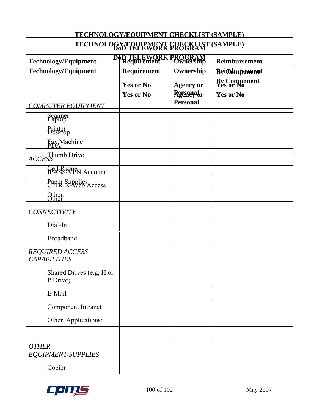| <b>TECHNOLOGY/EQUIPMENT CHECKLIST (SAMPLE)</b>                              |                  |                  |                                  |  |
|-----------------------------------------------------------------------------|------------------|------------------|----------------------------------|--|
| TECHNOLOGY/EQUIPMENT GHEGKLIST (SAMPLE)                                     |                  |                  |                                  |  |
| <b>DOD TELEWORK PROGRAM</b><br><b>Technology/Equipment</b><br>Reimbursement |                  |                  |                                  |  |
| <b>Technology/Equipment</b>                                                 | Requirement      | Ownership        | <b>Bei@burrement</b>             |  |
|                                                                             | <b>Yes or No</b> | <b>Agency or</b> | <b>By Component</b><br>Yes or No |  |
|                                                                             | Yes or No        | Regeneyabr       | <b>Yes or No</b>                 |  |
| <b>COMPUTER EQUIPMENT</b>                                                   |                  | <b>Personal</b>  |                                  |  |
| Scanner<br>Laptop                                                           |                  |                  |                                  |  |
| Printer<br><u>Desktop</u>                                                   |                  |                  |                                  |  |
| <b>Fax</b> Machine                                                          |                  |                  |                                  |  |
| ACCESS <sup>humb</sup> Drive                                                |                  |                  |                                  |  |
| <b>Gell Phone</b><br><b>PASS/VPN Account</b>                                |                  |                  |                                  |  |
| Paper Supplies<br>CITRIX-Web Access                                         |                  |                  |                                  |  |
| Other:                                                                      |                  |                  |                                  |  |
| <b>CONNECTIVITY</b>                                                         |                  |                  |                                  |  |
| Dial-In                                                                     |                  |                  |                                  |  |
| <b>Broadband</b>                                                            |                  |                  |                                  |  |
| <b>REQUIRED ACCESS</b><br><b>CAPABILITIES</b>                               |                  |                  |                                  |  |
| Shared Drives (e.g, H or<br>P Drive)                                        |                  |                  |                                  |  |
| E-Mail                                                                      |                  |                  |                                  |  |
| Component Intranet                                                          |                  |                  |                                  |  |
| Other Applications:                                                         |                  |                  |                                  |  |
|                                                                             |                  |                  |                                  |  |
| <b>OTHER</b><br><b>EQUIPMENT/SUPPLIES</b>                                   |                  |                  |                                  |  |
| Copier                                                                      |                  |                  |                                  |  |

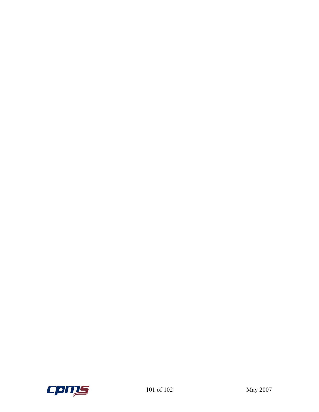